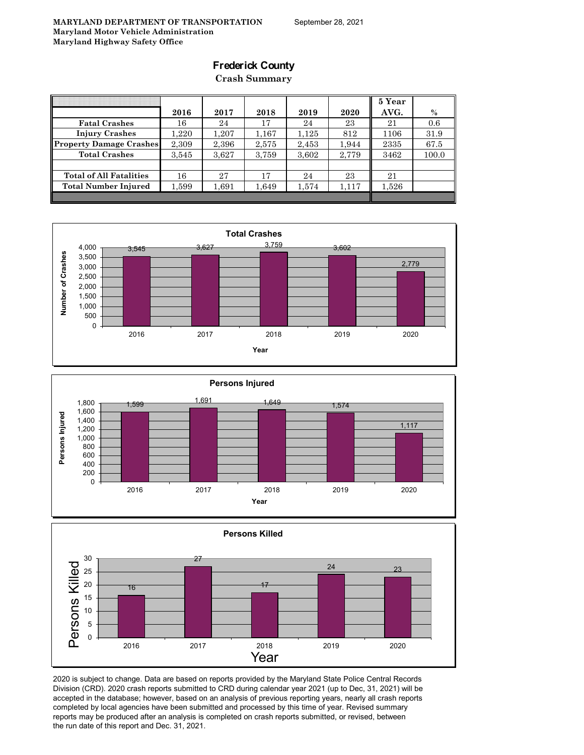### **Frederick County**

**Crash Summary**

|                                |           |       |       |       |       | 5 Year |       |
|--------------------------------|-----------|-------|-------|-------|-------|--------|-------|
|                                | 2016      | 2017  | 2018  | 2019  | 2020  | AVG.   | $\%$  |
| <b>Fatal Crashes</b>           | 16        | 24    | 17    | 24    | 23    | 21     | 0.6   |
| <b>Injury Crashes</b>          | $1.220\,$ | 1.207 | 1,167 | 1,125 | 812   | 1106   | 31.9  |
| <b>Property Damage Crashes</b> | 2,309     | 2,396 | 2,575 | 2,453 | 1,944 | 2335   | 67.5  |
| <b>Total Crashes</b>           | 3,545     | 3,627 | 3,759 | 3,602 | 2,779 | 3462   | 100.0 |
|                                |           |       |       |       |       |        |       |
| <b>Total of All Fatalities</b> | 16        | 27    | 17    | 24    | 23    | 21     |       |
| Total Number Injured           | 1,599     | 1,691 | 1,649 | 1,574 | 1,117 | 1,526  |       |
|                                |           |       |       |       |       |        |       |







2020 is subject to change. Data are based on reports provided by the Maryland State Police Central Records Division (CRD). 2020 crash reports submitted to CRD during calendar year 2021 (up to Dec, 31, 2021) will be accepted in the database; however, based on an analysis of previous reporting years, nearly all crash reports completed by local agencies have been submitted and processed by this time of year. Revised summary reports may be produced after an analysis is completed on crash reports submitted, or revised, between the run date of this report and Dec. 31, 2021.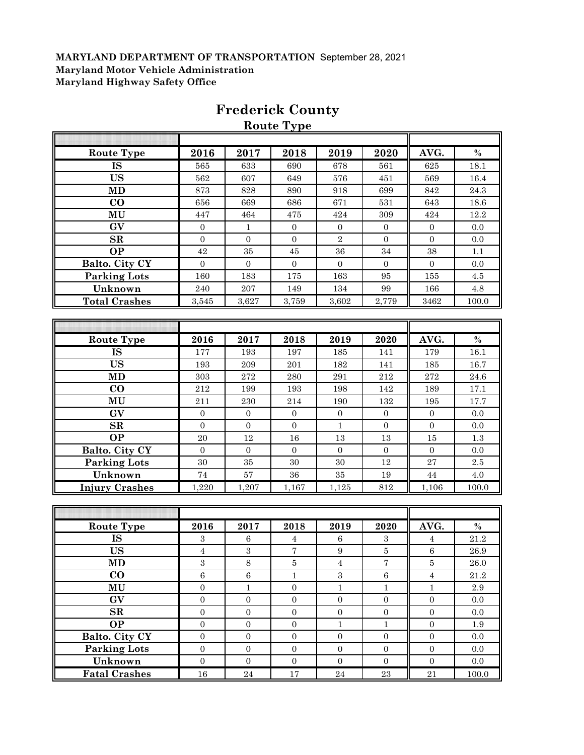|                       |                  |                  | <b>Route Type</b> |                  |                  |                  |               |
|-----------------------|------------------|------------------|-------------------|------------------|------------------|------------------|---------------|
|                       |                  |                  |                   |                  |                  |                  |               |
| <b>Route Type</b>     | 2016             | 2017             | 2018              | 2019             | 2020             | AVG.             | $\frac{0}{0}$ |
| <b>IS</b>             | 565              | 633              | 690               | 678              | 561              | 625              | 18.1          |
| <b>US</b>             | 562              | 607              | 649               | 576              | 451              | 569              | 16.4          |
| <b>MD</b>             | 873              | 828              | 890               | 918              | 699              | 842              | $24.3\,$      |
| $\bf{CO}$             | 656              | 669              | 686               | 671              | 531              | 643              | 18.6          |
| MU                    | 447              | 464              | 475               | 424              | 309              | 424              | 12.2          |
| GV                    | $\boldsymbol{0}$ | $\,1\,$          | $\boldsymbol{0}$  | $\boldsymbol{0}$ | $\overline{0}$   | $\boldsymbol{0}$ | $0.0\,$       |
| SR                    | $\boldsymbol{0}$ | $\boldsymbol{0}$ | $\boldsymbol{0}$  | $\sqrt{2}$       | $\boldsymbol{0}$ | $\boldsymbol{0}$ | 0.0           |
| <b>OP</b>             | 42               | 35               | 45                | 36               | 34               | 38               | 1.1           |
| Balto. City CY        | $\boldsymbol{0}$ | $\boldsymbol{0}$ | $\boldsymbol{0}$  | $\boldsymbol{0}$ | $\boldsymbol{0}$ | $\boldsymbol{0}$ | 0.0           |
| Parking Lots          | 160              | 183              | 175               | 163              | 95               | 155              | 4.5           |
| Unknown               | 240              | $207\,$          | 149               | 134              | 99               | 166              | $4.8\,$       |
| <b>Total Crashes</b>  | 3,545            | 3,627            | 3,759             | 3,602            | 2,779            | 3462             | 100.0         |
|                       |                  |                  |                   |                  |                  |                  |               |
|                       |                  |                  |                   |                  |                  |                  |               |
| <b>Route Type</b>     | 2016             | 2017             | 2018              | 2019             | 2020             | AVG.             | $\%$          |
| <b>IS</b>             | 177              | 193              | 197               | 185              | 141              | 179              | 16.1          |
| <b>US</b>             | 193              | 209              | 201               | 182              | 141              | 185              | 16.7          |
| <b>MD</b>             | 303              | 272              | 280               | 291              | 212              | 272              | $24.6\,$      |
| $\bf{CO}$             | 212              | 199              | 193               | 198              | 142              | 189              | 17.1          |
| MU                    | 211              | 230              | 214               | 190              | 132              | 195              | 17.7          |
| GV                    | $\mathbf{0}$     | $\boldsymbol{0}$ | $\boldsymbol{0}$  | $\boldsymbol{0}$ | $\mathbf{0}$     | $\boldsymbol{0}$ | 0.0           |
| $\mathbf{SR}$         | $\overline{0}$   | $\mathbf{0}$     | $\mathbf{0}$      | $\mathbf{1}$     | $\overline{0}$   | $\boldsymbol{0}$ | 0.0           |
| <b>OP</b>             | $20\,$           | 12               | 16                | $13\,$           | 13               | 15               | 1.3           |
| Balto. City CY        | $\mathbf{0}$     | $\boldsymbol{0}$ | $\boldsymbol{0}$  | $\boldsymbol{0}$ | $\mathbf{0}$     | $\boldsymbol{0}$ | 0.0           |
| <b>Parking Lots</b>   | 30               | 35               | 30                | $30\,$           | 12               | 27               | $2.5\,$       |
| Unknown               | 74               | 57               | 36                | $35\,$           | 19               | 44               | $4.0\,$       |
| <b>Injury Crashes</b> | 1,220            | 1,207            | 1,167             | 1,125            | 812              | 1,106            | 100.0         |
|                       |                  |                  |                   |                  |                  |                  |               |
|                       |                  |                  |                   |                  |                  |                  |               |
| <b>Route Type</b>     | 2016             | 2017             | 2018              | 2019             | 2020             | AVG.             | $\%$          |
| IS                    | $\,3$            | $\,6\,$          | $\overline{4}$    | $\,6\,$          | $\boldsymbol{3}$ | $\overline{4}$   | $21.2\,$      |
| US                    | 4                | 3                | 7                 | 9                | 5                | 6                | 26.9          |
| MD                    | $\sqrt{3}$       | $\,8\,$          | $\bf 5$           | $\overline{4}$   | $\sqrt{ }$       | $\bf 5$          | 26.0          |
| $\bf{CO}$             | $\,6\,$          | $\,6\,$          | $\mathbf{1}$      | $\,3$            | $\,6\,$          | $\boldsymbol{4}$ | 21.2          |
| MU                    | $\boldsymbol{0}$ | $\mathbf{1}$     | $\overline{0}$    | $\,1\,$          | $\mathbf{1}$     | $\mathbf{1}$     | $2.9\,$       |
| GV                    | $\overline{0}$   | $\boldsymbol{0}$ | $\overline{0}$    | $\boldsymbol{0}$ | $\overline{0}$   | $\overline{0}$   | 0.0           |
| $\mathbf{SR}$         | $\boldsymbol{0}$ | $\boldsymbol{0}$ | $\boldsymbol{0}$  | $\boldsymbol{0}$ | $\boldsymbol{0}$ | $\boldsymbol{0}$ | $0.0\,$       |
| <b>OP</b>             | $\boldsymbol{0}$ | $\boldsymbol{0}$ | $\overline{0}$    | $\mathbf{1}$     | $\,1\,$          | $\boldsymbol{0}$ | $1.9\,$       |
| Balto. City CY        | $\boldsymbol{0}$ | $\boldsymbol{0}$ | $\boldsymbol{0}$  | $\boldsymbol{0}$ | $\boldsymbol{0}$ | $\boldsymbol{0}$ | $0.0\,$       |
| Parking Lots          | $\boldsymbol{0}$ | $\boldsymbol{0}$ | $\boldsymbol{0}$  | $\mathbf{0}$     | $\mathbf{0}$     | $\boldsymbol{0}$ | 0.0           |
| Unknown               | $\boldsymbol{0}$ | $\boldsymbol{0}$ | $\boldsymbol{0}$  | $\overline{0}$   | $\mathbf{0}$     | $\boldsymbol{0}$ | $0.0\,$       |
| <b>Fatal Crashes</b>  | $16\,$           | $\bf{24}$        | $17\,$            | $\bf 24$         | $\bf 23$         | $\sqrt{21}$      | 100.0         |

# **Frederick County**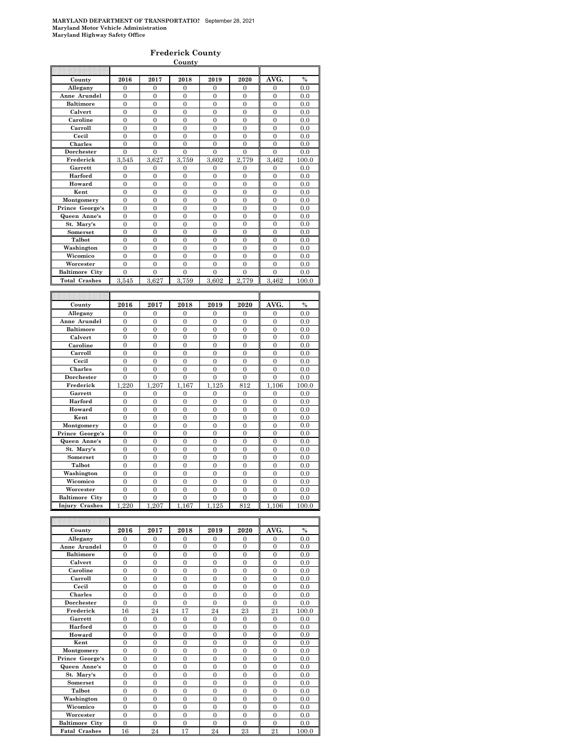#### **Frederick County**

|                                 |                           |                          | County                         |                       |                                  |                |               |
|---------------------------------|---------------------------|--------------------------|--------------------------------|-----------------------|----------------------------------|----------------|---------------|
|                                 |                           |                          |                                |                       |                                  |                |               |
| County                          | 2016                      | 2017                     | 2018                           | 2019                  | 2020                             | AVG.           | $\%$          |
| Allegany                        | 0                         | $\overline{0}$           | $\overline{0}$                 | $\overline{0}$        | $\mathbf{0}$                     | $\overline{0}$ | 0.0           |
| Anne Arundel                    | $\overline{0}$            | $\mathbf{0}$             | $\mathbf{0}$                   | $\mathbf{0}$          | $\mathbf{0}$                     | $\overline{0}$ | 0.0           |
| <b>Baltimore</b>                | $\overline{0}$            | $\overline{0}$           | $\overline{0}$                 | $\overline{0}$        | $\overline{0}$                   | $\overline{0}$ | 0.0           |
| Calvert                         | $\overline{0}$            | $\overline{0}$           | $\overline{0}$                 | $\overline{0}$        | $\boldsymbol{0}$                 | $\overline{0}$ | 0.0           |
| Caroline                        | $\mathbf{0}$              | $\mathbf{0}$             | $\boldsymbol{0}$               | $\boldsymbol{0}$      | $\boldsymbol{0}$                 | $\overline{0}$ | 0.0           |
| Carroll                         | $\mathbf{0}$              | $\overline{0}$           | $\boldsymbol{0}$               | $\boldsymbol{0}$      | $\boldsymbol{0}$                 | $\mathbf{0}$   | 0.0           |
| Cecil                           | $\mathbf{0}$              | $\mathbf{0}$             | $\boldsymbol{0}$               | $\boldsymbol{0}$      | $\boldsymbol{0}$                 | $\overline{0}$ | $_{0.0}$      |
| Charles                         | $\overline{0}$            | $\overline{0}$           | $\overline{0}$                 | $\overline{0}$        | $\overline{0}$                   | $\overline{0}$ | 0.0           |
| Dorchester                      | 0                         | 0                        | $\mathbf{0}$                   | $\overline{0}$        | 0                                | $\overline{0}$ | 0.0           |
| Frederick                       | 3,545                     | 3,627                    | 3,759                          | 3,602                 | 2,779                            | 3,462          | 100.0         |
| Garrett                         | 0                         | 0                        | $\bf{0}$                       | 0                     | 0                                | 0              | 0.0           |
| Harford                         | $\mathbf{0}$              | $\mathbf{0}$             | $\mathbf{0}$                   | $\boldsymbol{0}$      | 0                                | $\overline{0}$ | 0.0           |
| Howard                          | $\overline{0}$            | $\overline{0}$           | $\overline{0}$                 | $\overline{0}$        | $\overline{0}$                   | $\overline{0}$ | 0.0           |
| Kent                            | $\overline{0}$            | $\overline{0}$           | $\mathbf{0}$                   | 0                     | $\overline{0}$                   | $\overline{0}$ | 0.0           |
| Montgomery                      | $\overline{0}$            | $\overline{0}$           | $\mathbf{0}$                   | $\overline{0}$        | $\overline{0}$                   | $\overline{0}$ | 0.0           |
| Prince George's                 | $\theta$                  | $\overline{0}$           | $\Omega$                       | $\overline{0}$        | $\Omega$                         | $\overline{0}$ | 0.0           |
| Queen Anne's                    | $\overline{0}$            | $\overline{0}$           | $\theta$                       | $\theta$              | $\theta$                         | $\overline{0}$ | 0.0           |
| St. Mary's                      | $\overline{0}$            | $\overline{0}$           | $\overline{0}$                 | $\mathbf{0}$          | $\overline{0}$                   | $\overline{0}$ | 0.0           |
| Somerset                        | $\mathbf{0}$              | $\overline{0}$           | $\overline{0}$                 | $\boldsymbol{0}$      | $\boldsymbol{0}$                 | $\overline{0}$ | 0.0           |
| Talbot                          | $\overline{0}$            | $\overline{0}$           | $\mathbf{0}$                   | $\overline{0}$        | $\overline{0}$                   | $\overline{0}$ | 0.0           |
| Washington                      | $\mathbf{0}$              | $\overline{0}$           | $\overline{0}$                 | $\overline{0}$        | $\boldsymbol{0}$                 | $\mathbf{0}$   | 0.0           |
| Wicomico                        | $\overline{0}$            | $\overline{0}$           | $\mathbf{0}$                   | $\boldsymbol{0}$      | $\boldsymbol{0}$                 | $\overline{0}$ | 0.0           |
| Worcester                       | $\mathbf{0}$              | $\mathbf{0}$             | $\mathbf{0}$                   | $\overline{0}$        | $\overline{0}$                   | $\overline{0}$ | 0.0           |
| <b>Baltimore City</b>           | $\boldsymbol{0}$          | $\boldsymbol{0}$         | $\mathbf{0}$                   | $\mathbf{0}$          | 0                                | 0              | 0.0           |
| <b>Total Crashes</b>            | 3,545                     | 3,627                    | 3,759                          | 3,602                 | 2,779                            | 3,462          | 100.0         |
|                                 |                           |                          |                                |                       |                                  |                |               |
|                                 |                           |                          |                                |                       |                                  |                |               |
|                                 |                           |                          |                                |                       |                                  |                |               |
|                                 |                           |                          |                                |                       |                                  |                | $\frac{0}{0}$ |
| County                          | 2016                      | 2017                     | 2018                           | 2019                  | 2020                             | AVG.           |               |
| Allegany                        | 0                         | 0                        | $\bf{0}$                       | $\bf{0}$              | 0                                | 0              | 0.0           |
| Anne Arundel                    | $\mathbf{0}$              | $\overline{0}$           | $\mathbf{0}$                   | $\boldsymbol{0}$      | $\boldsymbol{0}$                 | $\overline{0}$ | 0.0           |
| <b>Baltimore</b>                | 0<br>$\overline{0}$       | 0<br>$\overline{0}$      | 0<br>$\mathbf{0}$              | 0<br>0                | 0<br>$\overline{0}$              | 0              | 0.0           |
| Calvert                         |                           |                          |                                |                       |                                  | 0              | 0.0           |
| Caroline                        | $\overline{0}$            | $\overline{0}$           | $\overline{0}$                 | $\overline{0}$        | $\overline{0}$                   | $\overline{0}$ | 0.0           |
| Carroll                         | $\mathbf{0}$              | $\overline{0}$           | $\mathbf{0}$                   | $\mathbf{0}$          | $\overline{0}$                   | $\overline{0}$ | 0.0           |
| Cecil                           | $\overline{0}$            | $\mathbf{0}$             | $\overline{0}$                 | $\overline{0}$        | $\overline{0}$                   | $\mathbf{0}$   | 0.0           |
| Charles                         | $\overline{0}$            | $\overline{0}$           | $\overline{0}$<br>$\mathbf{0}$ | $\overline{0}$        | $\overline{0}$<br>$\overline{0}$ | $\overline{0}$ | 0.0           |
| Dorchester<br>Frederick         | $\boldsymbol{0}$<br>1,220 | $\mathbf{0}$<br>207<br>1 | 1,167                          | $\mathbf{0}$<br>1,125 | 812                              | 0<br>1,106     | 0.0<br>100.0  |
| Garrett                         | 0                         | $\overline{0}$           | $\mathbf{0}$                   | $\overline{0}$        | $\overline{0}$                   | $\overline{0}$ | 0.0           |
| Harford                         | $\mathbf{0}$              | $\overline{0}$           | $\mathbf{0}$                   | $\mathbf{0}$          | $\mathbf{0}$                     | $\overline{0}$ | 0.0           |
| Howard                          | $\mathbf{0}$              | $\overline{0}$           | $\mathbf{0}$                   | $\boldsymbol{0}$      | $\mathbf{0}$                     | $\mathbf{0}$   | 0.0           |
| Kent                            | $\mathbf{0}$              | $\mathbf{0}$             | $\overline{0}$                 | $\boldsymbol{0}$      | $\overline{0}$                   | $\overline{0}$ | 0.0           |
| Montgomery                      | $\boldsymbol{0}$          | $\mathbf{0}$             | $\mathbf{0}$                   | $\boldsymbol{0}$      | $\boldsymbol{0}$                 | $\overline{0}$ | 0.0           |
|                                 | $\boldsymbol{0}$          | $\boldsymbol{0}$         | $\boldsymbol{0}$               | $\mathbf{0}$          | 0                                | 0              | 0.0           |
| Prince George's<br>Queen Anne's | $\overline{0}$            | $\overline{0}$           | $\overline{0}$                 | $\overline{0}$        | $\overline{0}$                   | $\overline{0}$ | 0.0           |
| St. Mary's                      | $\overline{0}$            | $\overline{0}$           | $\overline{0}$                 | $\overline{0}$        | $\overline{0}$                   | 0              | 0.0           |
| Somerset                        | $\mathbf{0}$              | $\mathbf{0}$             | $\mathbf{0}$                   | 0                     | $\boldsymbol{0}$                 | $\overline{0}$ | 0.0           |
| Talbot                          | $\boldsymbol{0}$          | $\mathbf{0}$             | $\mathbf{0}$                   | $\mathbf{0}$          | $\mathbf{0}$                     | $\overline{0}$ | 0.0           |
| Washington                      | $\mathbf{0}$              | $\overline{0}$           | $\mathbf{0}$                   | $\boldsymbol{0}$      | $\overline{0}$                   | $\overline{0}$ | 0.0           |
| Wicomico                        | $\overline{0}$            | $\overline{0}$           | $\overline{0}$                 | $\overline{0}$        | $\overline{0}$                   | $\overline{0}$ | 0.0           |
| Worcester                       | $\overline{0}$            | $\overline{0}$           | $\overline{0}$                 | $\overline{0}$        | $\overline{0}$                   | $\overline{0}$ | 0.0           |
| <b>Baltimore City</b>           | $\theta$                  | $\Omega$                 | $\theta$                       | $\theta$              | $\theta$                         | $\theta$       | 0.0           |
| <b>Injury Crashes</b>           | 1,220                     | 1,207                    | 1,167                          | 1,125                 | 812                              | 1,106          | 100.0         |
|                                 |                           |                          |                                |                       |                                  |                |               |
|                                 |                           |                          |                                |                       |                                  | AVG.           |               |

| County                | 2016           | 2017     | 2018     | 2019     | 2020           | AVG.           | $\%$  |
|-----------------------|----------------|----------|----------|----------|----------------|----------------|-------|
| Allegany              | $\Omega$       | $\theta$ | $\Omega$ | $\Omega$ | $\Omega$       | $\Omega$       | 0.0   |
| Anne Arundel          | $\Omega$       | $\Omega$ | $\Omega$ | $\Omega$ | $\Omega$       | $\Omega$       | 0.0   |
| <b>Baltimore</b>      | $\theta$       | $\theta$ | $\theta$ | $\theta$ | $\Omega$       | $\theta$       | 0.0   |
| Calvert               | $\overline{0}$ | $\theta$ | $\Omega$ | $\Omega$ | $\overline{0}$ | $\overline{0}$ | 0.0   |
| Caroline              | $\Omega$       | $\theta$ | $\theta$ | $\Omega$ | $\Omega$       | $\Omega$       | 0.0   |
| Carroll               | $\theta$       | $\theta$ | $\theta$ | $\Omega$ | $\theta$       | $\theta$       | 0.0   |
| Cecil                 | $\theta$       | $\theta$ | $\theta$ | $\Omega$ | $\Omega$       | $\theta$       | 0.0   |
| <b>Charles</b>        | $\theta$       | $\theta$ | $\theta$ | $\theta$ | $\theta$       | $\overline{0}$ | 0.0   |
| <b>Dorchester</b>     | $\theta$       | $\theta$ | $\Omega$ | $\Omega$ | $\Omega$       | $\Omega$       | 0.0   |
| Frederick             | 16             | 24       | 17       | 24       | 23             | 21             | 100.0 |
| Garrett               | $\Omega$       | $\theta$ | $\theta$ | $\theta$ | $\Omega$       | $\theta$       | 0.0   |
| Harford               | $\theta$       | $\Omega$ | $\Omega$ | $\Omega$ | $\Omega$       | $\Omega$       | 0.0   |
| Howard                | $\overline{0}$ | $\Omega$ | $\Omega$ | $\Omega$ | $\overline{0}$ | $\overline{0}$ | 0.0   |
| Kent                  | $\overline{0}$ | $\theta$ | $\Omega$ | $\Omega$ | $\Omega$       | $\Omega$       | 0.0   |
| Montgomery            | $\theta$       | $\theta$ | $\theta$ | $\theta$ | $\theta$       | $\theta$       | 0.0   |
| Prince George's       | $\Omega$       | $\Omega$ | $\Omega$ | $\Omega$ | $\Omega$       | $\Omega$       | 0.0   |
| Queen Anne's          | $\theta$       | $\theta$ | $\Omega$ | $\Omega$ | $\Omega$       | $\theta$       | 0.0   |
| St. Mary's            | $\theta$       | $\theta$ | $\Omega$ | $\Omega$ | $\Omega$       | $\Omega$       | 0.0   |
| <b>Somerset</b>       | $\theta$       | $\theta$ | $\Omega$ | $\Omega$ | $\Omega$       | $\Omega$       | 0.0   |
| Talbot                | $\theta$       | $\theta$ | $\theta$ | $\theta$ | $\theta$       | $\theta$       | 0.0   |
| Washington            | $\overline{0}$ | $\theta$ | $\Omega$ | $\Omega$ | $\Omega$       | $\Omega$       | 0.0   |
| Wicomico              | $\overline{0}$ | $\Omega$ | $\Omega$ | $\Omega$ | $\Omega$       | $\Omega$       | 0.0   |
| Worcester             | $\theta$       | $\theta$ | $\Omega$ | $\Omega$ | $\Omega$       | $\theta$       | 0.0   |
| <b>Baltimore City</b> | $\theta$       | $\theta$ | $\Omega$ | $\Omega$ | $\theta$       | $\Omega$       | 0.0   |
| <b>Fatal Crashes</b>  | 16             | 24       | 17       | 24       | 23             | 21             | 100.0 |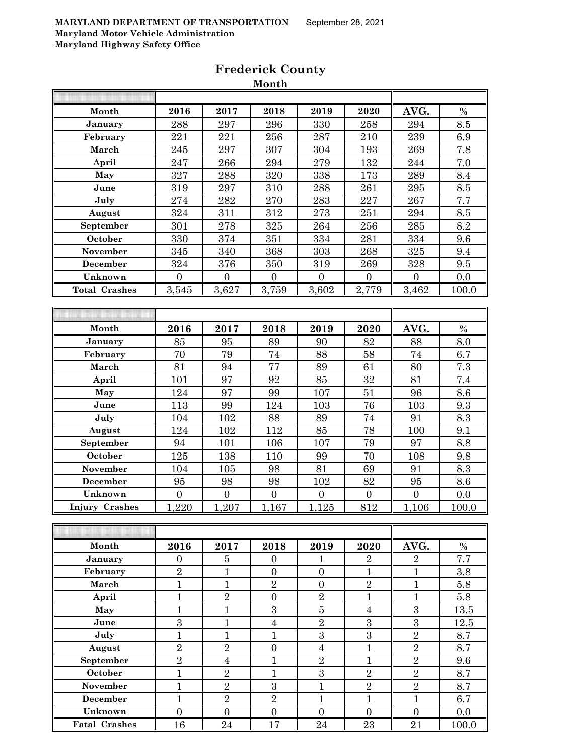| $\%$<br>Month<br>2018<br>2019<br>2016<br>2017<br>2020<br>AVG.<br>330<br>288<br>297<br>296<br>258<br>294<br>8.5<br>January<br>221<br>February<br>221<br>256<br>287<br>210<br>239<br>6.9<br>March<br>245<br>297<br>307<br>304<br>193<br>269<br>7.8<br>279<br>247<br>266<br>294<br>132<br>244<br>7.0<br>April<br>320<br>327<br>338<br>8.4<br>288<br>173<br>289<br>May<br>June<br>319<br>297<br>310<br>288<br>261<br>295<br>8.5<br>270<br>7.7<br>July<br>274<br>282<br>283<br>227<br>267<br>324<br>312<br>8.5<br>August<br>311<br>273<br>251<br>294<br>301<br>278<br>325<br>264<br>8.2<br>September<br>256<br>285<br>330<br>351<br>374<br>334<br>334<br>October<br>281<br>9.6<br>340<br>368<br>November<br>345<br>303<br>268<br>325<br>9.4<br>December<br>324<br>376<br>350<br>319<br>269<br>328<br>9.5<br>Unknown<br>$\overline{0}$<br>$\boldsymbol{0}$<br>$\boldsymbol{0}$<br>$\overline{0}$<br>$\boldsymbol{0}$<br>0.0<br>$\overline{0}$<br>2,779<br>3,462<br>3,545<br>3,627<br>3,759<br>3,602<br>100.0<br><b>Total Crashes</b><br>$\%$<br>Month<br>AVG.<br>2016<br>2017<br>2018<br>2019<br>2020<br>82<br>8.0<br>85<br>95<br>89<br>90<br>88<br>January<br>70<br>79<br>74<br>February<br>74<br>88<br>58<br>6.7<br>81<br>77<br>March<br>94<br>89<br>61<br>80<br>7.3<br>97<br>$32\,$<br>81<br>7.4<br>101<br>92<br>85<br>April<br>124<br>97<br>99<br>107<br>96<br>8.6<br>May<br>51<br>June<br>113<br>99<br>124<br>76<br>9.3<br>103<br>103<br>74<br>8.3<br>104<br>102<br>88<br>91<br>July<br>89<br>78<br>124<br>112<br>85<br>9.1<br>August<br>102<br>100<br>79<br>94<br>97<br>September<br>106<br>107<br>8.8<br>101<br>70<br>October<br>125<br>138<br>110<br>108<br>9.8<br>99<br>98<br>8.3<br>November<br>104<br>105<br>81<br>69<br>91<br>December<br>95<br>98<br>82<br>95<br>8.6<br>98<br>102<br>$\overline{0}$<br>Unknown<br>$\overline{0}$<br>$\boldsymbol{0}$<br>$\boldsymbol{0}$<br>$\boldsymbol{0}$<br>$\boldsymbol{0}$<br>0.0<br>$\frac{1}{220}$<br>1,207<br>812<br>1,106<br>1,167<br>1,125<br><b>Injury Crashes</b><br>100.0<br>Month<br>$\%$<br>2016<br>2017<br>2018<br>2019<br>AVG.<br>2020<br>7.7<br>January<br>$\overline{2}$<br>$\boldsymbol{0}$<br>5<br>$\mathbf{0}$<br>1<br>$\overline{2}$<br>$\overline{2}$<br>February<br>$\mathbf{1}$<br>$\mathbf{1}$<br>$\mathbf{1}$<br>$\boldsymbol{0}$<br>$\boldsymbol{0}$<br>3.8<br>$\overline{2}$<br>$\mathbf{1}$<br>March<br>$\mathbf{1}$<br>$\sqrt{2}$<br>$\mathbf{1}$<br>$\boldsymbol{0}$<br>5.8<br>$\sqrt{2}$<br>$\mathbf{1}$<br>$\sqrt{2}$<br>$\boldsymbol{0}$<br>$\mathbf{1}$<br>$\mathbf{1}$<br>$5.8\,$<br>April<br>3<br>$\overline{3}$<br>$\mathbf{1}$<br>$\mathbf{1}$<br>$\bf 5$<br>May<br>$\overline{4}$<br>13.5<br>3<br>$\sqrt{2}$<br>$\overline{3}$<br>$\overline{4}$<br>$\boldsymbol{3}$<br>$\mathbf{1}$<br>12.5<br>June<br>$\overline{3}$<br>$\overline{3}$<br>$\overline{1}$<br>$\overline{2}$<br>$\mathbf{1}$<br>$\mathbf{1}$<br>July<br>8.7<br>$\overline{2}$<br>$\overline{2}$<br>$\sqrt{2}$<br>$\boldsymbol{0}$<br>$\mathbf{1}$<br>August<br>$\sqrt{4}$<br>8.7<br>$\overline{2}$<br>$\overline{2}$<br>$\overline{2}$<br>September<br>$\overline{4}$<br>$\mathbf{1}$<br>$\mathbf{1}$<br>9.6<br>$\overline{2}$<br>$\overline{2}$<br>$\mathbf{1}$<br>$\mathbf{1}$<br>$\overline{3}$<br>$\overline{2}$<br>October<br>8.7<br>$\sqrt{2}$<br>$\overline{2}$<br>$\boldsymbol{3}$<br>$\mathbf{1}$<br>$\,2$<br>November<br>$\mathbf{1}$<br>8.7<br>$\overline{2}$<br>$\sqrt{2}$<br>$\mathbf{1}$<br><b>December</b><br>$\mathbf{1}$<br>$\mathbf{1}$<br>$\mathbf{1}$<br>6.7 |         |                |                | WIVILUI        |                  |                |                |     |
|------------------------------------------------------------------------------------------------------------------------------------------------------------------------------------------------------------------------------------------------------------------------------------------------------------------------------------------------------------------------------------------------------------------------------------------------------------------------------------------------------------------------------------------------------------------------------------------------------------------------------------------------------------------------------------------------------------------------------------------------------------------------------------------------------------------------------------------------------------------------------------------------------------------------------------------------------------------------------------------------------------------------------------------------------------------------------------------------------------------------------------------------------------------------------------------------------------------------------------------------------------------------------------------------------------------------------------------------------------------------------------------------------------------------------------------------------------------------------------------------------------------------------------------------------------------------------------------------------------------------------------------------------------------------------------------------------------------------------------------------------------------------------------------------------------------------------------------------------------------------------------------------------------------------------------------------------------------------------------------------------------------------------------------------------------------------------------------------------------------------------------------------------------------------------------------------------------------------------------------------------------------------------------------------------------------------------------------------------------------------------------------------------------------------------------------------------------------------------------------------------------------------------------------------------------------------------------------------------------------------------------------------------------------------------------------------------------------------------------------------------------------------------------------------------------------------------------------------------------------------------------------------------------------------------------------------------------------------------------------------------------------------------------------------------------------------------------------------------------------------------------------------------------------------------------------------------------------------------------------------------------------------------------------------------------------------------------------------------------------------------------------------------------------------------------------------------------------------------------------------------------------------------------|---------|----------------|----------------|----------------|------------------|----------------|----------------|-----|
|                                                                                                                                                                                                                                                                                                                                                                                                                                                                                                                                                                                                                                                                                                                                                                                                                                                                                                                                                                                                                                                                                                                                                                                                                                                                                                                                                                                                                                                                                                                                                                                                                                                                                                                                                                                                                                                                                                                                                                                                                                                                                                                                                                                                                                                                                                                                                                                                                                                                                                                                                                                                                                                                                                                                                                                                                                                                                                                                                                                                                                                                                                                                                                                                                                                                                                                                                                                                                                                                                                                                    |         |                |                |                |                  |                |                |     |
|                                                                                                                                                                                                                                                                                                                                                                                                                                                                                                                                                                                                                                                                                                                                                                                                                                                                                                                                                                                                                                                                                                                                                                                                                                                                                                                                                                                                                                                                                                                                                                                                                                                                                                                                                                                                                                                                                                                                                                                                                                                                                                                                                                                                                                                                                                                                                                                                                                                                                                                                                                                                                                                                                                                                                                                                                                                                                                                                                                                                                                                                                                                                                                                                                                                                                                                                                                                                                                                                                                                                    |         |                |                |                |                  |                |                |     |
|                                                                                                                                                                                                                                                                                                                                                                                                                                                                                                                                                                                                                                                                                                                                                                                                                                                                                                                                                                                                                                                                                                                                                                                                                                                                                                                                                                                                                                                                                                                                                                                                                                                                                                                                                                                                                                                                                                                                                                                                                                                                                                                                                                                                                                                                                                                                                                                                                                                                                                                                                                                                                                                                                                                                                                                                                                                                                                                                                                                                                                                                                                                                                                                                                                                                                                                                                                                                                                                                                                                                    |         |                |                |                |                  |                |                |     |
|                                                                                                                                                                                                                                                                                                                                                                                                                                                                                                                                                                                                                                                                                                                                                                                                                                                                                                                                                                                                                                                                                                                                                                                                                                                                                                                                                                                                                                                                                                                                                                                                                                                                                                                                                                                                                                                                                                                                                                                                                                                                                                                                                                                                                                                                                                                                                                                                                                                                                                                                                                                                                                                                                                                                                                                                                                                                                                                                                                                                                                                                                                                                                                                                                                                                                                                                                                                                                                                                                                                                    |         |                |                |                |                  |                |                |     |
|                                                                                                                                                                                                                                                                                                                                                                                                                                                                                                                                                                                                                                                                                                                                                                                                                                                                                                                                                                                                                                                                                                                                                                                                                                                                                                                                                                                                                                                                                                                                                                                                                                                                                                                                                                                                                                                                                                                                                                                                                                                                                                                                                                                                                                                                                                                                                                                                                                                                                                                                                                                                                                                                                                                                                                                                                                                                                                                                                                                                                                                                                                                                                                                                                                                                                                                                                                                                                                                                                                                                    |         |                |                |                |                  |                |                |     |
|                                                                                                                                                                                                                                                                                                                                                                                                                                                                                                                                                                                                                                                                                                                                                                                                                                                                                                                                                                                                                                                                                                                                                                                                                                                                                                                                                                                                                                                                                                                                                                                                                                                                                                                                                                                                                                                                                                                                                                                                                                                                                                                                                                                                                                                                                                                                                                                                                                                                                                                                                                                                                                                                                                                                                                                                                                                                                                                                                                                                                                                                                                                                                                                                                                                                                                                                                                                                                                                                                                                                    |         |                |                |                |                  |                |                |     |
|                                                                                                                                                                                                                                                                                                                                                                                                                                                                                                                                                                                                                                                                                                                                                                                                                                                                                                                                                                                                                                                                                                                                                                                                                                                                                                                                                                                                                                                                                                                                                                                                                                                                                                                                                                                                                                                                                                                                                                                                                                                                                                                                                                                                                                                                                                                                                                                                                                                                                                                                                                                                                                                                                                                                                                                                                                                                                                                                                                                                                                                                                                                                                                                                                                                                                                                                                                                                                                                                                                                                    |         |                |                |                |                  |                |                |     |
|                                                                                                                                                                                                                                                                                                                                                                                                                                                                                                                                                                                                                                                                                                                                                                                                                                                                                                                                                                                                                                                                                                                                                                                                                                                                                                                                                                                                                                                                                                                                                                                                                                                                                                                                                                                                                                                                                                                                                                                                                                                                                                                                                                                                                                                                                                                                                                                                                                                                                                                                                                                                                                                                                                                                                                                                                                                                                                                                                                                                                                                                                                                                                                                                                                                                                                                                                                                                                                                                                                                                    |         |                |                |                |                  |                |                |     |
|                                                                                                                                                                                                                                                                                                                                                                                                                                                                                                                                                                                                                                                                                                                                                                                                                                                                                                                                                                                                                                                                                                                                                                                                                                                                                                                                                                                                                                                                                                                                                                                                                                                                                                                                                                                                                                                                                                                                                                                                                                                                                                                                                                                                                                                                                                                                                                                                                                                                                                                                                                                                                                                                                                                                                                                                                                                                                                                                                                                                                                                                                                                                                                                                                                                                                                                                                                                                                                                                                                                                    |         |                |                |                |                  |                |                |     |
|                                                                                                                                                                                                                                                                                                                                                                                                                                                                                                                                                                                                                                                                                                                                                                                                                                                                                                                                                                                                                                                                                                                                                                                                                                                                                                                                                                                                                                                                                                                                                                                                                                                                                                                                                                                                                                                                                                                                                                                                                                                                                                                                                                                                                                                                                                                                                                                                                                                                                                                                                                                                                                                                                                                                                                                                                                                                                                                                                                                                                                                                                                                                                                                                                                                                                                                                                                                                                                                                                                                                    |         |                |                |                |                  |                |                |     |
|                                                                                                                                                                                                                                                                                                                                                                                                                                                                                                                                                                                                                                                                                                                                                                                                                                                                                                                                                                                                                                                                                                                                                                                                                                                                                                                                                                                                                                                                                                                                                                                                                                                                                                                                                                                                                                                                                                                                                                                                                                                                                                                                                                                                                                                                                                                                                                                                                                                                                                                                                                                                                                                                                                                                                                                                                                                                                                                                                                                                                                                                                                                                                                                                                                                                                                                                                                                                                                                                                                                                    |         |                |                |                |                  |                |                |     |
|                                                                                                                                                                                                                                                                                                                                                                                                                                                                                                                                                                                                                                                                                                                                                                                                                                                                                                                                                                                                                                                                                                                                                                                                                                                                                                                                                                                                                                                                                                                                                                                                                                                                                                                                                                                                                                                                                                                                                                                                                                                                                                                                                                                                                                                                                                                                                                                                                                                                                                                                                                                                                                                                                                                                                                                                                                                                                                                                                                                                                                                                                                                                                                                                                                                                                                                                                                                                                                                                                                                                    |         |                |                |                |                  |                |                |     |
|                                                                                                                                                                                                                                                                                                                                                                                                                                                                                                                                                                                                                                                                                                                                                                                                                                                                                                                                                                                                                                                                                                                                                                                                                                                                                                                                                                                                                                                                                                                                                                                                                                                                                                                                                                                                                                                                                                                                                                                                                                                                                                                                                                                                                                                                                                                                                                                                                                                                                                                                                                                                                                                                                                                                                                                                                                                                                                                                                                                                                                                                                                                                                                                                                                                                                                                                                                                                                                                                                                                                    |         |                |                |                |                  |                |                |     |
|                                                                                                                                                                                                                                                                                                                                                                                                                                                                                                                                                                                                                                                                                                                                                                                                                                                                                                                                                                                                                                                                                                                                                                                                                                                                                                                                                                                                                                                                                                                                                                                                                                                                                                                                                                                                                                                                                                                                                                                                                                                                                                                                                                                                                                                                                                                                                                                                                                                                                                                                                                                                                                                                                                                                                                                                                                                                                                                                                                                                                                                                                                                                                                                                                                                                                                                                                                                                                                                                                                                                    |         |                |                |                |                  |                |                |     |
|                                                                                                                                                                                                                                                                                                                                                                                                                                                                                                                                                                                                                                                                                                                                                                                                                                                                                                                                                                                                                                                                                                                                                                                                                                                                                                                                                                                                                                                                                                                                                                                                                                                                                                                                                                                                                                                                                                                                                                                                                                                                                                                                                                                                                                                                                                                                                                                                                                                                                                                                                                                                                                                                                                                                                                                                                                                                                                                                                                                                                                                                                                                                                                                                                                                                                                                                                                                                                                                                                                                                    |         |                |                |                |                  |                |                |     |
|                                                                                                                                                                                                                                                                                                                                                                                                                                                                                                                                                                                                                                                                                                                                                                                                                                                                                                                                                                                                                                                                                                                                                                                                                                                                                                                                                                                                                                                                                                                                                                                                                                                                                                                                                                                                                                                                                                                                                                                                                                                                                                                                                                                                                                                                                                                                                                                                                                                                                                                                                                                                                                                                                                                                                                                                                                                                                                                                                                                                                                                                                                                                                                                                                                                                                                                                                                                                                                                                                                                                    |         |                |                |                |                  |                |                |     |
|                                                                                                                                                                                                                                                                                                                                                                                                                                                                                                                                                                                                                                                                                                                                                                                                                                                                                                                                                                                                                                                                                                                                                                                                                                                                                                                                                                                                                                                                                                                                                                                                                                                                                                                                                                                                                                                                                                                                                                                                                                                                                                                                                                                                                                                                                                                                                                                                                                                                                                                                                                                                                                                                                                                                                                                                                                                                                                                                                                                                                                                                                                                                                                                                                                                                                                                                                                                                                                                                                                                                    |         |                |                |                |                  |                |                |     |
|                                                                                                                                                                                                                                                                                                                                                                                                                                                                                                                                                                                                                                                                                                                                                                                                                                                                                                                                                                                                                                                                                                                                                                                                                                                                                                                                                                                                                                                                                                                                                                                                                                                                                                                                                                                                                                                                                                                                                                                                                                                                                                                                                                                                                                                                                                                                                                                                                                                                                                                                                                                                                                                                                                                                                                                                                                                                                                                                                                                                                                                                                                                                                                                                                                                                                                                                                                                                                                                                                                                                    |         |                |                |                |                  |                |                |     |
|                                                                                                                                                                                                                                                                                                                                                                                                                                                                                                                                                                                                                                                                                                                                                                                                                                                                                                                                                                                                                                                                                                                                                                                                                                                                                                                                                                                                                                                                                                                                                                                                                                                                                                                                                                                                                                                                                                                                                                                                                                                                                                                                                                                                                                                                                                                                                                                                                                                                                                                                                                                                                                                                                                                                                                                                                                                                                                                                                                                                                                                                                                                                                                                                                                                                                                                                                                                                                                                                                                                                    |         |                |                |                |                  |                |                |     |
|                                                                                                                                                                                                                                                                                                                                                                                                                                                                                                                                                                                                                                                                                                                                                                                                                                                                                                                                                                                                                                                                                                                                                                                                                                                                                                                                                                                                                                                                                                                                                                                                                                                                                                                                                                                                                                                                                                                                                                                                                                                                                                                                                                                                                                                                                                                                                                                                                                                                                                                                                                                                                                                                                                                                                                                                                                                                                                                                                                                                                                                                                                                                                                                                                                                                                                                                                                                                                                                                                                                                    |         |                |                |                |                  |                |                |     |
|                                                                                                                                                                                                                                                                                                                                                                                                                                                                                                                                                                                                                                                                                                                                                                                                                                                                                                                                                                                                                                                                                                                                                                                                                                                                                                                                                                                                                                                                                                                                                                                                                                                                                                                                                                                                                                                                                                                                                                                                                                                                                                                                                                                                                                                                                                                                                                                                                                                                                                                                                                                                                                                                                                                                                                                                                                                                                                                                                                                                                                                                                                                                                                                                                                                                                                                                                                                                                                                                                                                                    |         |                |                |                |                  |                |                |     |
|                                                                                                                                                                                                                                                                                                                                                                                                                                                                                                                                                                                                                                                                                                                                                                                                                                                                                                                                                                                                                                                                                                                                                                                                                                                                                                                                                                                                                                                                                                                                                                                                                                                                                                                                                                                                                                                                                                                                                                                                                                                                                                                                                                                                                                                                                                                                                                                                                                                                                                                                                                                                                                                                                                                                                                                                                                                                                                                                                                                                                                                                                                                                                                                                                                                                                                                                                                                                                                                                                                                                    |         |                |                |                |                  |                |                |     |
|                                                                                                                                                                                                                                                                                                                                                                                                                                                                                                                                                                                                                                                                                                                                                                                                                                                                                                                                                                                                                                                                                                                                                                                                                                                                                                                                                                                                                                                                                                                                                                                                                                                                                                                                                                                                                                                                                                                                                                                                                                                                                                                                                                                                                                                                                                                                                                                                                                                                                                                                                                                                                                                                                                                                                                                                                                                                                                                                                                                                                                                                                                                                                                                                                                                                                                                                                                                                                                                                                                                                    |         |                |                |                |                  |                |                |     |
|                                                                                                                                                                                                                                                                                                                                                                                                                                                                                                                                                                                                                                                                                                                                                                                                                                                                                                                                                                                                                                                                                                                                                                                                                                                                                                                                                                                                                                                                                                                                                                                                                                                                                                                                                                                                                                                                                                                                                                                                                                                                                                                                                                                                                                                                                                                                                                                                                                                                                                                                                                                                                                                                                                                                                                                                                                                                                                                                                                                                                                                                                                                                                                                                                                                                                                                                                                                                                                                                                                                                    |         |                |                |                |                  |                |                |     |
|                                                                                                                                                                                                                                                                                                                                                                                                                                                                                                                                                                                                                                                                                                                                                                                                                                                                                                                                                                                                                                                                                                                                                                                                                                                                                                                                                                                                                                                                                                                                                                                                                                                                                                                                                                                                                                                                                                                                                                                                                                                                                                                                                                                                                                                                                                                                                                                                                                                                                                                                                                                                                                                                                                                                                                                                                                                                                                                                                                                                                                                                                                                                                                                                                                                                                                                                                                                                                                                                                                                                    |         |                |                |                |                  |                |                |     |
|                                                                                                                                                                                                                                                                                                                                                                                                                                                                                                                                                                                                                                                                                                                                                                                                                                                                                                                                                                                                                                                                                                                                                                                                                                                                                                                                                                                                                                                                                                                                                                                                                                                                                                                                                                                                                                                                                                                                                                                                                                                                                                                                                                                                                                                                                                                                                                                                                                                                                                                                                                                                                                                                                                                                                                                                                                                                                                                                                                                                                                                                                                                                                                                                                                                                                                                                                                                                                                                                                                                                    |         |                |                |                |                  |                |                |     |
|                                                                                                                                                                                                                                                                                                                                                                                                                                                                                                                                                                                                                                                                                                                                                                                                                                                                                                                                                                                                                                                                                                                                                                                                                                                                                                                                                                                                                                                                                                                                                                                                                                                                                                                                                                                                                                                                                                                                                                                                                                                                                                                                                                                                                                                                                                                                                                                                                                                                                                                                                                                                                                                                                                                                                                                                                                                                                                                                                                                                                                                                                                                                                                                                                                                                                                                                                                                                                                                                                                                                    |         |                |                |                |                  |                |                |     |
|                                                                                                                                                                                                                                                                                                                                                                                                                                                                                                                                                                                                                                                                                                                                                                                                                                                                                                                                                                                                                                                                                                                                                                                                                                                                                                                                                                                                                                                                                                                                                                                                                                                                                                                                                                                                                                                                                                                                                                                                                                                                                                                                                                                                                                                                                                                                                                                                                                                                                                                                                                                                                                                                                                                                                                                                                                                                                                                                                                                                                                                                                                                                                                                                                                                                                                                                                                                                                                                                                                                                    |         |                |                |                |                  |                |                |     |
|                                                                                                                                                                                                                                                                                                                                                                                                                                                                                                                                                                                                                                                                                                                                                                                                                                                                                                                                                                                                                                                                                                                                                                                                                                                                                                                                                                                                                                                                                                                                                                                                                                                                                                                                                                                                                                                                                                                                                                                                                                                                                                                                                                                                                                                                                                                                                                                                                                                                                                                                                                                                                                                                                                                                                                                                                                                                                                                                                                                                                                                                                                                                                                                                                                                                                                                                                                                                                                                                                                                                    |         |                |                |                |                  |                |                |     |
|                                                                                                                                                                                                                                                                                                                                                                                                                                                                                                                                                                                                                                                                                                                                                                                                                                                                                                                                                                                                                                                                                                                                                                                                                                                                                                                                                                                                                                                                                                                                                                                                                                                                                                                                                                                                                                                                                                                                                                                                                                                                                                                                                                                                                                                                                                                                                                                                                                                                                                                                                                                                                                                                                                                                                                                                                                                                                                                                                                                                                                                                                                                                                                                                                                                                                                                                                                                                                                                                                                                                    |         |                |                |                |                  |                |                |     |
|                                                                                                                                                                                                                                                                                                                                                                                                                                                                                                                                                                                                                                                                                                                                                                                                                                                                                                                                                                                                                                                                                                                                                                                                                                                                                                                                                                                                                                                                                                                                                                                                                                                                                                                                                                                                                                                                                                                                                                                                                                                                                                                                                                                                                                                                                                                                                                                                                                                                                                                                                                                                                                                                                                                                                                                                                                                                                                                                                                                                                                                                                                                                                                                                                                                                                                                                                                                                                                                                                                                                    |         |                |                |                |                  |                |                |     |
|                                                                                                                                                                                                                                                                                                                                                                                                                                                                                                                                                                                                                                                                                                                                                                                                                                                                                                                                                                                                                                                                                                                                                                                                                                                                                                                                                                                                                                                                                                                                                                                                                                                                                                                                                                                                                                                                                                                                                                                                                                                                                                                                                                                                                                                                                                                                                                                                                                                                                                                                                                                                                                                                                                                                                                                                                                                                                                                                                                                                                                                                                                                                                                                                                                                                                                                                                                                                                                                                                                                                    |         |                |                |                |                  |                |                |     |
|                                                                                                                                                                                                                                                                                                                                                                                                                                                                                                                                                                                                                                                                                                                                                                                                                                                                                                                                                                                                                                                                                                                                                                                                                                                                                                                                                                                                                                                                                                                                                                                                                                                                                                                                                                                                                                                                                                                                                                                                                                                                                                                                                                                                                                                                                                                                                                                                                                                                                                                                                                                                                                                                                                                                                                                                                                                                                                                                                                                                                                                                                                                                                                                                                                                                                                                                                                                                                                                                                                                                    |         |                |                |                |                  |                |                |     |
|                                                                                                                                                                                                                                                                                                                                                                                                                                                                                                                                                                                                                                                                                                                                                                                                                                                                                                                                                                                                                                                                                                                                                                                                                                                                                                                                                                                                                                                                                                                                                                                                                                                                                                                                                                                                                                                                                                                                                                                                                                                                                                                                                                                                                                                                                                                                                                                                                                                                                                                                                                                                                                                                                                                                                                                                                                                                                                                                                                                                                                                                                                                                                                                                                                                                                                                                                                                                                                                                                                                                    |         |                |                |                |                  |                |                |     |
|                                                                                                                                                                                                                                                                                                                                                                                                                                                                                                                                                                                                                                                                                                                                                                                                                                                                                                                                                                                                                                                                                                                                                                                                                                                                                                                                                                                                                                                                                                                                                                                                                                                                                                                                                                                                                                                                                                                                                                                                                                                                                                                                                                                                                                                                                                                                                                                                                                                                                                                                                                                                                                                                                                                                                                                                                                                                                                                                                                                                                                                                                                                                                                                                                                                                                                                                                                                                                                                                                                                                    |         |                |                |                |                  |                |                |     |
|                                                                                                                                                                                                                                                                                                                                                                                                                                                                                                                                                                                                                                                                                                                                                                                                                                                                                                                                                                                                                                                                                                                                                                                                                                                                                                                                                                                                                                                                                                                                                                                                                                                                                                                                                                                                                                                                                                                                                                                                                                                                                                                                                                                                                                                                                                                                                                                                                                                                                                                                                                                                                                                                                                                                                                                                                                                                                                                                                                                                                                                                                                                                                                                                                                                                                                                                                                                                                                                                                                                                    |         |                |                |                |                  |                |                |     |
|                                                                                                                                                                                                                                                                                                                                                                                                                                                                                                                                                                                                                                                                                                                                                                                                                                                                                                                                                                                                                                                                                                                                                                                                                                                                                                                                                                                                                                                                                                                                                                                                                                                                                                                                                                                                                                                                                                                                                                                                                                                                                                                                                                                                                                                                                                                                                                                                                                                                                                                                                                                                                                                                                                                                                                                                                                                                                                                                                                                                                                                                                                                                                                                                                                                                                                                                                                                                                                                                                                                                    |         |                |                |                |                  |                |                |     |
|                                                                                                                                                                                                                                                                                                                                                                                                                                                                                                                                                                                                                                                                                                                                                                                                                                                                                                                                                                                                                                                                                                                                                                                                                                                                                                                                                                                                                                                                                                                                                                                                                                                                                                                                                                                                                                                                                                                                                                                                                                                                                                                                                                                                                                                                                                                                                                                                                                                                                                                                                                                                                                                                                                                                                                                                                                                                                                                                                                                                                                                                                                                                                                                                                                                                                                                                                                                                                                                                                                                                    |         |                |                |                |                  |                |                |     |
|                                                                                                                                                                                                                                                                                                                                                                                                                                                                                                                                                                                                                                                                                                                                                                                                                                                                                                                                                                                                                                                                                                                                                                                                                                                                                                                                                                                                                                                                                                                                                                                                                                                                                                                                                                                                                                                                                                                                                                                                                                                                                                                                                                                                                                                                                                                                                                                                                                                                                                                                                                                                                                                                                                                                                                                                                                                                                                                                                                                                                                                                                                                                                                                                                                                                                                                                                                                                                                                                                                                                    |         |                |                |                |                  |                |                |     |
|                                                                                                                                                                                                                                                                                                                                                                                                                                                                                                                                                                                                                                                                                                                                                                                                                                                                                                                                                                                                                                                                                                                                                                                                                                                                                                                                                                                                                                                                                                                                                                                                                                                                                                                                                                                                                                                                                                                                                                                                                                                                                                                                                                                                                                                                                                                                                                                                                                                                                                                                                                                                                                                                                                                                                                                                                                                                                                                                                                                                                                                                                                                                                                                                                                                                                                                                                                                                                                                                                                                                    |         |                |                |                |                  |                |                |     |
|                                                                                                                                                                                                                                                                                                                                                                                                                                                                                                                                                                                                                                                                                                                                                                                                                                                                                                                                                                                                                                                                                                                                                                                                                                                                                                                                                                                                                                                                                                                                                                                                                                                                                                                                                                                                                                                                                                                                                                                                                                                                                                                                                                                                                                                                                                                                                                                                                                                                                                                                                                                                                                                                                                                                                                                                                                                                                                                                                                                                                                                                                                                                                                                                                                                                                                                                                                                                                                                                                                                                    |         |                |                |                |                  |                |                |     |
|                                                                                                                                                                                                                                                                                                                                                                                                                                                                                                                                                                                                                                                                                                                                                                                                                                                                                                                                                                                                                                                                                                                                                                                                                                                                                                                                                                                                                                                                                                                                                                                                                                                                                                                                                                                                                                                                                                                                                                                                                                                                                                                                                                                                                                                                                                                                                                                                                                                                                                                                                                                                                                                                                                                                                                                                                                                                                                                                                                                                                                                                                                                                                                                                                                                                                                                                                                                                                                                                                                                                    |         |                |                |                |                  |                |                |     |
|                                                                                                                                                                                                                                                                                                                                                                                                                                                                                                                                                                                                                                                                                                                                                                                                                                                                                                                                                                                                                                                                                                                                                                                                                                                                                                                                                                                                                                                                                                                                                                                                                                                                                                                                                                                                                                                                                                                                                                                                                                                                                                                                                                                                                                                                                                                                                                                                                                                                                                                                                                                                                                                                                                                                                                                                                                                                                                                                                                                                                                                                                                                                                                                                                                                                                                                                                                                                                                                                                                                                    |         |                |                |                |                  |                |                |     |
|                                                                                                                                                                                                                                                                                                                                                                                                                                                                                                                                                                                                                                                                                                                                                                                                                                                                                                                                                                                                                                                                                                                                                                                                                                                                                                                                                                                                                                                                                                                                                                                                                                                                                                                                                                                                                                                                                                                                                                                                                                                                                                                                                                                                                                                                                                                                                                                                                                                                                                                                                                                                                                                                                                                                                                                                                                                                                                                                                                                                                                                                                                                                                                                                                                                                                                                                                                                                                                                                                                                                    |         |                |                |                |                  |                |                |     |
|                                                                                                                                                                                                                                                                                                                                                                                                                                                                                                                                                                                                                                                                                                                                                                                                                                                                                                                                                                                                                                                                                                                                                                                                                                                                                                                                                                                                                                                                                                                                                                                                                                                                                                                                                                                                                                                                                                                                                                                                                                                                                                                                                                                                                                                                                                                                                                                                                                                                                                                                                                                                                                                                                                                                                                                                                                                                                                                                                                                                                                                                                                                                                                                                                                                                                                                                                                                                                                                                                                                                    |         |                |                |                |                  |                |                |     |
|                                                                                                                                                                                                                                                                                                                                                                                                                                                                                                                                                                                                                                                                                                                                                                                                                                                                                                                                                                                                                                                                                                                                                                                                                                                                                                                                                                                                                                                                                                                                                                                                                                                                                                                                                                                                                                                                                                                                                                                                                                                                                                                                                                                                                                                                                                                                                                                                                                                                                                                                                                                                                                                                                                                                                                                                                                                                                                                                                                                                                                                                                                                                                                                                                                                                                                                                                                                                                                                                                                                                    |         |                |                |                |                  |                |                |     |
|                                                                                                                                                                                                                                                                                                                                                                                                                                                                                                                                                                                                                                                                                                                                                                                                                                                                                                                                                                                                                                                                                                                                                                                                                                                                                                                                                                                                                                                                                                                                                                                                                                                                                                                                                                                                                                                                                                                                                                                                                                                                                                                                                                                                                                                                                                                                                                                                                                                                                                                                                                                                                                                                                                                                                                                                                                                                                                                                                                                                                                                                                                                                                                                                                                                                                                                                                                                                                                                                                                                                    |         |                |                |                |                  |                |                |     |
|                                                                                                                                                                                                                                                                                                                                                                                                                                                                                                                                                                                                                                                                                                                                                                                                                                                                                                                                                                                                                                                                                                                                                                                                                                                                                                                                                                                                                                                                                                                                                                                                                                                                                                                                                                                                                                                                                                                                                                                                                                                                                                                                                                                                                                                                                                                                                                                                                                                                                                                                                                                                                                                                                                                                                                                                                                                                                                                                                                                                                                                                                                                                                                                                                                                                                                                                                                                                                                                                                                                                    |         |                |                |                |                  |                |                |     |
|                                                                                                                                                                                                                                                                                                                                                                                                                                                                                                                                                                                                                                                                                                                                                                                                                                                                                                                                                                                                                                                                                                                                                                                                                                                                                                                                                                                                                                                                                                                                                                                                                                                                                                                                                                                                                                                                                                                                                                                                                                                                                                                                                                                                                                                                                                                                                                                                                                                                                                                                                                                                                                                                                                                                                                                                                                                                                                                                                                                                                                                                                                                                                                                                                                                                                                                                                                                                                                                                                                                                    | Unknown | $\overline{0}$ | $\overline{0}$ | $\overline{0}$ | $\boldsymbol{0}$ | $\overline{0}$ | $\overline{0}$ | 0.0 |

**Fatal Crashes** 16 24 17 24 23 21 100.0

### **Frederick County Month**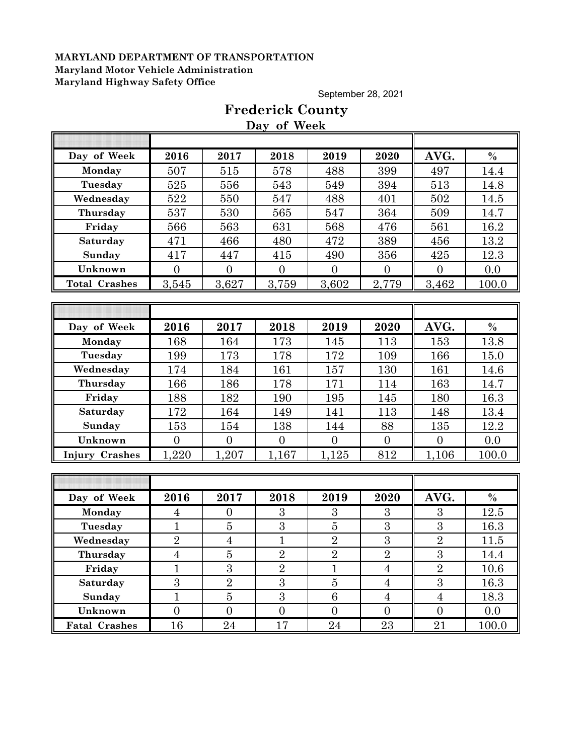September 28, 2021

|                       |                |                  | Day of Week    |                  |                  |                  |               |
|-----------------------|----------------|------------------|----------------|------------------|------------------|------------------|---------------|
| Day of Week           | 2016           | 2017             | 2018           | 2019             | 2020             | AVG.             | $\%$          |
| Monday                | 507            | 515              | 578            | 488              | 399              | 497              | 14.4          |
| Tuesday               | 525            | 556              | 543            | 549              | 394              | 513              | 14.8          |
| Wednesday             | 522            | 550              | 547            | 488              | 401              | 502              | 14.5          |
| Thursday              | 537            | 530              | 565            | 547              | 364              | 509              | 14.7          |
| Friday                | 566            | 563              | 631            | 568              | 476              | 561              | 16.2          |
| Saturday              | 471            | 466              | 480            | 472              | 389              | 456              | 13.2          |
| Sunday                | 417            | 447              | 415            | 490              | 356              | 425              | 12.3          |
| Unknown               | $\overline{0}$ | $\overline{0}$   | $\overline{0}$ | $\overline{0}$   | $\overline{0}$   | $\theta$         | 0.0           |
| <b>Total Crashes</b>  | 3,545          | 3,627            | 3,759          | 3,602            | 2,779            | 3,462            | 100.0         |
|                       |                |                  |                |                  |                  |                  |               |
|                       |                |                  |                |                  |                  |                  |               |
| Day of Week           | 2016           | 2017             | 2018           | 2019             | 2020             | AVG.             | $\frac{0}{0}$ |
| Monday                | 168            | 164              | 173            | 145              | 113              | 153              | 13.8          |
| Tuesday               | 199            | 173              | 178            | 172              | 109              | 166              | 15.0          |
| Wednesday             | 174            | 184              | 161            | 157              | 130              | 161              | 14.6          |
| Thursday              | 166            | 186              | 178            | 171              | 114              | 163              | 14.7          |
| Friday                | 188            | 182              | 190            | 195              | 145              | 180              | 16.3          |
| Saturday              | 172            | 164              | 149            | 141              | 113              | 148              | 13.4          |
| Sunday                | 153            | 154              | 138            | 144              | 88               | 135              | 12.2          |
| Unknown               | $\overline{0}$ | $\overline{0}$   | $\mathbf{0}$   | $\overline{0}$   | $\overline{0}$   | $\overline{0}$   | 0.0           |
| <b>Injury Crashes</b> | 1,220          | 1,207            | 1,167          | 1,125            | 812              | 1,106            | 100.0         |
|                       |                |                  |                |                  |                  |                  |               |
|                       |                |                  |                |                  |                  |                  |               |
| Day of Week           | 2016           | 2017             | 2018           | 2019             | 2020             | AVG.             | $\%$          |
| Monday                | $\overline{4}$ | $\overline{0}$   | 3              | 3                | 3                | 3                | 12.5          |
| Tuesday               | $\mathbf 1$    | $\bf 5$          | 3              | $\overline{5}$   | 3                | 3                | 16.3          |
| Wednesday             | $\sqrt{2}$     | $\overline{4}$   | $\mathbf{1}$   | $\overline{2}$   | $\boldsymbol{3}$ | $\sqrt{2}$       | 11.5          |
| Thursday              | 4              | $\overline{5}$   | $\overline{2}$ | $\overline{2}$   | $\overline{2}$   | $\overline{3}$   | $14.4\,$      |
| Friday                | $\mathbf{1}$   | 3                | $\overline{2}$ | $\mathbf{1}$     | $\overline{4}$   | $\overline{2}$   | 10.6          |
| Saturday              | $\overline{3}$ | $\overline{2}$   | $\overline{3}$ | $\bf 5$          | $\overline{4}$   | $\overline{3}$   | 16.3          |
| Sunday                | $\mathbf{1}$   | $\overline{5}$   | 3              | 6                | $\overline{4}$   | $\overline{4}$   | 18.3          |
| Unknown               | $\overline{0}$ | $\boldsymbol{0}$ | $\mathbf{0}$   | $\boldsymbol{0}$ | $\boldsymbol{0}$ | $\boldsymbol{0}$ | 0.0           |
| <b>Fatal Crashes</b>  | 16             | 24               | 17             | $\bf{24}$        | 23               | 21               | 100.0         |

## **Frederick County Day of Week**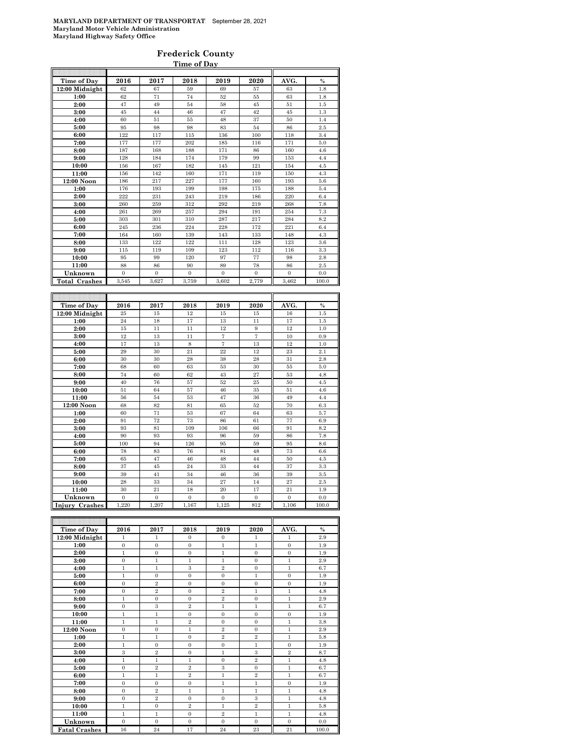#### **Frederick County Time of Day**

| 2016<br>2017<br>2018<br>2019<br>2020<br>AVG.<br>Time of Day<br>$\frac{0}{0}$<br>12:00 Midnight<br>67<br>57<br>1.8<br>62<br>59<br>69<br>63<br>62<br>71<br>74<br>$52\,$<br>55<br>63<br>1.8<br>1:00<br>2:00<br>47<br>49<br>54<br>58<br>45<br>51<br>1.5<br>3:00<br>45<br>44<br>46<br>47<br>42<br>45<br>1.3<br>37<br>60<br>51<br>55<br>48<br>50<br>1.4<br>4:00<br>5:00<br>95<br>98<br>98<br>83<br>54<br>86<br>2.5<br>122<br>117<br>6:00<br>115<br>136<br>100<br>118<br>3.4<br>177<br>177<br>202<br>185<br>116<br>171<br>5.0<br>7:00<br>187<br>168<br>188<br>86<br>160<br>8:00<br>171<br>4.6<br>128<br>184<br>174<br>179<br>99<br>9:00<br>153<br>4.4<br>156<br>167<br>145<br>121<br>154<br>10:00<br>182<br>4.5<br>156<br>142<br>160<br>171<br>119<br>150<br>11:00<br>4.3<br>217<br>177<br>12:00 Noon<br>186<br>227<br>160<br>193<br>$5.6\,$<br>176<br>193<br>199<br>198<br>175<br>188<br>5.4<br>1:00<br>2:00<br>222<br>231<br>243<br>219<br>186<br>220<br>6.4<br>259<br>219<br>7.8<br>260<br>312<br>292<br>268<br>3:00<br>4:00<br>261<br>269<br>257<br>294<br>191<br>254<br>7.3<br>5:00<br>303<br>301<br>310<br>287<br>217<br>284<br>8.2<br>172<br>236<br>224<br>228<br>221<br>6.4<br>6:00<br>245<br>164<br>160<br>133<br>4.3<br>7:00<br>139<br>143<br>148<br>8:00<br>133<br>122<br>122<br>111<br>128<br>123<br>3.6<br>9:00<br>119<br>109<br>123<br>112<br>3.3<br>115<br>116<br>77<br>10:00<br>95<br>99<br>120<br>97<br>98<br>2.8<br>11:00<br>88<br>86<br>90<br>89<br>78<br>86<br>$2.5\,$<br>Unknown<br>$\overline{0}$<br>$\boldsymbol{0}$<br>$\overline{0}$<br>$\overline{0}$<br>$\overline{0}$<br>$\overline{0}$<br>0.0<br>3,545<br>3,627<br>3,759<br>3,602<br>2,779<br><b>Total Crashes</b><br>3,462<br>100.0<br>Time of Day<br>2016<br>2017<br>2018<br>2019<br>2020<br>AVG.<br>$\frac{0}{0}$<br>12:00 Midnight<br>25<br>15<br>12<br>15<br>1.5<br>15<br>16<br>24<br>18<br>17<br>13<br>11<br>17<br>1.5<br>1:00<br>2:00<br>15<br>11<br>11<br>12<br>9<br>12<br>1.0<br>12<br>$\overline{7}$<br>$\scriptstyle{7}$<br>10<br>13<br>11<br>0.9<br>3:00<br>4:00<br>17<br>13<br>8<br>$\scriptstyle{7}$<br>13<br>12<br>1.0<br>21<br>22<br>12<br>5:00<br>29<br>30<br>23<br>2.1<br>30<br>28<br>28<br>2.8<br>6:00<br>30<br>38<br>31<br>68<br>60<br>63<br>53<br>30<br>55<br>5.0<br>7:00<br>74<br>60<br>62<br>43<br>27<br>53<br>4.8<br>8:00<br>9:00<br>40<br>76<br>57<br>52<br>25<br>50<br>4.5<br>10:00<br>51<br>64<br>57<br>46<br>35<br>51<br>4.6<br>11:00<br>56<br>54<br>53<br>47<br>36<br>49<br>4.4<br>12:00 Noon<br>68<br>82<br>81<br>65<br>52<br>70<br>6.3<br>1:00<br>60<br>71<br>53<br>67<br>64<br>63<br>5.7<br>91<br>72<br>73<br>86<br>61<br>77<br>6.9<br>2:00<br>3:00<br>66<br>93<br>81<br>109<br>106<br>91<br>8.2<br>86<br>7.8<br>4:00<br>90<br>93<br>93<br>96<br>59<br>100<br>94<br>126<br>95<br>59<br>95<br>8.6<br>5:00<br>6:00<br>78<br>83<br>76<br>81<br>48<br>73<br>6.6<br>47<br>44<br>50<br>7:00<br>65<br>46<br>48<br>4.5<br>37<br>45<br>24<br>33<br>44<br>37<br>3.3<br>8:00<br>9:00<br>39<br>41<br>34<br>46<br>36<br>39<br>3.5<br>28<br>27<br>27<br>2.5<br>10:00<br>33<br>34<br>14<br>11:00<br>30<br>21<br>18<br>20<br>17<br>21<br>1.9<br>Unknown<br>$\boldsymbol{0}$<br>$\boldsymbol{0}$<br>$\boldsymbol{0}$<br>$\boldsymbol{0}$<br>$\boldsymbol{0}$<br>$\boldsymbol{0}$<br>0.0<br>1,220<br>1,207<br>1,125<br>812<br>Injury Crashes<br>1,167<br>1,106<br>100.0<br>2016<br>Time of Day<br>2017<br>2018<br>2019<br>2020<br>AVG.<br>$\%$<br>12:00 Midnight<br>$\mathbf{1}$<br>$\bf{0}$<br>$\mathbf{0}$<br>2.9<br>1<br>1<br>$\mathbf{1}$<br>1:00<br>$\overline{0}$<br>$\mathbf{0}$<br>$\mathbf{0}$<br>$\mathbf{1}$<br>$\mathbf 1$<br>$\boldsymbol{0}$<br>1.9<br>$\overline{0}$<br>2:00<br>$\mathbf{1}$<br>$\bf{0}$<br>$\mathbf{1}$<br>$\boldsymbol{0}$<br>$\boldsymbol{0}$<br>1.9<br>3.00<br>$\Omega$<br>$\Omega$<br>9Q<br>Ĩ.<br>Ĩ.<br>ı<br>1 |  |  |  |  |
|----------------------------------------------------------------------------------------------------------------------------------------------------------------------------------------------------------------------------------------------------------------------------------------------------------------------------------------------------------------------------------------------------------------------------------------------------------------------------------------------------------------------------------------------------------------------------------------------------------------------------------------------------------------------------------------------------------------------------------------------------------------------------------------------------------------------------------------------------------------------------------------------------------------------------------------------------------------------------------------------------------------------------------------------------------------------------------------------------------------------------------------------------------------------------------------------------------------------------------------------------------------------------------------------------------------------------------------------------------------------------------------------------------------------------------------------------------------------------------------------------------------------------------------------------------------------------------------------------------------------------------------------------------------------------------------------------------------------------------------------------------------------------------------------------------------------------------------------------------------------------------------------------------------------------------------------------------------------------------------------------------------------------------------------------------------------------------------------------------------------------------------------------------------------------------------------------------------------------------------------------------------------------------------------------------------------------------------------------------------------------------------------------------------------------------------------------------------------------------------------------------------------------------------------------------------------------------------------------------------------------------------------------------------------------------------------------------------------------------------------------------------------------------------------------------------------------------------------------------------------------------------------------------------------------------------------------------------------------------------------------------------------------------------------------------------------------------------------------------------------------------------------------------------------------------------------------------------------------------------------------------------------------------------------------------------------------------------------------------------------------------------------------------------------------------------------------------------------------------------------------------------------------------------------------------------------------------------------------------------------------------------------------------------------------------------------------------------------------------------------------------------------------------------------------------------------------------------|--|--|--|--|
|                                                                                                                                                                                                                                                                                                                                                                                                                                                                                                                                                                                                                                                                                                                                                                                                                                                                                                                                                                                                                                                                                                                                                                                                                                                                                                                                                                                                                                                                                                                                                                                                                                                                                                                                                                                                                                                                                                                                                                                                                                                                                                                                                                                                                                                                                                                                                                                                                                                                                                                                                                                                                                                                                                                                                                                                                                                                                                                                                                                                                                                                                                                                                                                                                                                                                                                                                                                                                                                                                                                                                                                                                                                                                                                                                                                                                                        |  |  |  |  |
|                                                                                                                                                                                                                                                                                                                                                                                                                                                                                                                                                                                                                                                                                                                                                                                                                                                                                                                                                                                                                                                                                                                                                                                                                                                                                                                                                                                                                                                                                                                                                                                                                                                                                                                                                                                                                                                                                                                                                                                                                                                                                                                                                                                                                                                                                                                                                                                                                                                                                                                                                                                                                                                                                                                                                                                                                                                                                                                                                                                                                                                                                                                                                                                                                                                                                                                                                                                                                                                                                                                                                                                                                                                                                                                                                                                                                                        |  |  |  |  |
|                                                                                                                                                                                                                                                                                                                                                                                                                                                                                                                                                                                                                                                                                                                                                                                                                                                                                                                                                                                                                                                                                                                                                                                                                                                                                                                                                                                                                                                                                                                                                                                                                                                                                                                                                                                                                                                                                                                                                                                                                                                                                                                                                                                                                                                                                                                                                                                                                                                                                                                                                                                                                                                                                                                                                                                                                                                                                                                                                                                                                                                                                                                                                                                                                                                                                                                                                                                                                                                                                                                                                                                                                                                                                                                                                                                                                                        |  |  |  |  |
|                                                                                                                                                                                                                                                                                                                                                                                                                                                                                                                                                                                                                                                                                                                                                                                                                                                                                                                                                                                                                                                                                                                                                                                                                                                                                                                                                                                                                                                                                                                                                                                                                                                                                                                                                                                                                                                                                                                                                                                                                                                                                                                                                                                                                                                                                                                                                                                                                                                                                                                                                                                                                                                                                                                                                                                                                                                                                                                                                                                                                                                                                                                                                                                                                                                                                                                                                                                                                                                                                                                                                                                                                                                                                                                                                                                                                                        |  |  |  |  |
|                                                                                                                                                                                                                                                                                                                                                                                                                                                                                                                                                                                                                                                                                                                                                                                                                                                                                                                                                                                                                                                                                                                                                                                                                                                                                                                                                                                                                                                                                                                                                                                                                                                                                                                                                                                                                                                                                                                                                                                                                                                                                                                                                                                                                                                                                                                                                                                                                                                                                                                                                                                                                                                                                                                                                                                                                                                                                                                                                                                                                                                                                                                                                                                                                                                                                                                                                                                                                                                                                                                                                                                                                                                                                                                                                                                                                                        |  |  |  |  |
|                                                                                                                                                                                                                                                                                                                                                                                                                                                                                                                                                                                                                                                                                                                                                                                                                                                                                                                                                                                                                                                                                                                                                                                                                                                                                                                                                                                                                                                                                                                                                                                                                                                                                                                                                                                                                                                                                                                                                                                                                                                                                                                                                                                                                                                                                                                                                                                                                                                                                                                                                                                                                                                                                                                                                                                                                                                                                                                                                                                                                                                                                                                                                                                                                                                                                                                                                                                                                                                                                                                                                                                                                                                                                                                                                                                                                                        |  |  |  |  |
|                                                                                                                                                                                                                                                                                                                                                                                                                                                                                                                                                                                                                                                                                                                                                                                                                                                                                                                                                                                                                                                                                                                                                                                                                                                                                                                                                                                                                                                                                                                                                                                                                                                                                                                                                                                                                                                                                                                                                                                                                                                                                                                                                                                                                                                                                                                                                                                                                                                                                                                                                                                                                                                                                                                                                                                                                                                                                                                                                                                                                                                                                                                                                                                                                                                                                                                                                                                                                                                                                                                                                                                                                                                                                                                                                                                                                                        |  |  |  |  |
|                                                                                                                                                                                                                                                                                                                                                                                                                                                                                                                                                                                                                                                                                                                                                                                                                                                                                                                                                                                                                                                                                                                                                                                                                                                                                                                                                                                                                                                                                                                                                                                                                                                                                                                                                                                                                                                                                                                                                                                                                                                                                                                                                                                                                                                                                                                                                                                                                                                                                                                                                                                                                                                                                                                                                                                                                                                                                                                                                                                                                                                                                                                                                                                                                                                                                                                                                                                                                                                                                                                                                                                                                                                                                                                                                                                                                                        |  |  |  |  |
|                                                                                                                                                                                                                                                                                                                                                                                                                                                                                                                                                                                                                                                                                                                                                                                                                                                                                                                                                                                                                                                                                                                                                                                                                                                                                                                                                                                                                                                                                                                                                                                                                                                                                                                                                                                                                                                                                                                                                                                                                                                                                                                                                                                                                                                                                                                                                                                                                                                                                                                                                                                                                                                                                                                                                                                                                                                                                                                                                                                                                                                                                                                                                                                                                                                                                                                                                                                                                                                                                                                                                                                                                                                                                                                                                                                                                                        |  |  |  |  |
|                                                                                                                                                                                                                                                                                                                                                                                                                                                                                                                                                                                                                                                                                                                                                                                                                                                                                                                                                                                                                                                                                                                                                                                                                                                                                                                                                                                                                                                                                                                                                                                                                                                                                                                                                                                                                                                                                                                                                                                                                                                                                                                                                                                                                                                                                                                                                                                                                                                                                                                                                                                                                                                                                                                                                                                                                                                                                                                                                                                                                                                                                                                                                                                                                                                                                                                                                                                                                                                                                                                                                                                                                                                                                                                                                                                                                                        |  |  |  |  |
|                                                                                                                                                                                                                                                                                                                                                                                                                                                                                                                                                                                                                                                                                                                                                                                                                                                                                                                                                                                                                                                                                                                                                                                                                                                                                                                                                                                                                                                                                                                                                                                                                                                                                                                                                                                                                                                                                                                                                                                                                                                                                                                                                                                                                                                                                                                                                                                                                                                                                                                                                                                                                                                                                                                                                                                                                                                                                                                                                                                                                                                                                                                                                                                                                                                                                                                                                                                                                                                                                                                                                                                                                                                                                                                                                                                                                                        |  |  |  |  |
|                                                                                                                                                                                                                                                                                                                                                                                                                                                                                                                                                                                                                                                                                                                                                                                                                                                                                                                                                                                                                                                                                                                                                                                                                                                                                                                                                                                                                                                                                                                                                                                                                                                                                                                                                                                                                                                                                                                                                                                                                                                                                                                                                                                                                                                                                                                                                                                                                                                                                                                                                                                                                                                                                                                                                                                                                                                                                                                                                                                                                                                                                                                                                                                                                                                                                                                                                                                                                                                                                                                                                                                                                                                                                                                                                                                                                                        |  |  |  |  |
|                                                                                                                                                                                                                                                                                                                                                                                                                                                                                                                                                                                                                                                                                                                                                                                                                                                                                                                                                                                                                                                                                                                                                                                                                                                                                                                                                                                                                                                                                                                                                                                                                                                                                                                                                                                                                                                                                                                                                                                                                                                                                                                                                                                                                                                                                                                                                                                                                                                                                                                                                                                                                                                                                                                                                                                                                                                                                                                                                                                                                                                                                                                                                                                                                                                                                                                                                                                                                                                                                                                                                                                                                                                                                                                                                                                                                                        |  |  |  |  |
|                                                                                                                                                                                                                                                                                                                                                                                                                                                                                                                                                                                                                                                                                                                                                                                                                                                                                                                                                                                                                                                                                                                                                                                                                                                                                                                                                                                                                                                                                                                                                                                                                                                                                                                                                                                                                                                                                                                                                                                                                                                                                                                                                                                                                                                                                                                                                                                                                                                                                                                                                                                                                                                                                                                                                                                                                                                                                                                                                                                                                                                                                                                                                                                                                                                                                                                                                                                                                                                                                                                                                                                                                                                                                                                                                                                                                                        |  |  |  |  |
|                                                                                                                                                                                                                                                                                                                                                                                                                                                                                                                                                                                                                                                                                                                                                                                                                                                                                                                                                                                                                                                                                                                                                                                                                                                                                                                                                                                                                                                                                                                                                                                                                                                                                                                                                                                                                                                                                                                                                                                                                                                                                                                                                                                                                                                                                                                                                                                                                                                                                                                                                                                                                                                                                                                                                                                                                                                                                                                                                                                                                                                                                                                                                                                                                                                                                                                                                                                                                                                                                                                                                                                                                                                                                                                                                                                                                                        |  |  |  |  |
|                                                                                                                                                                                                                                                                                                                                                                                                                                                                                                                                                                                                                                                                                                                                                                                                                                                                                                                                                                                                                                                                                                                                                                                                                                                                                                                                                                                                                                                                                                                                                                                                                                                                                                                                                                                                                                                                                                                                                                                                                                                                                                                                                                                                                                                                                                                                                                                                                                                                                                                                                                                                                                                                                                                                                                                                                                                                                                                                                                                                                                                                                                                                                                                                                                                                                                                                                                                                                                                                                                                                                                                                                                                                                                                                                                                                                                        |  |  |  |  |
|                                                                                                                                                                                                                                                                                                                                                                                                                                                                                                                                                                                                                                                                                                                                                                                                                                                                                                                                                                                                                                                                                                                                                                                                                                                                                                                                                                                                                                                                                                                                                                                                                                                                                                                                                                                                                                                                                                                                                                                                                                                                                                                                                                                                                                                                                                                                                                                                                                                                                                                                                                                                                                                                                                                                                                                                                                                                                                                                                                                                                                                                                                                                                                                                                                                                                                                                                                                                                                                                                                                                                                                                                                                                                                                                                                                                                                        |  |  |  |  |
|                                                                                                                                                                                                                                                                                                                                                                                                                                                                                                                                                                                                                                                                                                                                                                                                                                                                                                                                                                                                                                                                                                                                                                                                                                                                                                                                                                                                                                                                                                                                                                                                                                                                                                                                                                                                                                                                                                                                                                                                                                                                                                                                                                                                                                                                                                                                                                                                                                                                                                                                                                                                                                                                                                                                                                                                                                                                                                                                                                                                                                                                                                                                                                                                                                                                                                                                                                                                                                                                                                                                                                                                                                                                                                                                                                                                                                        |  |  |  |  |
|                                                                                                                                                                                                                                                                                                                                                                                                                                                                                                                                                                                                                                                                                                                                                                                                                                                                                                                                                                                                                                                                                                                                                                                                                                                                                                                                                                                                                                                                                                                                                                                                                                                                                                                                                                                                                                                                                                                                                                                                                                                                                                                                                                                                                                                                                                                                                                                                                                                                                                                                                                                                                                                                                                                                                                                                                                                                                                                                                                                                                                                                                                                                                                                                                                                                                                                                                                                                                                                                                                                                                                                                                                                                                                                                                                                                                                        |  |  |  |  |
|                                                                                                                                                                                                                                                                                                                                                                                                                                                                                                                                                                                                                                                                                                                                                                                                                                                                                                                                                                                                                                                                                                                                                                                                                                                                                                                                                                                                                                                                                                                                                                                                                                                                                                                                                                                                                                                                                                                                                                                                                                                                                                                                                                                                                                                                                                                                                                                                                                                                                                                                                                                                                                                                                                                                                                                                                                                                                                                                                                                                                                                                                                                                                                                                                                                                                                                                                                                                                                                                                                                                                                                                                                                                                                                                                                                                                                        |  |  |  |  |
|                                                                                                                                                                                                                                                                                                                                                                                                                                                                                                                                                                                                                                                                                                                                                                                                                                                                                                                                                                                                                                                                                                                                                                                                                                                                                                                                                                                                                                                                                                                                                                                                                                                                                                                                                                                                                                                                                                                                                                                                                                                                                                                                                                                                                                                                                                                                                                                                                                                                                                                                                                                                                                                                                                                                                                                                                                                                                                                                                                                                                                                                                                                                                                                                                                                                                                                                                                                                                                                                                                                                                                                                                                                                                                                                                                                                                                        |  |  |  |  |
|                                                                                                                                                                                                                                                                                                                                                                                                                                                                                                                                                                                                                                                                                                                                                                                                                                                                                                                                                                                                                                                                                                                                                                                                                                                                                                                                                                                                                                                                                                                                                                                                                                                                                                                                                                                                                                                                                                                                                                                                                                                                                                                                                                                                                                                                                                                                                                                                                                                                                                                                                                                                                                                                                                                                                                                                                                                                                                                                                                                                                                                                                                                                                                                                                                                                                                                                                                                                                                                                                                                                                                                                                                                                                                                                                                                                                                        |  |  |  |  |
|                                                                                                                                                                                                                                                                                                                                                                                                                                                                                                                                                                                                                                                                                                                                                                                                                                                                                                                                                                                                                                                                                                                                                                                                                                                                                                                                                                                                                                                                                                                                                                                                                                                                                                                                                                                                                                                                                                                                                                                                                                                                                                                                                                                                                                                                                                                                                                                                                                                                                                                                                                                                                                                                                                                                                                                                                                                                                                                                                                                                                                                                                                                                                                                                                                                                                                                                                                                                                                                                                                                                                                                                                                                                                                                                                                                                                                        |  |  |  |  |
|                                                                                                                                                                                                                                                                                                                                                                                                                                                                                                                                                                                                                                                                                                                                                                                                                                                                                                                                                                                                                                                                                                                                                                                                                                                                                                                                                                                                                                                                                                                                                                                                                                                                                                                                                                                                                                                                                                                                                                                                                                                                                                                                                                                                                                                                                                                                                                                                                                                                                                                                                                                                                                                                                                                                                                                                                                                                                                                                                                                                                                                                                                                                                                                                                                                                                                                                                                                                                                                                                                                                                                                                                                                                                                                                                                                                                                        |  |  |  |  |
|                                                                                                                                                                                                                                                                                                                                                                                                                                                                                                                                                                                                                                                                                                                                                                                                                                                                                                                                                                                                                                                                                                                                                                                                                                                                                                                                                                                                                                                                                                                                                                                                                                                                                                                                                                                                                                                                                                                                                                                                                                                                                                                                                                                                                                                                                                                                                                                                                                                                                                                                                                                                                                                                                                                                                                                                                                                                                                                                                                                                                                                                                                                                                                                                                                                                                                                                                                                                                                                                                                                                                                                                                                                                                                                                                                                                                                        |  |  |  |  |
|                                                                                                                                                                                                                                                                                                                                                                                                                                                                                                                                                                                                                                                                                                                                                                                                                                                                                                                                                                                                                                                                                                                                                                                                                                                                                                                                                                                                                                                                                                                                                                                                                                                                                                                                                                                                                                                                                                                                                                                                                                                                                                                                                                                                                                                                                                                                                                                                                                                                                                                                                                                                                                                                                                                                                                                                                                                                                                                                                                                                                                                                                                                                                                                                                                                                                                                                                                                                                                                                                                                                                                                                                                                                                                                                                                                                                                        |  |  |  |  |
|                                                                                                                                                                                                                                                                                                                                                                                                                                                                                                                                                                                                                                                                                                                                                                                                                                                                                                                                                                                                                                                                                                                                                                                                                                                                                                                                                                                                                                                                                                                                                                                                                                                                                                                                                                                                                                                                                                                                                                                                                                                                                                                                                                                                                                                                                                                                                                                                                                                                                                                                                                                                                                                                                                                                                                                                                                                                                                                                                                                                                                                                                                                                                                                                                                                                                                                                                                                                                                                                                                                                                                                                                                                                                                                                                                                                                                        |  |  |  |  |
|                                                                                                                                                                                                                                                                                                                                                                                                                                                                                                                                                                                                                                                                                                                                                                                                                                                                                                                                                                                                                                                                                                                                                                                                                                                                                                                                                                                                                                                                                                                                                                                                                                                                                                                                                                                                                                                                                                                                                                                                                                                                                                                                                                                                                                                                                                                                                                                                                                                                                                                                                                                                                                                                                                                                                                                                                                                                                                                                                                                                                                                                                                                                                                                                                                                                                                                                                                                                                                                                                                                                                                                                                                                                                                                                                                                                                                        |  |  |  |  |
|                                                                                                                                                                                                                                                                                                                                                                                                                                                                                                                                                                                                                                                                                                                                                                                                                                                                                                                                                                                                                                                                                                                                                                                                                                                                                                                                                                                                                                                                                                                                                                                                                                                                                                                                                                                                                                                                                                                                                                                                                                                                                                                                                                                                                                                                                                                                                                                                                                                                                                                                                                                                                                                                                                                                                                                                                                                                                                                                                                                                                                                                                                                                                                                                                                                                                                                                                                                                                                                                                                                                                                                                                                                                                                                                                                                                                                        |  |  |  |  |
|                                                                                                                                                                                                                                                                                                                                                                                                                                                                                                                                                                                                                                                                                                                                                                                                                                                                                                                                                                                                                                                                                                                                                                                                                                                                                                                                                                                                                                                                                                                                                                                                                                                                                                                                                                                                                                                                                                                                                                                                                                                                                                                                                                                                                                                                                                                                                                                                                                                                                                                                                                                                                                                                                                                                                                                                                                                                                                                                                                                                                                                                                                                                                                                                                                                                                                                                                                                                                                                                                                                                                                                                                                                                                                                                                                                                                                        |  |  |  |  |
|                                                                                                                                                                                                                                                                                                                                                                                                                                                                                                                                                                                                                                                                                                                                                                                                                                                                                                                                                                                                                                                                                                                                                                                                                                                                                                                                                                                                                                                                                                                                                                                                                                                                                                                                                                                                                                                                                                                                                                                                                                                                                                                                                                                                                                                                                                                                                                                                                                                                                                                                                                                                                                                                                                                                                                                                                                                                                                                                                                                                                                                                                                                                                                                                                                                                                                                                                                                                                                                                                                                                                                                                                                                                                                                                                                                                                                        |  |  |  |  |
|                                                                                                                                                                                                                                                                                                                                                                                                                                                                                                                                                                                                                                                                                                                                                                                                                                                                                                                                                                                                                                                                                                                                                                                                                                                                                                                                                                                                                                                                                                                                                                                                                                                                                                                                                                                                                                                                                                                                                                                                                                                                                                                                                                                                                                                                                                                                                                                                                                                                                                                                                                                                                                                                                                                                                                                                                                                                                                                                                                                                                                                                                                                                                                                                                                                                                                                                                                                                                                                                                                                                                                                                                                                                                                                                                                                                                                        |  |  |  |  |
|                                                                                                                                                                                                                                                                                                                                                                                                                                                                                                                                                                                                                                                                                                                                                                                                                                                                                                                                                                                                                                                                                                                                                                                                                                                                                                                                                                                                                                                                                                                                                                                                                                                                                                                                                                                                                                                                                                                                                                                                                                                                                                                                                                                                                                                                                                                                                                                                                                                                                                                                                                                                                                                                                                                                                                                                                                                                                                                                                                                                                                                                                                                                                                                                                                                                                                                                                                                                                                                                                                                                                                                                                                                                                                                                                                                                                                        |  |  |  |  |
|                                                                                                                                                                                                                                                                                                                                                                                                                                                                                                                                                                                                                                                                                                                                                                                                                                                                                                                                                                                                                                                                                                                                                                                                                                                                                                                                                                                                                                                                                                                                                                                                                                                                                                                                                                                                                                                                                                                                                                                                                                                                                                                                                                                                                                                                                                                                                                                                                                                                                                                                                                                                                                                                                                                                                                                                                                                                                                                                                                                                                                                                                                                                                                                                                                                                                                                                                                                                                                                                                                                                                                                                                                                                                                                                                                                                                                        |  |  |  |  |
|                                                                                                                                                                                                                                                                                                                                                                                                                                                                                                                                                                                                                                                                                                                                                                                                                                                                                                                                                                                                                                                                                                                                                                                                                                                                                                                                                                                                                                                                                                                                                                                                                                                                                                                                                                                                                                                                                                                                                                                                                                                                                                                                                                                                                                                                                                                                                                                                                                                                                                                                                                                                                                                                                                                                                                                                                                                                                                                                                                                                                                                                                                                                                                                                                                                                                                                                                                                                                                                                                                                                                                                                                                                                                                                                                                                                                                        |  |  |  |  |
|                                                                                                                                                                                                                                                                                                                                                                                                                                                                                                                                                                                                                                                                                                                                                                                                                                                                                                                                                                                                                                                                                                                                                                                                                                                                                                                                                                                                                                                                                                                                                                                                                                                                                                                                                                                                                                                                                                                                                                                                                                                                                                                                                                                                                                                                                                                                                                                                                                                                                                                                                                                                                                                                                                                                                                                                                                                                                                                                                                                                                                                                                                                                                                                                                                                                                                                                                                                                                                                                                                                                                                                                                                                                                                                                                                                                                                        |  |  |  |  |
|                                                                                                                                                                                                                                                                                                                                                                                                                                                                                                                                                                                                                                                                                                                                                                                                                                                                                                                                                                                                                                                                                                                                                                                                                                                                                                                                                                                                                                                                                                                                                                                                                                                                                                                                                                                                                                                                                                                                                                                                                                                                                                                                                                                                                                                                                                                                                                                                                                                                                                                                                                                                                                                                                                                                                                                                                                                                                                                                                                                                                                                                                                                                                                                                                                                                                                                                                                                                                                                                                                                                                                                                                                                                                                                                                                                                                                        |  |  |  |  |
|                                                                                                                                                                                                                                                                                                                                                                                                                                                                                                                                                                                                                                                                                                                                                                                                                                                                                                                                                                                                                                                                                                                                                                                                                                                                                                                                                                                                                                                                                                                                                                                                                                                                                                                                                                                                                                                                                                                                                                                                                                                                                                                                                                                                                                                                                                                                                                                                                                                                                                                                                                                                                                                                                                                                                                                                                                                                                                                                                                                                                                                                                                                                                                                                                                                                                                                                                                                                                                                                                                                                                                                                                                                                                                                                                                                                                                        |  |  |  |  |
|                                                                                                                                                                                                                                                                                                                                                                                                                                                                                                                                                                                                                                                                                                                                                                                                                                                                                                                                                                                                                                                                                                                                                                                                                                                                                                                                                                                                                                                                                                                                                                                                                                                                                                                                                                                                                                                                                                                                                                                                                                                                                                                                                                                                                                                                                                                                                                                                                                                                                                                                                                                                                                                                                                                                                                                                                                                                                                                                                                                                                                                                                                                                                                                                                                                                                                                                                                                                                                                                                                                                                                                                                                                                                                                                                                                                                                        |  |  |  |  |
|                                                                                                                                                                                                                                                                                                                                                                                                                                                                                                                                                                                                                                                                                                                                                                                                                                                                                                                                                                                                                                                                                                                                                                                                                                                                                                                                                                                                                                                                                                                                                                                                                                                                                                                                                                                                                                                                                                                                                                                                                                                                                                                                                                                                                                                                                                                                                                                                                                                                                                                                                                                                                                                                                                                                                                                                                                                                                                                                                                                                                                                                                                                                                                                                                                                                                                                                                                                                                                                                                                                                                                                                                                                                                                                                                                                                                                        |  |  |  |  |
|                                                                                                                                                                                                                                                                                                                                                                                                                                                                                                                                                                                                                                                                                                                                                                                                                                                                                                                                                                                                                                                                                                                                                                                                                                                                                                                                                                                                                                                                                                                                                                                                                                                                                                                                                                                                                                                                                                                                                                                                                                                                                                                                                                                                                                                                                                                                                                                                                                                                                                                                                                                                                                                                                                                                                                                                                                                                                                                                                                                                                                                                                                                                                                                                                                                                                                                                                                                                                                                                                                                                                                                                                                                                                                                                                                                                                                        |  |  |  |  |
|                                                                                                                                                                                                                                                                                                                                                                                                                                                                                                                                                                                                                                                                                                                                                                                                                                                                                                                                                                                                                                                                                                                                                                                                                                                                                                                                                                                                                                                                                                                                                                                                                                                                                                                                                                                                                                                                                                                                                                                                                                                                                                                                                                                                                                                                                                                                                                                                                                                                                                                                                                                                                                                                                                                                                                                                                                                                                                                                                                                                                                                                                                                                                                                                                                                                                                                                                                                                                                                                                                                                                                                                                                                                                                                                                                                                                                        |  |  |  |  |
|                                                                                                                                                                                                                                                                                                                                                                                                                                                                                                                                                                                                                                                                                                                                                                                                                                                                                                                                                                                                                                                                                                                                                                                                                                                                                                                                                                                                                                                                                                                                                                                                                                                                                                                                                                                                                                                                                                                                                                                                                                                                                                                                                                                                                                                                                                                                                                                                                                                                                                                                                                                                                                                                                                                                                                                                                                                                                                                                                                                                                                                                                                                                                                                                                                                                                                                                                                                                                                                                                                                                                                                                                                                                                                                                                                                                                                        |  |  |  |  |
|                                                                                                                                                                                                                                                                                                                                                                                                                                                                                                                                                                                                                                                                                                                                                                                                                                                                                                                                                                                                                                                                                                                                                                                                                                                                                                                                                                                                                                                                                                                                                                                                                                                                                                                                                                                                                                                                                                                                                                                                                                                                                                                                                                                                                                                                                                                                                                                                                                                                                                                                                                                                                                                                                                                                                                                                                                                                                                                                                                                                                                                                                                                                                                                                                                                                                                                                                                                                                                                                                                                                                                                                                                                                                                                                                                                                                                        |  |  |  |  |
|                                                                                                                                                                                                                                                                                                                                                                                                                                                                                                                                                                                                                                                                                                                                                                                                                                                                                                                                                                                                                                                                                                                                                                                                                                                                                                                                                                                                                                                                                                                                                                                                                                                                                                                                                                                                                                                                                                                                                                                                                                                                                                                                                                                                                                                                                                                                                                                                                                                                                                                                                                                                                                                                                                                                                                                                                                                                                                                                                                                                                                                                                                                                                                                                                                                                                                                                                                                                                                                                                                                                                                                                                                                                                                                                                                                                                                        |  |  |  |  |
|                                                                                                                                                                                                                                                                                                                                                                                                                                                                                                                                                                                                                                                                                                                                                                                                                                                                                                                                                                                                                                                                                                                                                                                                                                                                                                                                                                                                                                                                                                                                                                                                                                                                                                                                                                                                                                                                                                                                                                                                                                                                                                                                                                                                                                                                                                                                                                                                                                                                                                                                                                                                                                                                                                                                                                                                                                                                                                                                                                                                                                                                                                                                                                                                                                                                                                                                                                                                                                                                                                                                                                                                                                                                                                                                                                                                                                        |  |  |  |  |
|                                                                                                                                                                                                                                                                                                                                                                                                                                                                                                                                                                                                                                                                                                                                                                                                                                                                                                                                                                                                                                                                                                                                                                                                                                                                                                                                                                                                                                                                                                                                                                                                                                                                                                                                                                                                                                                                                                                                                                                                                                                                                                                                                                                                                                                                                                                                                                                                                                                                                                                                                                                                                                                                                                                                                                                                                                                                                                                                                                                                                                                                                                                                                                                                                                                                                                                                                                                                                                                                                                                                                                                                                                                                                                                                                                                                                                        |  |  |  |  |
|                                                                                                                                                                                                                                                                                                                                                                                                                                                                                                                                                                                                                                                                                                                                                                                                                                                                                                                                                                                                                                                                                                                                                                                                                                                                                                                                                                                                                                                                                                                                                                                                                                                                                                                                                                                                                                                                                                                                                                                                                                                                                                                                                                                                                                                                                                                                                                                                                                                                                                                                                                                                                                                                                                                                                                                                                                                                                                                                                                                                                                                                                                                                                                                                                                                                                                                                                                                                                                                                                                                                                                                                                                                                                                                                                                                                                                        |  |  |  |  |
|                                                                                                                                                                                                                                                                                                                                                                                                                                                                                                                                                                                                                                                                                                                                                                                                                                                                                                                                                                                                                                                                                                                                                                                                                                                                                                                                                                                                                                                                                                                                                                                                                                                                                                                                                                                                                                                                                                                                                                                                                                                                                                                                                                                                                                                                                                                                                                                                                                                                                                                                                                                                                                                                                                                                                                                                                                                                                                                                                                                                                                                                                                                                                                                                                                                                                                                                                                                                                                                                                                                                                                                                                                                                                                                                                                                                                                        |  |  |  |  |
|                                                                                                                                                                                                                                                                                                                                                                                                                                                                                                                                                                                                                                                                                                                                                                                                                                                                                                                                                                                                                                                                                                                                                                                                                                                                                                                                                                                                                                                                                                                                                                                                                                                                                                                                                                                                                                                                                                                                                                                                                                                                                                                                                                                                                                                                                                                                                                                                                                                                                                                                                                                                                                                                                                                                                                                                                                                                                                                                                                                                                                                                                                                                                                                                                                                                                                                                                                                                                                                                                                                                                                                                                                                                                                                                                                                                                                        |  |  |  |  |
|                                                                                                                                                                                                                                                                                                                                                                                                                                                                                                                                                                                                                                                                                                                                                                                                                                                                                                                                                                                                                                                                                                                                                                                                                                                                                                                                                                                                                                                                                                                                                                                                                                                                                                                                                                                                                                                                                                                                                                                                                                                                                                                                                                                                                                                                                                                                                                                                                                                                                                                                                                                                                                                                                                                                                                                                                                                                                                                                                                                                                                                                                                                                                                                                                                                                                                                                                                                                                                                                                                                                                                                                                                                                                                                                                                                                                                        |  |  |  |  |
|                                                                                                                                                                                                                                                                                                                                                                                                                                                                                                                                                                                                                                                                                                                                                                                                                                                                                                                                                                                                                                                                                                                                                                                                                                                                                                                                                                                                                                                                                                                                                                                                                                                                                                                                                                                                                                                                                                                                                                                                                                                                                                                                                                                                                                                                                                                                                                                                                                                                                                                                                                                                                                                                                                                                                                                                                                                                                                                                                                                                                                                                                                                                                                                                                                                                                                                                                                                                                                                                                                                                                                                                                                                                                                                                                                                                                                        |  |  |  |  |
|                                                                                                                                                                                                                                                                                                                                                                                                                                                                                                                                                                                                                                                                                                                                                                                                                                                                                                                                                                                                                                                                                                                                                                                                                                                                                                                                                                                                                                                                                                                                                                                                                                                                                                                                                                                                                                                                                                                                                                                                                                                                                                                                                                                                                                                                                                                                                                                                                                                                                                                                                                                                                                                                                                                                                                                                                                                                                                                                                                                                                                                                                                                                                                                                                                                                                                                                                                                                                                                                                                                                                                                                                                                                                                                                                                                                                                        |  |  |  |  |
|                                                                                                                                                                                                                                                                                                                                                                                                                                                                                                                                                                                                                                                                                                                                                                                                                                                                                                                                                                                                                                                                                                                                                                                                                                                                                                                                                                                                                                                                                                                                                                                                                                                                                                                                                                                                                                                                                                                                                                                                                                                                                                                                                                                                                                                                                                                                                                                                                                                                                                                                                                                                                                                                                                                                                                                                                                                                                                                                                                                                                                                                                                                                                                                                                                                                                                                                                                                                                                                                                                                                                                                                                                                                                                                                                                                                                                        |  |  |  |  |
|                                                                                                                                                                                                                                                                                                                                                                                                                                                                                                                                                                                                                                                                                                                                                                                                                                                                                                                                                                                                                                                                                                                                                                                                                                                                                                                                                                                                                                                                                                                                                                                                                                                                                                                                                                                                                                                                                                                                                                                                                                                                                                                                                                                                                                                                                                                                                                                                                                                                                                                                                                                                                                                                                                                                                                                                                                                                                                                                                                                                                                                                                                                                                                                                                                                                                                                                                                                                                                                                                                                                                                                                                                                                                                                                                                                                                                        |  |  |  |  |
|                                                                                                                                                                                                                                                                                                                                                                                                                                                                                                                                                                                                                                                                                                                                                                                                                                                                                                                                                                                                                                                                                                                                                                                                                                                                                                                                                                                                                                                                                                                                                                                                                                                                                                                                                                                                                                                                                                                                                                                                                                                                                                                                                                                                                                                                                                                                                                                                                                                                                                                                                                                                                                                                                                                                                                                                                                                                                                                                                                                                                                                                                                                                                                                                                                                                                                                                                                                                                                                                                                                                                                                                                                                                                                                                                                                                                                        |  |  |  |  |
|                                                                                                                                                                                                                                                                                                                                                                                                                                                                                                                                                                                                                                                                                                                                                                                                                                                                                                                                                                                                                                                                                                                                                                                                                                                                                                                                                                                                                                                                                                                                                                                                                                                                                                                                                                                                                                                                                                                                                                                                                                                                                                                                                                                                                                                                                                                                                                                                                                                                                                                                                                                                                                                                                                                                                                                                                                                                                                                                                                                                                                                                                                                                                                                                                                                                                                                                                                                                                                                                                                                                                                                                                                                                                                                                                                                                                                        |  |  |  |  |
|                                                                                                                                                                                                                                                                                                                                                                                                                                                                                                                                                                                                                                                                                                                                                                                                                                                                                                                                                                                                                                                                                                                                                                                                                                                                                                                                                                                                                                                                                                                                                                                                                                                                                                                                                                                                                                                                                                                                                                                                                                                                                                                                                                                                                                                                                                                                                                                                                                                                                                                                                                                                                                                                                                                                                                                                                                                                                                                                                                                                                                                                                                                                                                                                                                                                                                                                                                                                                                                                                                                                                                                                                                                                                                                                                                                                                                        |  |  |  |  |
|                                                                                                                                                                                                                                                                                                                                                                                                                                                                                                                                                                                                                                                                                                                                                                                                                                                                                                                                                                                                                                                                                                                                                                                                                                                                                                                                                                                                                                                                                                                                                                                                                                                                                                                                                                                                                                                                                                                                                                                                                                                                                                                                                                                                                                                                                                                                                                                                                                                                                                                                                                                                                                                                                                                                                                                                                                                                                                                                                                                                                                                                                                                                                                                                                                                                                                                                                                                                                                                                                                                                                                                                                                                                                                                                                                                                                                        |  |  |  |  |
|                                                                                                                                                                                                                                                                                                                                                                                                                                                                                                                                                                                                                                                                                                                                                                                                                                                                                                                                                                                                                                                                                                                                                                                                                                                                                                                                                                                                                                                                                                                                                                                                                                                                                                                                                                                                                                                                                                                                                                                                                                                                                                                                                                                                                                                                                                                                                                                                                                                                                                                                                                                                                                                                                                                                                                                                                                                                                                                                                                                                                                                                                                                                                                                                                                                                                                                                                                                                                                                                                                                                                                                                                                                                                                                                                                                                                                        |  |  |  |  |
|                                                                                                                                                                                                                                                                                                                                                                                                                                                                                                                                                                                                                                                                                                                                                                                                                                                                                                                                                                                                                                                                                                                                                                                                                                                                                                                                                                                                                                                                                                                                                                                                                                                                                                                                                                                                                                                                                                                                                                                                                                                                                                                                                                                                                                                                                                                                                                                                                                                                                                                                                                                                                                                                                                                                                                                                                                                                                                                                                                                                                                                                                                                                                                                                                                                                                                                                                                                                                                                                                                                                                                                                                                                                                                                                                                                                                                        |  |  |  |  |
|                                                                                                                                                                                                                                                                                                                                                                                                                                                                                                                                                                                                                                                                                                                                                                                                                                                                                                                                                                                                                                                                                                                                                                                                                                                                                                                                                                                                                                                                                                                                                                                                                                                                                                                                                                                                                                                                                                                                                                                                                                                                                                                                                                                                                                                                                                                                                                                                                                                                                                                                                                                                                                                                                                                                                                                                                                                                                                                                                                                                                                                                                                                                                                                                                                                                                                                                                                                                                                                                                                                                                                                                                                                                                                                                                                                                                                        |  |  |  |  |
|                                                                                                                                                                                                                                                                                                                                                                                                                                                                                                                                                                                                                                                                                                                                                                                                                                                                                                                                                                                                                                                                                                                                                                                                                                                                                                                                                                                                                                                                                                                                                                                                                                                                                                                                                                                                                                                                                                                                                                                                                                                                                                                                                                                                                                                                                                                                                                                                                                                                                                                                                                                                                                                                                                                                                                                                                                                                                                                                                                                                                                                                                                                                                                                                                                                                                                                                                                                                                                                                                                                                                                                                                                                                                                                                                                                                                                        |  |  |  |  |

| 1:00                 | $\mathbf{0}$     | $\mathbf{0}$   | $\mathbf{0}$     | $\mathbf 1$    | 1              | $\mathbf{0}$   | 1.9     |
|----------------------|------------------|----------------|------------------|----------------|----------------|----------------|---------|
| 2:00                 | $\mathbf{1}$     | $\mathbf{0}$   | $\mathbf{0}$     | $\mathbf 1$    | $\mathbf{0}$   | $\mathbf{0}$   | 1.9     |
| 3:00                 | $\mathbf{0}$     | $\mathbf{1}$   | $\mathbf{1}$     | $\mathbf{1}$   | $\mathbf{0}$   | $\mathbf{1}$   | 2.9     |
| 4:00                 | $\mathbf{1}$     | $\mathbf{1}$   | $\boldsymbol{3}$ | $\overline{2}$ | $\mathbf{0}$   | $\mathbf 1$    | 6.7     |
| 5:00                 | $\mathbf{1}$     | $\overline{0}$ | $\mathbf{0}$     | $\mathbf{0}$   | $\mathbf{1}$   | $\mathbf{0}$   | 1.9     |
| 6:00                 | $\overline{0}$   | $\overline{2}$ | $\overline{0}$   | $\Omega$       | $\mathbf{0}$   | $\overline{0}$ | 1.9     |
| 7:00                 | $\mathbf{0}$     | $\overline{2}$ | $\mathbf{0}$     | $\overline{2}$ | 1              | 1              | 4.8     |
| 8:00                 | $\mathbf{1}$     | $\mathbf{0}$   | $\overline{0}$   | $\overline{2}$ | $\mathbf{0}$   | $\mathbf{1}$   | 2.9     |
| 9:00                 | $\overline{0}$   | 3              | $\overline{2}$   | $\mathbf{1}$   | $\mathbf{1}$   | $\mathbf{1}$   | 6.7     |
| 10:00                | $\mathbf{1}$     | $\mathbf{1}$   | $\mathbf{0}$     | $\mathbf{0}$   | $\mathbf{0}$   | $\overline{0}$ | 1.9     |
| 11:00                | $\mathbf{1}$     | $\mathbf{1}$   | $\overline{2}$   | $\Omega$       | $\mathbf{0}$   | $\mathbf{1}$   | $3.8\,$ |
| 12:00 Noon           | $\overline{0}$   | $\overline{0}$ | $\mathbf{1}$     | $\overline{2}$ | $\mathbf{0}$   | $\mathbf{1}$   | $2.9\,$ |
| 1:00                 | $\mathbf{1}$     | $\mathbf{1}$   | $\mathbf{0}$     | $\overline{2}$ | $\overline{2}$ | $\mathbf{1}$   | 5.8     |
| 2:00                 | $\mathbf{1}$     | $\overline{0}$ | $\overline{0}$   | $\mathbf{0}$   | $\mathbf{1}$   | $\overline{0}$ | 1.9     |
| 3:00                 | 3                | $\overline{2}$ | $\boldsymbol{0}$ | $\mathbf{1}$   | 3              | $\overline{2}$ | 8.7     |
| 4:00                 | $\mathbf{1}$     | $\mathbf{1}$   | $\mathbf{1}$     | $\mathbf{0}$   | $\overline{2}$ | $\mathbf{1}$   | 4.8     |
| 5:00                 | $\boldsymbol{0}$ | $\overline{2}$ | $\overline{2}$   | 3              | $\mathbf{0}$   | 1              | 6.7     |
| 6:00                 | $\mathbf{1}$     | $\mathbf{1}$   | $\overline{2}$   | $\mathbf{1}$   | $\overline{2}$ | $\mathbf{1}$   | 6.7     |
| 7:00                 | $\overline{0}$   | $\mathbf{0}$   | $\overline{0}$   | $\mathbf{1}$   | $\mathbf{1}$   | $\mathbf{0}$   | 1.9     |
| 8:00                 | $\mathbf{0}$     | $\overline{2}$ | $\mathbf{1}$     | $\mathbf{1}$   | 1              | $\mathbf{1}$   | 4.8     |
| 9:00                 | $\mathbf{0}$     | $\overline{2}$ | $\overline{0}$   | $\mathbf{0}$   | 3              | $\mathbf{1}$   | 4.8     |
| 10:00                | $\mathbf{1}$     | $\overline{0}$ | $\overline{2}$   | $\mathbf{1}$   | $\overline{2}$ | $\mathbf{1}$   | $5.8\,$ |
| 11:00                | $\,1$            | $\mathbf{1}$   | $\mathbf{0}$     | $\overline{2}$ | 1              | $\mathbf 1$    | 4.8     |
| Unknown              | $\mathbf{0}$     | $\mathbf{0}$   | $\overline{0}$   | $\mathbf{0}$   | $\mathbf{0}$   | $\overline{0}$ | 0.0     |
| <b>Fatal Crashes</b> | 16               | 24             | 17               | 24             | 23             | 21             | 100.0   |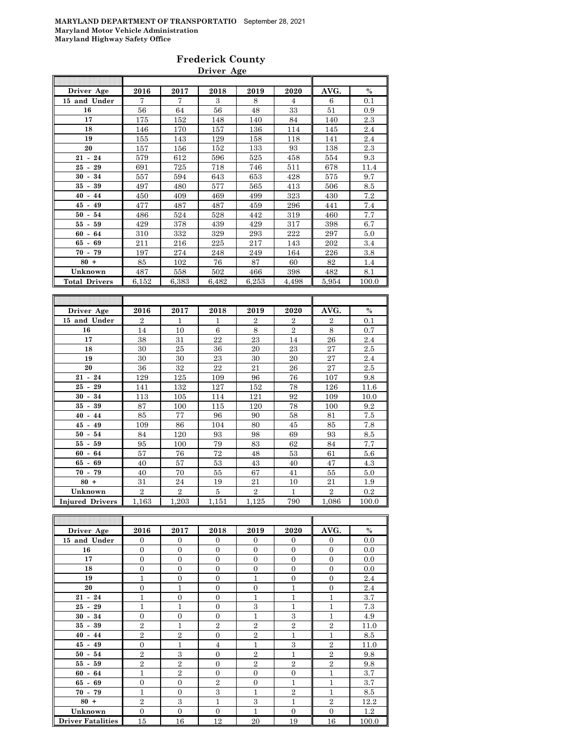#### **Frederick County Driver Age**

| Driver Age           | 2016           | 2017         | 2018  | 2019           | 2020           | AVG.           | $\%$    |
|----------------------|----------------|--------------|-------|----------------|----------------|----------------|---------|
| 15 and Under         | 7              | 7            | 3     | 8              | $\overline{4}$ | 6              | 0.1     |
| 16                   | 56             | 64           | 56    | 48             | 33             | 51             | 0.9     |
| 17                   | 175            | 152          | 148   | 140            | 84             | 140            | 2.3     |
| 18                   | 146            | 170          | 157   | 136            | 114            | 145            | 2.4     |
| 19                   | 155            | 143          | 129   | 158            | 118            | 141            | 2.4     |
| 20                   | 157            | 156          | 152   | 133            | 93             | 138            | 2.3     |
| $21 - 24$            | 579            | 612          | 596   | 525            | 458            | 554            | 9.3     |
| $25 - 29$            | 691            | 725          | 718   | 746            | 511            | 678            | 11.4    |
| 34<br>$30 -$         | 557            | 594          | 643   | 653            | 428            | 575            | 9.7     |
| $35 - 39$            | 497            | 480          | 577   | 565            | 413            | 506            | 8.5     |
| $40 - 44$            | 450            | 409          | 469   | 499            | 323            | 430            | 7.2     |
| $45 - 49$            | 477            | 487          | 487   | 459            | 296            | 441            | 7.4     |
| $50 - 54$            | 486            | 524          | 528   | 442            | 319            | 460            | 7.7     |
| 59<br>$55-$          | 429            | 378          | 439   | 429            | 317            | 398            | 6.7     |
| $60 - 64$            | 310            | 332          | 329   | 293            | 222            | 297            | 5.0     |
| $65 - 69$            | 211            | 216          | 225   | 217            | 143            | 202            | 3.4     |
| $70 - 79$            | 197            | 274          | 248   | 249            | 164            | 226            | 3.8     |
| $80 +$               | 85             | 102          | 76    | 87             | 60             | 82             | 1.4     |
| Unknown              | 487            | 558          | 502   | 466            | 398            | 482            | 8.1     |
| <b>Total Drivers</b> | 6.152          | 6,383        | 6,482 | 6,253          | 4,498          | 5.954          | 100.0   |
|                      |                |              |       |                |                |                |         |
|                      |                |              |       |                |                |                |         |
| Driver Age           | 2016           | 2017         | 2018  | 2019           | 2020           | AVG.           | $\%$    |
| 15 and Under         | $\overline{2}$ | $\mathbf{1}$ | 1     | $\overline{2}$ | $\overline{2}$ | $\overline{2}$ | 0.1     |
| 16                   | 14             | 10           | 6     | 8              | $\overline{2}$ | 8              | 0.7     |
| 17                   | 38             | 31           | 22    | 23             | 14             | 26             | $2.4\,$ |
| 18                   | 30             | 25           | 36    | 20             | 23             | 27             | 2.5     |
| 19                   | 30             | 30           | 23    | 30             | 20             | 27             | 2.4     |
| 20                   | 36             | 32           | 22    | 21             | 26             | 27             | 2.5     |
| $21 - 24$            | 129            | 125          | 109   | 96             | 76             | 107            | 9.8     |
| 29<br>$25-$          | 141            | 132          | 127   | 152            | 78             | 126            | 11.6    |
| 30<br>$-34$          | 113            | 105          | 114   | 121            | 92             | 109            | 10.0    |
| $35 -$<br>39         | 87             | 100          | 115   | 120            | 78             | 100            | 9.2     |
| $-44$<br>40          | 85             | 77           | 96    | 90             | 58             | 81             | 7.5     |
| $45 - 49$            | 109            | 86           | 104   | 80             | 45             | 85             | 7.8     |

| $45 - 49$              | 109            | 86             | 104        | 80             | 45  | 85    | 7.8   |
|------------------------|----------------|----------------|------------|----------------|-----|-------|-------|
| $50 - 54$              | 84             | 120            | 93         | 98             | 69  | 93    | 8.5   |
| $55 - 59$              | 95             | 100            | 79         | 83             | 62  | 84    | 7.7   |
| $60 - 64$              | 57             | 76             | 72         | 48             | 53  | 61    | 5.6   |
| $65 - 69$              | 40             | 57             | 53         | 43             | 40  | 47    | 4.3   |
| $70 - 79$              | 40             | 70             | 55         | 67             | 41  | 55    | 5.0   |
| $80 +$                 | 31             | 24             | 19         | 21             | 10  | 21    | 1.9   |
| Unknown                | $\overline{2}$ | $\overline{2}$ |            | $\overline{2}$ |     | 2     | 0.2   |
| <b>Injured Drivers</b> | 1,163          | 1,203          | $_{1.151}$ | 1,125          | 790 | 1,086 | 100.0 |

| Driver Age               | 2016           | 2017           | 2018           | 2019           | 2020           | AVG.           | $\%$  |
|--------------------------|----------------|----------------|----------------|----------------|----------------|----------------|-------|
| 15 and Under             | $\overline{0}$ | $\overline{0}$ | $\Omega$       | $\Omega$       | $\Omega$       | $\mathbf{0}$   | 0.0   |
| 16                       | $\overline{0}$ | $\overline{0}$ | $\Omega$       | $\Omega$       | $\Omega$       | $\overline{0}$ | 0.0   |
| 17                       | $\overline{0}$ | $\overline{0}$ | $\overline{0}$ | $\Omega$       | $\overline{0}$ | $\overline{0}$ | 0.0   |
| 18                       | $\overline{0}$ | $\overline{0}$ | $\Omega$       | $\Omega$       | $\Omega$       | $\overline{0}$ | 0.0   |
| 19                       | $\mathbf{1}$   | $\overline{0}$ | $\Omega$       | 1              | $\Omega$       | $\overline{0}$ | 2.4   |
| 20                       | $\overline{0}$ | $\overline{1}$ | $\Omega$       | $\Omega$       | 1              | $\overline{0}$ | 2.4   |
| $21 - 24$                | 1              | $\overline{0}$ | $\theta$       | 1              | $\mathbf{1}$   | 1              | 3.7   |
| $25 - 29$                | $\mathbf{1}$   | $\overline{1}$ | $\overline{0}$ | 3              | $\mathbf{1}$   | $\overline{1}$ | 7.3   |
| $30 - 34$                | $\overline{0}$ | $\overline{0}$ | $\theta$       | $\mathbf{1}$   | 3              | $\mathbf{1}$   | 4.9   |
| $35 - 39$                | $\overline{2}$ | $\overline{1}$ | $\overline{2}$ | $\overline{2}$ | $\overline{2}$ | $\overline{2}$ | 11.0  |
| $40 - 44$                | $\overline{2}$ | $\overline{2}$ | $\Omega$       | $\overline{2}$ | 1              | $\overline{1}$ | 8.5   |
| $45 - 49$                | $\overline{0}$ | $\mathbf{1}$   | 4              | $\mathbf{1}$   | 3              | $\overline{2}$ | 11.0  |
| $50 - 54$                | $\overline{2}$ | 3              | $\theta$       | $\overline{2}$ | 1              | $\overline{2}$ | 9.8   |
| $55 - 59$                | $\overline{2}$ | $\overline{2}$ | $\Omega$       | $\overline{2}$ | $\overline{2}$ | $\overline{2}$ | 9.8   |
| $60 - 64$                | $\mathbf{1}$   | $\overline{2}$ | $\Omega$       | $\Omega$       | $\Omega$       | 1              | 3.7   |
| $65 - 69$                | $\overline{0}$ | $\overline{0}$ | $\overline{2}$ | $\Omega$       | $\mathbf{1}$   | $\mathbf{1}$   | 3.7   |
| $70 - 79$                | $\mathbf{1}$   | $\overline{0}$ | 3              | $\mathbf{1}$   | $\overline{2}$ | $\mathbf{1}$   | 8.5   |
| $80 +$                   | $\overline{2}$ | 3              | 1              | 3              | $\mathbf{1}$   | $\overline{2}$ | 12.2  |
| Unknown                  | $\overline{0}$ | $\overline{0}$ | $\theta$       | 1              | $\Omega$       | $\overline{0}$ | 1.2   |
| <b>Driver Fatalities</b> | 15             | 16             | 12             | 20             | 19             | 16             | 100.0 |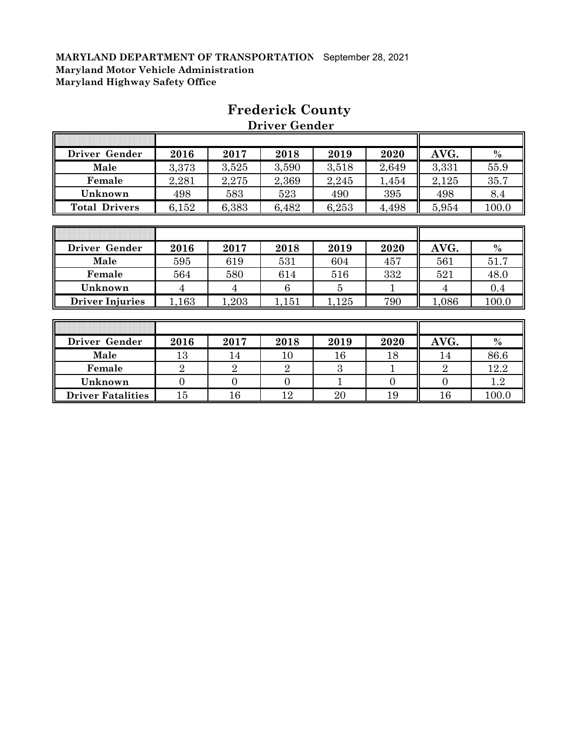h

| Driver Gender        | 2016  | 2017  | 2018  | 2019  | 2020  | AVG.  | $\%$  |
|----------------------|-------|-------|-------|-------|-------|-------|-------|
| Male                 | 3,373 | 3,525 | 3,590 | 3,518 | 2,649 | 3,331 | 55.9  |
| Female               | 2,281 | 2,275 | 2,369 | 2,245 | 1,454 | 2,125 | 35.7  |
| Unknown              | 498   | 583   | 523   | 490   | 395   | 498   | 8.4   |
| <b>Total Drivers</b> | 6,152 | 6,383 | 6,482 | 6,253 | 4,498 | 5,954 | 100.0 |
|                      |       |       |       |       |       |       |       |
|                      |       |       |       |       |       |       |       |
|                      |       |       |       |       |       |       |       |
| Driver Gender        | 2016  | 2017  | 2018  | 2019  | 2020  | AVG.  | $\%$  |
| Male                 | 595   | 619   | 531   | 604   | 457   | 561   | 51.7  |
| Female               | 564   | 580   | 614   | 516   | 332   | 521   | 48.0  |

# **Frederick County**

 **Driver Gender**

╗

 $\overline{\mathbf{r}}$ 

| Driver Gender            | 2016   | 2017 | 2018 | 2019   | 2020 | AVG. | $\%$    |
|--------------------------|--------|------|------|--------|------|------|---------|
| Male                     | 13     | 14   | 10   | $16\,$ | 18   | 14   | 86.6    |
| Female                   |        |      |      |        |      |      | 12.2    |
| Unknown                  |        |      |      |        |      |      | $1.2\,$ |
| <b>Driver Fatalities</b> | $15\,$ | 16   | ၊ ဂ  | $20\,$ | 19   |      | 100.0   |

**Driver Injuries** 1,163 1,203 1,151 1,125 790 1,086 100.0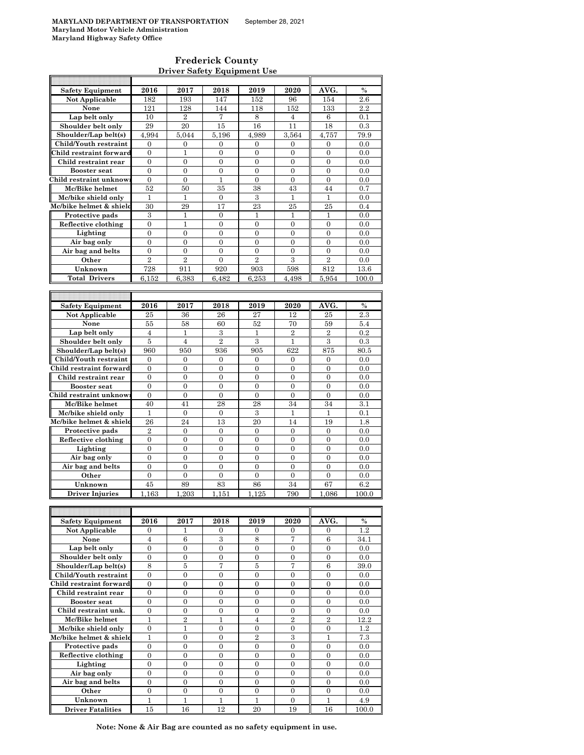$\mathsf{r}$ 

#### **Frederick County Driver Safety Equipment Use**

| <b>Safety Equipment</b>             | 2016             | 2017               | 2018              | 2019             | 2020             | AVG.             | $\%$         |
|-------------------------------------|------------------|--------------------|-------------------|------------------|------------------|------------------|--------------|
| Not Applicable                      | 182              | 193                | 147               | 152              | 96               | 154              | $2.6\,$      |
| None                                | 121              | 128                | 144               | 118              | 152              | 133              | 2.2          |
| Lap belt only                       |                  |                    |                   |                  |                  |                  |              |
|                                     | 10               | $\overline{2}$     | 7                 | 8                | 4                | 6                | 0.1          |
| Shoulder belt only                  | 29               | 20                 | 15                | 16               | 11               | 18               | 0.3          |
| Shoulder/Lap belt(s)                | 4,994            | 5,044              | 5,196             | 4.989            | 3,564            | 4,757            | 79.9         |
| Child/Youth restraint               | 0                | 0                  | 0                 | 0                | 0                | 0                | 0.0          |
| Child restraint forward             | $\overline{0}$   | $\mathbf{1}$       | $\mathbf{0}$      | $\overline{0}$   | $\overline{0}$   | $\overline{0}$   | 0.0          |
| Child restraint rear                | $\boldsymbol{0}$ | $\boldsymbol{0}$   | $\boldsymbol{0}$  | $\boldsymbol{0}$ | $\boldsymbol{0}$ | $\boldsymbol{0}$ | 0.0          |
| <b>Booster seat</b>                 | $\overline{0}$   | $\overline{0}$     | $\overline{0}$    | $\overline{0}$   | $\overline{0}$   | $\overline{0}$   | 0.0          |
|                                     |                  |                    |                   |                  |                  |                  |              |
| Child restraint unknow              | $\boldsymbol{0}$ | $\boldsymbol{0}$   | 1                 | $\boldsymbol{0}$ | $\boldsymbol{0}$ | $\boldsymbol{0}$ | 0.0          |
| Mc/Bike helmet                      | 52               | 50                 | 35                | 38               | 43               | 44               | 0.7          |
| Mc/bike shield only                 | $\mathbf{1}$     | $\mathbf{1}$       | $\mathbf{0}$      | $\,3$            | $\mathbf{1}$     | $\mathbf{1}$     | 0.0          |
| Mc/bike helmet & shield             | 30               | 29                 | 17                | 23               | 25               | 25               | 0.4          |
| Protective pads                     | 3                | 1                  | $\boldsymbol{0}$  | 1                | $\mathbf{1}$     | 1                | 0.0          |
| Reflective clothing                 | 0                | 1                  | 0                 | 0                | 0                | 0                | 0.0          |
| Lighting                            | $\overline{0}$   | $\overline{0}$     | $\overline{0}$    | $\overline{0}$   | $\overline{0}$   | $\overline{0}$   | 0.0          |
|                                     |                  |                    |                   |                  |                  |                  |              |
| Air bag only                        | $\boldsymbol{0}$ | $\boldsymbol{0}$   | $\mathbf{0}$      | $\boldsymbol{0}$ | 0                | 0                | 0.0          |
| Air bag and belts                   | $\overline{0}$   | $\overline{0}$     | $\overline{0}$    | $\overline{0}$   | $\overline{0}$   | $\overline{0}$   | 0.0          |
| Other                               | $\overline{2}$   | $\overline{2}$     | $\boldsymbol{0}$  | $\overline{2}$   | 3                | $\overline{2}$   | 0.0          |
| Unknown                             | 728              | 911                | 920               | 903              | 598              | 812              | 13.6         |
| <b>Total Drivers</b>                | 6.152            | 6,383              | 6,482             | 6.253            | 4.498            | 5.954            | 100.0        |
|                                     |                  |                    |                   |                  |                  |                  |              |
|                                     |                  |                    |                   |                  |                  |                  |              |
|                                     |                  |                    |                   |                  |                  |                  |              |
| <b>Safety Equipment</b>             | 2016             | 2017               | 2018              | 2019             | 2020             | AVG.             | $\%$         |
| Not Applicable                      | 25               | 36                 | 26                | 27               | 12               | 25               | 2.3          |
| None                                | 55               | 58                 | 60                | 52               | 70               | 59               | 5.4          |
| Lap belt only                       | $\overline{4}$   | 1                  | 3                 | 1                | $\overline{2}$   | $\overline{2}$   | 0.2          |
| Shoulder belt only                  | 5                | $\overline{4}$     | $\overline{2}$    | 3                | 1                | 3                | 0.3          |
| Shoulder/Lap belt(s)                | 960              | 950                | 936               | 905              | 622              | 875              | 80.5         |
| Child/Youth restraint               | 0                | $\mathbf{0}$       | $\mathbf{0}$      | $\mathbf{0}$     |                  | $\mathbf{0}$     | 0.0          |
|                                     |                  |                    |                   |                  | 0                |                  |              |
| Child restraint forward             | $\boldsymbol{0}$ | $\boldsymbol{0}$   | $\boldsymbol{0}$  | $\boldsymbol{0}$ | $\boldsymbol{0}$ | $\boldsymbol{0}$ | 0.0          |
| Child restraint rear                | $\overline{0}$   | $\mathbf{0}$       | $\overline{0}$    | $\overline{0}$   | $\overline{0}$   | $\overline{0}$   | 0.0          |
| <b>Booster seat</b>                 | $\overline{0}$   | $\overline{0}$     | $\overline{0}$    | $\overline{0}$   | $\overline{0}$   | $\overline{0}$   | 0.0          |
| Child restraint unknow              | 0                | $\boldsymbol{0}$   | 0                 | 0                | $\boldsymbol{0}$ | $\boldsymbol{0}$ | 0.0          |
| Mc/Bike helmet                      | 40               | 41                 | 28                | 28               | 34               | 34               | 3.1          |
| Mc/bike shield only                 | 1                | $\mathbf{0}$       | $\boldsymbol{0}$  | 3                | 1                | 1                | 0.1          |
| Mc/bike helmet & shield             | 26               | 24                 | 13                | 20               | 14               | 19               | 1.8          |
|                                     |                  |                    |                   |                  |                  |                  |              |
| Protective pads                     | $\overline{2}$   | $\boldsymbol{0}$   | 0                 | 0                | 0                | $\mathbf{0}$     | 0.0          |
| Reflective clothing                 | $\mathbf{0}$     | $\overline{0}$     | $\overline{0}$    | $\overline{0}$   | $\overline{0}$   | $\boldsymbol{0}$ | 0.0          |
| Lighting                            | 0                | $\boldsymbol{0}$   | $\boldsymbol{0}$  | 0                | $\boldsymbol{0}$ | $\boldsymbol{0}$ | 0.0          |
| Air bag only                        | $\overline{0}$   | $\overline{0}$     | $\overline{0}$    | $\overline{0}$   | $\overline{0}$   | $\overline{0}$   | 0.0          |
| Air bag and belts                   | 0                | $\mathbf{0}$       | $\overline{0}$    | $\overline{0}$   | $\boldsymbol{0}$ | $\boldsymbol{0}$ | 0.0          |
| Other                               | $\boldsymbol{0}$ | $\boldsymbol{0}$   | $\boldsymbol{0}$  | $\boldsymbol{0}$ | $\overline{0}$   | $\boldsymbol{0}$ | 0.0          |
| Unknown                             | 45               | 89                 | 83                | 86               | 34               | 67               | 6.2          |
|                                     |                  |                    |                   |                  |                  |                  |              |
| Driver Injuries                     | 1,163            | 1,203              | 1,151             | 1,125            | 790              | 1,086            | 100.0        |
|                                     |                  |                    |                   |                  |                  |                  |              |
|                                     |                  |                    |                   |                  |                  |                  |              |
| <b>Safety Equipment</b>             | 2016             | 2017               | 2018              | 2019             | 2020             | AVG.             | %            |
| Not Applicable                      | 0                | 1                  | 0                 | 0                | 0                | $\boldsymbol{0}$ | 1.2          |
| None                                | $\overline{4}$   | 6                  | 3                 | 8                | 7                | $\,6$            | 34.1         |
| Lap belt only                       | $\boldsymbol{0}$ | $\boldsymbol{0}$   | $\overline{0}$    | $\overline{0}$   | $\boldsymbol{0}$ | $\mathbf{0}$     | 0.0          |
| Shoulder belt only                  | $\boldsymbol{0}$ | $\boldsymbol{0}$   | $\boldsymbol{0}$  | $\boldsymbol{0}$ | $\boldsymbol{0}$ | $\boldsymbol{0}$ | 0.0          |
| Shoulder/Lap belt(s)                | 8                | 5                  | 7                 | 5                | 7                | 6                | 39.0         |
|                                     |                  |                    |                   |                  |                  |                  |              |
| Child/Youth restraint               | $\overline{0}$   | $\overline{0}$     | $\overline{0}$    | $\overline{0}$   | $\overline{0}$   | $\overline{0}$   | 0.0          |
| Child restraint forward             | 0                | $\boldsymbol{0}$   | 0                 | 0                | $\boldsymbol{0}$ | $\boldsymbol{0}$ | 0.0          |
| Child restraint rear                | $\boldsymbol{0}$ | $\boldsymbol{0}$   | $\boldsymbol{0}$  | $\boldsymbol{0}$ | $\boldsymbol{0}$ | $\boldsymbol{0}$ | 0.0          |
| <b>Booster seat</b>                 | 0                | $\boldsymbol{0}$   | $\boldsymbol{0}$  | 0                | $\boldsymbol{0}$ | $\boldsymbol{0}$ | 0.0          |
| Child restraint unk.                | $\overline{0}$   | $\mathbf{0}$       | $\overline{0}$    | $\overline{0}$   | $\overline{0}$   | $\overline{0}$   | 0.0          |
| Mc/Bike helmet                      | 1                | $\,2$              | 1                 | $\overline{4}$   | $\overline{2}$   | $\overline{2}$   | 12.2         |
| Mc/bike shield only                 | $\mathbf{0}$     | $\mathbf{1}$       | $\overline{0}$    | $\boldsymbol{0}$ | $\overline{0}$   | $\boldsymbol{0}$ | 1.2          |
|                                     |                  |                    |                   |                  |                  |                  |              |
| Mc/bike helmet & shield             | 1                | $\boldsymbol{0}$   | $\boldsymbol{0}$  | $\overline{2}$   | 3                | $\mathbf{1}$     | 7.3          |
| Protective pads                     | $\overline{0}$   | $\overline{0}$     | $\overline{0}$    | $\overline{0}$   | $\overline{0}$   | $\overline{0}$   | 0.0          |
| Reflective clothing                 | $\mathbf{0}$     | $\mathbf{0}$       | $\boldsymbol{0}$  | $\boldsymbol{0}$ | $\boldsymbol{0}$ | $\boldsymbol{0}$ | 0.0          |
| Lighting                            | $\mathbf{0}$     | $\boldsymbol{0}$   | $\boldsymbol{0}$  | 0                | $\overline{0}$   | $\boldsymbol{0}$ | 0.0          |
| Air bag only                        | 0                | $\boldsymbol{0}$   | $\boldsymbol{0}$  | $\boldsymbol{0}$ | $\boldsymbol{0}$ | $\boldsymbol{0}$ | 0.0          |
| Air bag and belts                   |                  |                    |                   |                  |                  |                  | 0.0          |
|                                     |                  |                    |                   |                  |                  |                  |              |
|                                     | $\mathbf{0}$     | $\mathbf{0}$       | $\boldsymbol{0}$  | $\boldsymbol{0}$ | $\boldsymbol{0}$ | $\boldsymbol{0}$ |              |
| Other                               | $\mathbf{0}$     | $\mathbf{0}$       | $\overline{0}$    | $\overline{0}$   | $\overline{0}$   | $\overline{0}$   | 0.0          |
| Unknown<br><b>Driver Fatalities</b> | 1<br>15          | $\mathbf{1}$<br>16 | $\mathbf 1$<br>12 | 1<br>20          | 0<br>19          | 1<br>16          | 4.9<br>100.0 |

**Note: None & Air Bag are counted as no safety equipment in use.**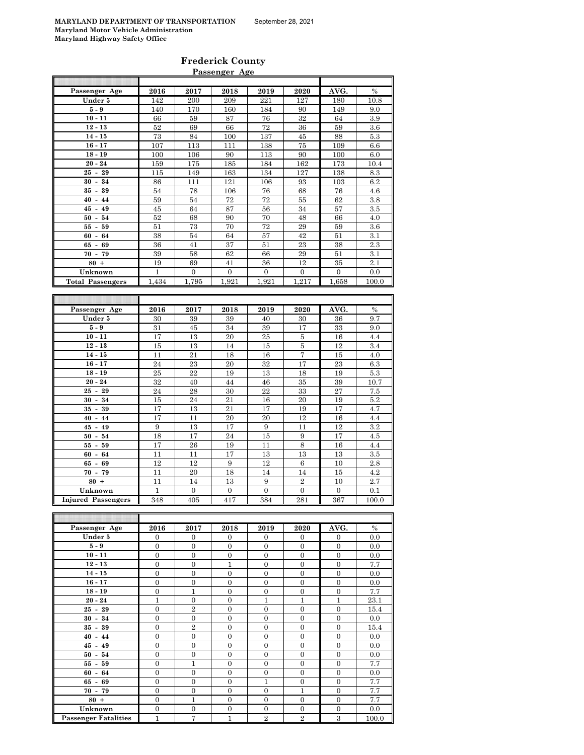| <b>Frederick County</b> |  |
|-------------------------|--|

| Passenger Age<br>2016<br>2017<br>2018<br>2019<br>2020<br>AVG.<br>$\%$<br>Under 5<br>142<br>200<br>209<br>221<br>127<br>180<br>10.8<br>$5-9$<br>90<br>140<br>170<br>160<br>184<br>149<br>9.0<br>$10 - 11$<br>66<br>59<br>87<br>76<br>32<br>64<br>3.9<br>$12 - 13$<br>$52\,$<br>69<br>66<br>$72\,$<br>$59\,$<br>$3.6\,$<br>36<br>$14 - 15$<br>73<br>84<br>100<br>137<br>45<br>88<br>5.3<br>113<br>138<br>75<br>109<br>6.6<br>$16 - 17$<br>107<br>111<br>$18 - 19$<br>90<br>90<br>100<br>6.0<br>100<br>106<br>113<br>$20 - 24$<br>175<br>185<br>162<br>173<br>10.4<br>159<br>184<br>$25 - 29$<br>163<br>134<br>127<br>138<br>8.3<br>115<br>149<br>$30 - 34$<br>86<br>121<br>106<br>93<br>103<br>6.2<br>111<br>$35 - 39$<br>68<br>54<br>78<br>106<br>76<br>76<br>4.6<br>$40 - 44$<br>59<br>54<br>72<br>72<br>55<br>62<br>3.8<br>45<br>64<br>87<br>56<br>34<br>$3.5\,$<br>$45 - 49$<br>57<br>$50 - 54$<br>52<br>70<br>4.0<br>68<br>90<br>48<br>66<br>72<br>$55 - 59$<br>51<br>73<br>70<br>29<br>59<br>3.6<br>3.1<br>$60 -$<br>64<br>38<br>54<br>64<br>57<br>42<br>51<br>36<br>41<br>37<br>51<br>23<br>38<br>2.3<br>$65 - 69$<br>$70 - 79$<br>39<br>62<br>66<br>29<br>3.1<br>58<br>51<br>$80 +$<br>12<br>2.1<br>19<br>69<br>41<br>36<br>35<br>Unknown<br>$\mathbf{1}$<br>$\overline{0}$<br>$\overline{0}$<br>$\overline{0}$<br>$\overline{0}$<br>$\overline{0}$<br>0.0<br><b>Total Passengers</b><br>1,434<br>1,795<br>1,921<br>1,921<br>1,217<br>1,658<br>100.0<br>Passenger Age<br>2016<br>2017<br>2018<br>2019<br>2020<br>AVG.<br>$\%$<br>Under 5<br>40<br>36<br>9.7<br>30<br>39<br>39<br>30<br>$5 - 9$<br>31<br>45<br>34<br>39<br>17<br>33<br>9.0<br>17<br>13<br>20<br>25<br>16<br>$10 - 11$<br>5<br>4.4<br>$12 - 13$<br>15<br>13<br>$\bf 5$<br>12<br>3.4<br>14<br>15<br>$14 - 15$<br>21<br>18<br>15<br>11<br>16<br>7<br>4.0<br>23<br>24<br>23<br>20<br>32<br>17<br>6.3<br>$16 - 17$<br>$18 - 19$<br>22<br>5.3<br>25<br>19<br>13<br>18<br>19<br>$20 - 24$<br>32<br>40<br>44<br>46<br>35<br>39<br>10.7<br>29<br>24<br>28<br>22<br>$33\,$<br>27<br>$25 -$<br>30<br>7.5<br>$30 - 34$<br>15<br>24<br>21<br>16<br>20<br>19<br>$5.2\,$<br>$35 - 39$<br>17<br>13<br>21<br>17<br>19<br>17<br>4.7<br>17<br>20<br>20<br>12<br>$40 - 44$<br>11<br>16<br>4.4<br>9<br>13<br>17<br>9<br>12<br>$\rm 3.2$<br>$45 - 49$<br>11<br>$50 -$<br>54<br>18<br>17<br>24<br>$15\,$<br>17<br>$4.5\,$<br>9<br>$55 - 59$<br>17<br>26<br>19<br>11<br>8<br>16<br>4.4<br>$60 - 64$<br>13<br>13<br>3.5<br>11<br>11<br>17<br>13<br>12<br>12<br>9<br>12<br>10<br>2.8<br>$65 -$<br>69<br>6<br>$70 - 79$<br>4.2<br>11<br>20<br>18<br>14<br>14<br>15<br>$80 +$<br>2.7<br>11<br>13<br>9<br>$\overline{2}$<br>10<br>14<br>Unknown<br>$\mathbf{1}$<br>$\overline{0}$<br>$\overline{0}$<br>$\overline{0}$<br>$\overline{0}$<br>$\overline{0}$<br>0.1<br>Injured Passengers<br>417<br>367<br>348<br>405<br>384<br>281<br>100.0<br>2016<br>2017<br>$\%$<br>Passenger Age<br>2018<br>2019<br>2020<br>AVG.<br>Under 5<br>$\boldsymbol{0}$<br>$\boldsymbol{0}$<br>$\boldsymbol{0}$<br>$\boldsymbol{0}$<br>$\boldsymbol{0}$<br>$\boldsymbol{0}$<br>0.0<br>$5-9$<br>$\mathbf{0}$<br>$\mathbf{0}$<br>$\boldsymbol{0}$<br>$\mathbf{0}$<br>$\mathbf{0}$<br>$\mathbf{0}$<br>0.0 | Passenger Age |  |  |  |  |  |  |  |  |  |
|--------------------------------------------------------------------------------------------------------------------------------------------------------------------------------------------------------------------------------------------------------------------------------------------------------------------------------------------------------------------------------------------------------------------------------------------------------------------------------------------------------------------------------------------------------------------------------------------------------------------------------------------------------------------------------------------------------------------------------------------------------------------------------------------------------------------------------------------------------------------------------------------------------------------------------------------------------------------------------------------------------------------------------------------------------------------------------------------------------------------------------------------------------------------------------------------------------------------------------------------------------------------------------------------------------------------------------------------------------------------------------------------------------------------------------------------------------------------------------------------------------------------------------------------------------------------------------------------------------------------------------------------------------------------------------------------------------------------------------------------------------------------------------------------------------------------------------------------------------------------------------------------------------------------------------------------------------------------------------------------------------------------------------------------------------------------------------------------------------------------------------------------------------------------------------------------------------------------------------------------------------------------------------------------------------------------------------------------------------------------------------------------------------------------------------------------------------------------------------------------------------------------------------------------------------------------------------------------------------------------------------------------------------------------------------------------------------------------------------------------------------------------------------------------------------------------------------------------------------------------------------------------------------------------------------------------------------------------------------------------------------------------------------------------------------------------------------------------------------------------------------------------------------------------------------------------------------------------------|---------------|--|--|--|--|--|--|--|--|--|
|                                                                                                                                                                                                                                                                                                                                                                                                                                                                                                                                                                                                                                                                                                                                                                                                                                                                                                                                                                                                                                                                                                                                                                                                                                                                                                                                                                                                                                                                                                                                                                                                                                                                                                                                                                                                                                                                                                                                                                                                                                                                                                                                                                                                                                                                                                                                                                                                                                                                                                                                                                                                                                                                                                                                                                                                                                                                                                                                                                                                                                                                                                                                                                                                                          |               |  |  |  |  |  |  |  |  |  |
|                                                                                                                                                                                                                                                                                                                                                                                                                                                                                                                                                                                                                                                                                                                                                                                                                                                                                                                                                                                                                                                                                                                                                                                                                                                                                                                                                                                                                                                                                                                                                                                                                                                                                                                                                                                                                                                                                                                                                                                                                                                                                                                                                                                                                                                                                                                                                                                                                                                                                                                                                                                                                                                                                                                                                                                                                                                                                                                                                                                                                                                                                                                                                                                                                          |               |  |  |  |  |  |  |  |  |  |
|                                                                                                                                                                                                                                                                                                                                                                                                                                                                                                                                                                                                                                                                                                                                                                                                                                                                                                                                                                                                                                                                                                                                                                                                                                                                                                                                                                                                                                                                                                                                                                                                                                                                                                                                                                                                                                                                                                                                                                                                                                                                                                                                                                                                                                                                                                                                                                                                                                                                                                                                                                                                                                                                                                                                                                                                                                                                                                                                                                                                                                                                                                                                                                                                                          |               |  |  |  |  |  |  |  |  |  |
|                                                                                                                                                                                                                                                                                                                                                                                                                                                                                                                                                                                                                                                                                                                                                                                                                                                                                                                                                                                                                                                                                                                                                                                                                                                                                                                                                                                                                                                                                                                                                                                                                                                                                                                                                                                                                                                                                                                                                                                                                                                                                                                                                                                                                                                                                                                                                                                                                                                                                                                                                                                                                                                                                                                                                                                                                                                                                                                                                                                                                                                                                                                                                                                                                          |               |  |  |  |  |  |  |  |  |  |
|                                                                                                                                                                                                                                                                                                                                                                                                                                                                                                                                                                                                                                                                                                                                                                                                                                                                                                                                                                                                                                                                                                                                                                                                                                                                                                                                                                                                                                                                                                                                                                                                                                                                                                                                                                                                                                                                                                                                                                                                                                                                                                                                                                                                                                                                                                                                                                                                                                                                                                                                                                                                                                                                                                                                                                                                                                                                                                                                                                                                                                                                                                                                                                                                                          |               |  |  |  |  |  |  |  |  |  |
|                                                                                                                                                                                                                                                                                                                                                                                                                                                                                                                                                                                                                                                                                                                                                                                                                                                                                                                                                                                                                                                                                                                                                                                                                                                                                                                                                                                                                                                                                                                                                                                                                                                                                                                                                                                                                                                                                                                                                                                                                                                                                                                                                                                                                                                                                                                                                                                                                                                                                                                                                                                                                                                                                                                                                                                                                                                                                                                                                                                                                                                                                                                                                                                                                          |               |  |  |  |  |  |  |  |  |  |
|                                                                                                                                                                                                                                                                                                                                                                                                                                                                                                                                                                                                                                                                                                                                                                                                                                                                                                                                                                                                                                                                                                                                                                                                                                                                                                                                                                                                                                                                                                                                                                                                                                                                                                                                                                                                                                                                                                                                                                                                                                                                                                                                                                                                                                                                                                                                                                                                                                                                                                                                                                                                                                                                                                                                                                                                                                                                                                                                                                                                                                                                                                                                                                                                                          |               |  |  |  |  |  |  |  |  |  |
|                                                                                                                                                                                                                                                                                                                                                                                                                                                                                                                                                                                                                                                                                                                                                                                                                                                                                                                                                                                                                                                                                                                                                                                                                                                                                                                                                                                                                                                                                                                                                                                                                                                                                                                                                                                                                                                                                                                                                                                                                                                                                                                                                                                                                                                                                                                                                                                                                                                                                                                                                                                                                                                                                                                                                                                                                                                                                                                                                                                                                                                                                                                                                                                                                          |               |  |  |  |  |  |  |  |  |  |
|                                                                                                                                                                                                                                                                                                                                                                                                                                                                                                                                                                                                                                                                                                                                                                                                                                                                                                                                                                                                                                                                                                                                                                                                                                                                                                                                                                                                                                                                                                                                                                                                                                                                                                                                                                                                                                                                                                                                                                                                                                                                                                                                                                                                                                                                                                                                                                                                                                                                                                                                                                                                                                                                                                                                                                                                                                                                                                                                                                                                                                                                                                                                                                                                                          |               |  |  |  |  |  |  |  |  |  |
|                                                                                                                                                                                                                                                                                                                                                                                                                                                                                                                                                                                                                                                                                                                                                                                                                                                                                                                                                                                                                                                                                                                                                                                                                                                                                                                                                                                                                                                                                                                                                                                                                                                                                                                                                                                                                                                                                                                                                                                                                                                                                                                                                                                                                                                                                                                                                                                                                                                                                                                                                                                                                                                                                                                                                                                                                                                                                                                                                                                                                                                                                                                                                                                                                          |               |  |  |  |  |  |  |  |  |  |
|                                                                                                                                                                                                                                                                                                                                                                                                                                                                                                                                                                                                                                                                                                                                                                                                                                                                                                                                                                                                                                                                                                                                                                                                                                                                                                                                                                                                                                                                                                                                                                                                                                                                                                                                                                                                                                                                                                                                                                                                                                                                                                                                                                                                                                                                                                                                                                                                                                                                                                                                                                                                                                                                                                                                                                                                                                                                                                                                                                                                                                                                                                                                                                                                                          |               |  |  |  |  |  |  |  |  |  |
|                                                                                                                                                                                                                                                                                                                                                                                                                                                                                                                                                                                                                                                                                                                                                                                                                                                                                                                                                                                                                                                                                                                                                                                                                                                                                                                                                                                                                                                                                                                                                                                                                                                                                                                                                                                                                                                                                                                                                                                                                                                                                                                                                                                                                                                                                                                                                                                                                                                                                                                                                                                                                                                                                                                                                                                                                                                                                                                                                                                                                                                                                                                                                                                                                          |               |  |  |  |  |  |  |  |  |  |
|                                                                                                                                                                                                                                                                                                                                                                                                                                                                                                                                                                                                                                                                                                                                                                                                                                                                                                                                                                                                                                                                                                                                                                                                                                                                                                                                                                                                                                                                                                                                                                                                                                                                                                                                                                                                                                                                                                                                                                                                                                                                                                                                                                                                                                                                                                                                                                                                                                                                                                                                                                                                                                                                                                                                                                                                                                                                                                                                                                                                                                                                                                                                                                                                                          |               |  |  |  |  |  |  |  |  |  |
|                                                                                                                                                                                                                                                                                                                                                                                                                                                                                                                                                                                                                                                                                                                                                                                                                                                                                                                                                                                                                                                                                                                                                                                                                                                                                                                                                                                                                                                                                                                                                                                                                                                                                                                                                                                                                                                                                                                                                                                                                                                                                                                                                                                                                                                                                                                                                                                                                                                                                                                                                                                                                                                                                                                                                                                                                                                                                                                                                                                                                                                                                                                                                                                                                          |               |  |  |  |  |  |  |  |  |  |
|                                                                                                                                                                                                                                                                                                                                                                                                                                                                                                                                                                                                                                                                                                                                                                                                                                                                                                                                                                                                                                                                                                                                                                                                                                                                                                                                                                                                                                                                                                                                                                                                                                                                                                                                                                                                                                                                                                                                                                                                                                                                                                                                                                                                                                                                                                                                                                                                                                                                                                                                                                                                                                                                                                                                                                                                                                                                                                                                                                                                                                                                                                                                                                                                                          |               |  |  |  |  |  |  |  |  |  |
|                                                                                                                                                                                                                                                                                                                                                                                                                                                                                                                                                                                                                                                                                                                                                                                                                                                                                                                                                                                                                                                                                                                                                                                                                                                                                                                                                                                                                                                                                                                                                                                                                                                                                                                                                                                                                                                                                                                                                                                                                                                                                                                                                                                                                                                                                                                                                                                                                                                                                                                                                                                                                                                                                                                                                                                                                                                                                                                                                                                                                                                                                                                                                                                                                          |               |  |  |  |  |  |  |  |  |  |
|                                                                                                                                                                                                                                                                                                                                                                                                                                                                                                                                                                                                                                                                                                                                                                                                                                                                                                                                                                                                                                                                                                                                                                                                                                                                                                                                                                                                                                                                                                                                                                                                                                                                                                                                                                                                                                                                                                                                                                                                                                                                                                                                                                                                                                                                                                                                                                                                                                                                                                                                                                                                                                                                                                                                                                                                                                                                                                                                                                                                                                                                                                                                                                                                                          |               |  |  |  |  |  |  |  |  |  |
|                                                                                                                                                                                                                                                                                                                                                                                                                                                                                                                                                                                                                                                                                                                                                                                                                                                                                                                                                                                                                                                                                                                                                                                                                                                                                                                                                                                                                                                                                                                                                                                                                                                                                                                                                                                                                                                                                                                                                                                                                                                                                                                                                                                                                                                                                                                                                                                                                                                                                                                                                                                                                                                                                                                                                                                                                                                                                                                                                                                                                                                                                                                                                                                                                          |               |  |  |  |  |  |  |  |  |  |
|                                                                                                                                                                                                                                                                                                                                                                                                                                                                                                                                                                                                                                                                                                                                                                                                                                                                                                                                                                                                                                                                                                                                                                                                                                                                                                                                                                                                                                                                                                                                                                                                                                                                                                                                                                                                                                                                                                                                                                                                                                                                                                                                                                                                                                                                                                                                                                                                                                                                                                                                                                                                                                                                                                                                                                                                                                                                                                                                                                                                                                                                                                                                                                                                                          |               |  |  |  |  |  |  |  |  |  |
|                                                                                                                                                                                                                                                                                                                                                                                                                                                                                                                                                                                                                                                                                                                                                                                                                                                                                                                                                                                                                                                                                                                                                                                                                                                                                                                                                                                                                                                                                                                                                                                                                                                                                                                                                                                                                                                                                                                                                                                                                                                                                                                                                                                                                                                                                                                                                                                                                                                                                                                                                                                                                                                                                                                                                                                                                                                                                                                                                                                                                                                                                                                                                                                                                          |               |  |  |  |  |  |  |  |  |  |
|                                                                                                                                                                                                                                                                                                                                                                                                                                                                                                                                                                                                                                                                                                                                                                                                                                                                                                                                                                                                                                                                                                                                                                                                                                                                                                                                                                                                                                                                                                                                                                                                                                                                                                                                                                                                                                                                                                                                                                                                                                                                                                                                                                                                                                                                                                                                                                                                                                                                                                                                                                                                                                                                                                                                                                                                                                                                                                                                                                                                                                                                                                                                                                                                                          |               |  |  |  |  |  |  |  |  |  |
|                                                                                                                                                                                                                                                                                                                                                                                                                                                                                                                                                                                                                                                                                                                                                                                                                                                                                                                                                                                                                                                                                                                                                                                                                                                                                                                                                                                                                                                                                                                                                                                                                                                                                                                                                                                                                                                                                                                                                                                                                                                                                                                                                                                                                                                                                                                                                                                                                                                                                                                                                                                                                                                                                                                                                                                                                                                                                                                                                                                                                                                                                                                                                                                                                          |               |  |  |  |  |  |  |  |  |  |
|                                                                                                                                                                                                                                                                                                                                                                                                                                                                                                                                                                                                                                                                                                                                                                                                                                                                                                                                                                                                                                                                                                                                                                                                                                                                                                                                                                                                                                                                                                                                                                                                                                                                                                                                                                                                                                                                                                                                                                                                                                                                                                                                                                                                                                                                                                                                                                                                                                                                                                                                                                                                                                                                                                                                                                                                                                                                                                                                                                                                                                                                                                                                                                                                                          |               |  |  |  |  |  |  |  |  |  |
|                                                                                                                                                                                                                                                                                                                                                                                                                                                                                                                                                                                                                                                                                                                                                                                                                                                                                                                                                                                                                                                                                                                                                                                                                                                                                                                                                                                                                                                                                                                                                                                                                                                                                                                                                                                                                                                                                                                                                                                                                                                                                                                                                                                                                                                                                                                                                                                                                                                                                                                                                                                                                                                                                                                                                                                                                                                                                                                                                                                                                                                                                                                                                                                                                          |               |  |  |  |  |  |  |  |  |  |
|                                                                                                                                                                                                                                                                                                                                                                                                                                                                                                                                                                                                                                                                                                                                                                                                                                                                                                                                                                                                                                                                                                                                                                                                                                                                                                                                                                                                                                                                                                                                                                                                                                                                                                                                                                                                                                                                                                                                                                                                                                                                                                                                                                                                                                                                                                                                                                                                                                                                                                                                                                                                                                                                                                                                                                                                                                                                                                                                                                                                                                                                                                                                                                                                                          |               |  |  |  |  |  |  |  |  |  |
|                                                                                                                                                                                                                                                                                                                                                                                                                                                                                                                                                                                                                                                                                                                                                                                                                                                                                                                                                                                                                                                                                                                                                                                                                                                                                                                                                                                                                                                                                                                                                                                                                                                                                                                                                                                                                                                                                                                                                                                                                                                                                                                                                                                                                                                                                                                                                                                                                                                                                                                                                                                                                                                                                                                                                                                                                                                                                                                                                                                                                                                                                                                                                                                                                          |               |  |  |  |  |  |  |  |  |  |
|                                                                                                                                                                                                                                                                                                                                                                                                                                                                                                                                                                                                                                                                                                                                                                                                                                                                                                                                                                                                                                                                                                                                                                                                                                                                                                                                                                                                                                                                                                                                                                                                                                                                                                                                                                                                                                                                                                                                                                                                                                                                                                                                                                                                                                                                                                                                                                                                                                                                                                                                                                                                                                                                                                                                                                                                                                                                                                                                                                                                                                                                                                                                                                                                                          |               |  |  |  |  |  |  |  |  |  |
|                                                                                                                                                                                                                                                                                                                                                                                                                                                                                                                                                                                                                                                                                                                                                                                                                                                                                                                                                                                                                                                                                                                                                                                                                                                                                                                                                                                                                                                                                                                                                                                                                                                                                                                                                                                                                                                                                                                                                                                                                                                                                                                                                                                                                                                                                                                                                                                                                                                                                                                                                                                                                                                                                                                                                                                                                                                                                                                                                                                                                                                                                                                                                                                                                          |               |  |  |  |  |  |  |  |  |  |
|                                                                                                                                                                                                                                                                                                                                                                                                                                                                                                                                                                                                                                                                                                                                                                                                                                                                                                                                                                                                                                                                                                                                                                                                                                                                                                                                                                                                                                                                                                                                                                                                                                                                                                                                                                                                                                                                                                                                                                                                                                                                                                                                                                                                                                                                                                                                                                                                                                                                                                                                                                                                                                                                                                                                                                                                                                                                                                                                                                                                                                                                                                                                                                                                                          |               |  |  |  |  |  |  |  |  |  |
|                                                                                                                                                                                                                                                                                                                                                                                                                                                                                                                                                                                                                                                                                                                                                                                                                                                                                                                                                                                                                                                                                                                                                                                                                                                                                                                                                                                                                                                                                                                                                                                                                                                                                                                                                                                                                                                                                                                                                                                                                                                                                                                                                                                                                                                                                                                                                                                                                                                                                                                                                                                                                                                                                                                                                                                                                                                                                                                                                                                                                                                                                                                                                                                                                          |               |  |  |  |  |  |  |  |  |  |
|                                                                                                                                                                                                                                                                                                                                                                                                                                                                                                                                                                                                                                                                                                                                                                                                                                                                                                                                                                                                                                                                                                                                                                                                                                                                                                                                                                                                                                                                                                                                                                                                                                                                                                                                                                                                                                                                                                                                                                                                                                                                                                                                                                                                                                                                                                                                                                                                                                                                                                                                                                                                                                                                                                                                                                                                                                                                                                                                                                                                                                                                                                                                                                                                                          |               |  |  |  |  |  |  |  |  |  |
|                                                                                                                                                                                                                                                                                                                                                                                                                                                                                                                                                                                                                                                                                                                                                                                                                                                                                                                                                                                                                                                                                                                                                                                                                                                                                                                                                                                                                                                                                                                                                                                                                                                                                                                                                                                                                                                                                                                                                                                                                                                                                                                                                                                                                                                                                                                                                                                                                                                                                                                                                                                                                                                                                                                                                                                                                                                                                                                                                                                                                                                                                                                                                                                                                          |               |  |  |  |  |  |  |  |  |  |
|                                                                                                                                                                                                                                                                                                                                                                                                                                                                                                                                                                                                                                                                                                                                                                                                                                                                                                                                                                                                                                                                                                                                                                                                                                                                                                                                                                                                                                                                                                                                                                                                                                                                                                                                                                                                                                                                                                                                                                                                                                                                                                                                                                                                                                                                                                                                                                                                                                                                                                                                                                                                                                                                                                                                                                                                                                                                                                                                                                                                                                                                                                                                                                                                                          |               |  |  |  |  |  |  |  |  |  |
|                                                                                                                                                                                                                                                                                                                                                                                                                                                                                                                                                                                                                                                                                                                                                                                                                                                                                                                                                                                                                                                                                                                                                                                                                                                                                                                                                                                                                                                                                                                                                                                                                                                                                                                                                                                                                                                                                                                                                                                                                                                                                                                                                                                                                                                                                                                                                                                                                                                                                                                                                                                                                                                                                                                                                                                                                                                                                                                                                                                                                                                                                                                                                                                                                          |               |  |  |  |  |  |  |  |  |  |
|                                                                                                                                                                                                                                                                                                                                                                                                                                                                                                                                                                                                                                                                                                                                                                                                                                                                                                                                                                                                                                                                                                                                                                                                                                                                                                                                                                                                                                                                                                                                                                                                                                                                                                                                                                                                                                                                                                                                                                                                                                                                                                                                                                                                                                                                                                                                                                                                                                                                                                                                                                                                                                                                                                                                                                                                                                                                                                                                                                                                                                                                                                                                                                                                                          |               |  |  |  |  |  |  |  |  |  |
|                                                                                                                                                                                                                                                                                                                                                                                                                                                                                                                                                                                                                                                                                                                                                                                                                                                                                                                                                                                                                                                                                                                                                                                                                                                                                                                                                                                                                                                                                                                                                                                                                                                                                                                                                                                                                                                                                                                                                                                                                                                                                                                                                                                                                                                                                                                                                                                                                                                                                                                                                                                                                                                                                                                                                                                                                                                                                                                                                                                                                                                                                                                                                                                                                          |               |  |  |  |  |  |  |  |  |  |
|                                                                                                                                                                                                                                                                                                                                                                                                                                                                                                                                                                                                                                                                                                                                                                                                                                                                                                                                                                                                                                                                                                                                                                                                                                                                                                                                                                                                                                                                                                                                                                                                                                                                                                                                                                                                                                                                                                                                                                                                                                                                                                                                                                                                                                                                                                                                                                                                                                                                                                                                                                                                                                                                                                                                                                                                                                                                                                                                                                                                                                                                                                                                                                                                                          |               |  |  |  |  |  |  |  |  |  |
|                                                                                                                                                                                                                                                                                                                                                                                                                                                                                                                                                                                                                                                                                                                                                                                                                                                                                                                                                                                                                                                                                                                                                                                                                                                                                                                                                                                                                                                                                                                                                                                                                                                                                                                                                                                                                                                                                                                                                                                                                                                                                                                                                                                                                                                                                                                                                                                                                                                                                                                                                                                                                                                                                                                                                                                                                                                                                                                                                                                                                                                                                                                                                                                                                          |               |  |  |  |  |  |  |  |  |  |
|                                                                                                                                                                                                                                                                                                                                                                                                                                                                                                                                                                                                                                                                                                                                                                                                                                                                                                                                                                                                                                                                                                                                                                                                                                                                                                                                                                                                                                                                                                                                                                                                                                                                                                                                                                                                                                                                                                                                                                                                                                                                                                                                                                                                                                                                                                                                                                                                                                                                                                                                                                                                                                                                                                                                                                                                                                                                                                                                                                                                                                                                                                                                                                                                                          |               |  |  |  |  |  |  |  |  |  |
|                                                                                                                                                                                                                                                                                                                                                                                                                                                                                                                                                                                                                                                                                                                                                                                                                                                                                                                                                                                                                                                                                                                                                                                                                                                                                                                                                                                                                                                                                                                                                                                                                                                                                                                                                                                                                                                                                                                                                                                                                                                                                                                                                                                                                                                                                                                                                                                                                                                                                                                                                                                                                                                                                                                                                                                                                                                                                                                                                                                                                                                                                                                                                                                                                          |               |  |  |  |  |  |  |  |  |  |
|                                                                                                                                                                                                                                                                                                                                                                                                                                                                                                                                                                                                                                                                                                                                                                                                                                                                                                                                                                                                                                                                                                                                                                                                                                                                                                                                                                                                                                                                                                                                                                                                                                                                                                                                                                                                                                                                                                                                                                                                                                                                                                                                                                                                                                                                                                                                                                                                                                                                                                                                                                                                                                                                                                                                                                                                                                                                                                                                                                                                                                                                                                                                                                                                                          |               |  |  |  |  |  |  |  |  |  |
|                                                                                                                                                                                                                                                                                                                                                                                                                                                                                                                                                                                                                                                                                                                                                                                                                                                                                                                                                                                                                                                                                                                                                                                                                                                                                                                                                                                                                                                                                                                                                                                                                                                                                                                                                                                                                                                                                                                                                                                                                                                                                                                                                                                                                                                                                                                                                                                                                                                                                                                                                                                                                                                                                                                                                                                                                                                                                                                                                                                                                                                                                                                                                                                                                          |               |  |  |  |  |  |  |  |  |  |
|                                                                                                                                                                                                                                                                                                                                                                                                                                                                                                                                                                                                                                                                                                                                                                                                                                                                                                                                                                                                                                                                                                                                                                                                                                                                                                                                                                                                                                                                                                                                                                                                                                                                                                                                                                                                                                                                                                                                                                                                                                                                                                                                                                                                                                                                                                                                                                                                                                                                                                                                                                                                                                                                                                                                                                                                                                                                                                                                                                                                                                                                                                                                                                                                                          |               |  |  |  |  |  |  |  |  |  |
|                                                                                                                                                                                                                                                                                                                                                                                                                                                                                                                                                                                                                                                                                                                                                                                                                                                                                                                                                                                                                                                                                                                                                                                                                                                                                                                                                                                                                                                                                                                                                                                                                                                                                                                                                                                                                                                                                                                                                                                                                                                                                                                                                                                                                                                                                                                                                                                                                                                                                                                                                                                                                                                                                                                                                                                                                                                                                                                                                                                                                                                                                                                                                                                                                          |               |  |  |  |  |  |  |  |  |  |
|                                                                                                                                                                                                                                                                                                                                                                                                                                                                                                                                                                                                                                                                                                                                                                                                                                                                                                                                                                                                                                                                                                                                                                                                                                                                                                                                                                                                                                                                                                                                                                                                                                                                                                                                                                                                                                                                                                                                                                                                                                                                                                                                                                                                                                                                                                                                                                                                                                                                                                                                                                                                                                                                                                                                                                                                                                                                                                                                                                                                                                                                                                                                                                                                                          |               |  |  |  |  |  |  |  |  |  |
|                                                                                                                                                                                                                                                                                                                                                                                                                                                                                                                                                                                                                                                                                                                                                                                                                                                                                                                                                                                                                                                                                                                                                                                                                                                                                                                                                                                                                                                                                                                                                                                                                                                                                                                                                                                                                                                                                                                                                                                                                                                                                                                                                                                                                                                                                                                                                                                                                                                                                                                                                                                                                                                                                                                                                                                                                                                                                                                                                                                                                                                                                                                                                                                                                          |               |  |  |  |  |  |  |  |  |  |
|                                                                                                                                                                                                                                                                                                                                                                                                                                                                                                                                                                                                                                                                                                                                                                                                                                                                                                                                                                                                                                                                                                                                                                                                                                                                                                                                                                                                                                                                                                                                                                                                                                                                                                                                                                                                                                                                                                                                                                                                                                                                                                                                                                                                                                                                                                                                                                                                                                                                                                                                                                                                                                                                                                                                                                                                                                                                                                                                                                                                                                                                                                                                                                                                                          |               |  |  |  |  |  |  |  |  |  |
|                                                                                                                                                                                                                                                                                                                                                                                                                                                                                                                                                                                                                                                                                                                                                                                                                                                                                                                                                                                                                                                                                                                                                                                                                                                                                                                                                                                                                                                                                                                                                                                                                                                                                                                                                                                                                                                                                                                                                                                                                                                                                                                                                                                                                                                                                                                                                                                                                                                                                                                                                                                                                                                                                                                                                                                                                                                                                                                                                                                                                                                                                                                                                                                                                          |               |  |  |  |  |  |  |  |  |  |
|                                                                                                                                                                                                                                                                                                                                                                                                                                                                                                                                                                                                                                                                                                                                                                                                                                                                                                                                                                                                                                                                                                                                                                                                                                                                                                                                                                                                                                                                                                                                                                                                                                                                                                                                                                                                                                                                                                                                                                                                                                                                                                                                                                                                                                                                                                                                                                                                                                                                                                                                                                                                                                                                                                                                                                                                                                                                                                                                                                                                                                                                                                                                                                                                                          |               |  |  |  |  |  |  |  |  |  |
|                                                                                                                                                                                                                                                                                                                                                                                                                                                                                                                                                                                                                                                                                                                                                                                                                                                                                                                                                                                                                                                                                                                                                                                                                                                                                                                                                                                                                                                                                                                                                                                                                                                                                                                                                                                                                                                                                                                                                                                                                                                                                                                                                                                                                                                                                                                                                                                                                                                                                                                                                                                                                                                                                                                                                                                                                                                                                                                                                                                                                                                                                                                                                                                                                          |               |  |  |  |  |  |  |  |  |  |
|                                                                                                                                                                                                                                                                                                                                                                                                                                                                                                                                                                                                                                                                                                                                                                                                                                                                                                                                                                                                                                                                                                                                                                                                                                                                                                                                                                                                                                                                                                                                                                                                                                                                                                                                                                                                                                                                                                                                                                                                                                                                                                                                                                                                                                                                                                                                                                                                                                                                                                                                                                                                                                                                                                                                                                                                                                                                                                                                                                                                                                                                                                                                                                                                                          |               |  |  |  |  |  |  |  |  |  |

| rassungur isgu              | 40 L V         | 40 L I         | 40 L U         | 40 L J         | 404 V            | $\mathbf{a} \cdot \mathbf{v}$ | 70    |
|-----------------------------|----------------|----------------|----------------|----------------|------------------|-------------------------------|-------|
| Under 5                     | $\overline{0}$ | $\overline{0}$ | $\overline{0}$ | $\overline{0}$ | $\overline{0}$   | $\overline{0}$                | 0.0   |
| $5-9$                       | $\overline{0}$ | $\overline{0}$ | $\overline{0}$ | $\overline{0}$ | $\overline{0}$   | $\overline{0}$                | 0.0   |
| $10 - 11$                   | $\mathbf{0}$   | $\overline{0}$ | $\mathbf{0}$   | $\mathbf{0}$   | $\mathbf{0}$     | $\overline{0}$                | 0.0   |
| $12 - 13$                   | $\overline{0}$ | $\overline{0}$ | $\mathbf{1}$   | $\overline{0}$ | $\overline{0}$   | $\mathbf{0}$                  | 7.7   |
| $14 - 15$                   | $\mathbf{0}$   | $\overline{0}$ | $\mathbf{0}$   | $\mathbf{0}$   | $\overline{0}$   | $\mathbf{0}$                  | 0.0   |
| $16 - 17$                   | $\mathbf{0}$   | $\mathbf{0}$   | $\mathbf{0}$   | $\mathbf{0}$   | $\mathbf{0}$     | $\mathbf{0}$                  | 0.0   |
| $18 - 19$                   | $\overline{0}$ | $\mathbf{1}$   | $\overline{0}$ | $\mathbf{0}$   | $\overline{0}$   | $\overline{0}$                | 7.7   |
| $20 - 24$                   | $\mathbf{1}$   | $\overline{0}$ | $\overline{0}$ | $\mathbf{1}$   | $\mathbf{1}$     | $\mathbf{1}$                  | 23.1  |
| $25 - 29$                   | $\overline{0}$ | $\overline{2}$ | $\overline{0}$ | $\mathbf{0}$   | $\overline{0}$   | $\mathbf{0}$                  | 15.4  |
| $30 - 34$                   | $\mathbf{0}$   | $\overline{0}$ | $\overline{0}$ | $\mathbf{0}$   | $\boldsymbol{0}$ | $\mathbf{0}$                  | 0.0   |
| $35 - 39$                   | $\overline{0}$ | $\overline{2}$ | $\mathbf{0}$   | $\mathbf{0}$   | $\overline{0}$   | $\mathbf{0}$                  | 15.4  |
| $40 - 44$                   | $\mathbf{0}$   | $\overline{0}$ | $\overline{0}$ | $\overline{0}$ | $\overline{0}$   | $\mathbf{0}$                  | 0.0   |
| $45 - 49$                   | $\mathbf{0}$   | $\mathbf{0}$   | $\mathbf{0}$   | $\mathbf{0}$   | $\mathbf{0}$     | $\mathbf{0}$                  | 0.0   |
| $50 - 54$                   | $\overline{0}$ | $\mathbf{0}$   | $\overline{0}$ | $\overline{0}$ | $\overline{0}$   | $\mathbf{0}$                  | 0.0   |
| $55 - 59$                   | $\mathbf{0}$   | $\mathbf{1}$   | $\mathbf{0}$   | $\mathbf{0}$   | $\overline{0}$   | $\overline{0}$                | 7.7   |
| $60 - 64$                   | $\mathbf{0}$   | $\mathbf{0}$   | $\mathbf{0}$   | $\overline{0}$ | $\mathbf{0}$     | $\mathbf{0}$                  | 0.0   |
| $65 - 69$                   | $\mathbf{0}$   | $\overline{0}$ | $\mathbf{0}$   | $\mathbf{1}$   | $\overline{0}$   | $\mathbf{0}$                  | 7.7   |
| $70 - 79$                   | $\overline{0}$ | $\mathbf{0}$   | $\overline{0}$ | $\overline{0}$ | $\mathbf{1}$     | $\mathbf{0}$                  | 7.7   |
| $80 +$                      | $\overline{0}$ | $\mathbf{1}$   | $\mathbf{0}$   | $\mathbf{0}$   | $\overline{0}$   | $\overline{0}$                | 7.7   |
| Unknown                     | $\mathbf{0}$   | $\mathbf{0}$   | $\mathbf{0}$   | $\mathbf{0}$   | $\mathbf{0}$     | $\overline{0}$                | 0.0   |
| <b>Passenger Fatalities</b> | $\mathbf{1}$   | 7              | 1              | $\overline{2}$ | $\overline{2}$   | 3                             | 100.0 |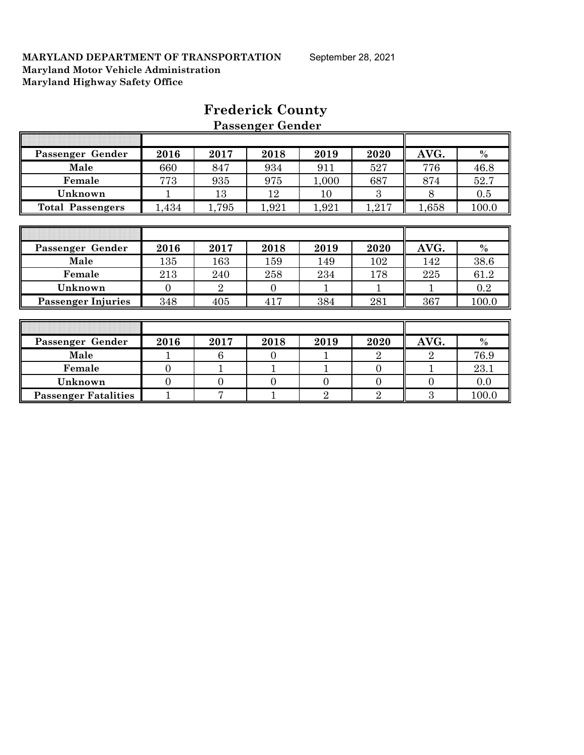| Passenger Gender            | 2016           | 2017           | 2018           | 2019           | 2020           | AVG.           | $\%$    |
|-----------------------------|----------------|----------------|----------------|----------------|----------------|----------------|---------|
| Male                        | 660            | 847            | 934            | 911            | 527            | 776            | 46.8    |
| Female                      | 773            | 935            | 975            | 1,000          | 687            | 874            | 52.7    |
| Unknown                     | 1              | 13             | 12             | 10             | 3              | 8              | 0.5     |
| <b>Total Passengers</b>     | 1,434          | 1,795          | 1,921          | 1,921          | 1,217          | 1,658          | 100.0   |
|                             |                |                |                |                |                |                |         |
|                             |                |                |                |                |                |                |         |
| Passenger Gender            | 2016           | 2017           | 2018           | 2019           | 2020           | AVG.           | $\%$    |
| Male                        | 135            | 163            | 159            | 149            | 102            | 142            | 38.6    |
| Female                      | 213            | 240            | 258            | 234            | 178            | 225            | 61.2    |
| Unknown                     | $\Omega$       | $\overline{2}$ | $\overline{0}$ |                |                | 1              | $0.2\,$ |
| <b>Passenger Injuries</b>   | 348            | 405            | 417            | 384            | 281            | 367            | 100.0   |
|                             |                |                |                |                |                |                |         |
|                             |                |                |                |                |                |                |         |
| Passenger Gender            | 2016           | 2017           | 2018           | 2019           | 2020           | AVG.           | $\%$    |
| Male                        |                | 6              | $\Omega$       |                | $\overline{2}$ | $\overline{2}$ | 76.9    |
| Female                      | $\Omega$       |                |                |                | $\Omega$       |                | 23.1    |
| Unknown                     | $\overline{0}$ | $\overline{0}$ | $\overline{0}$ | $\overline{0}$ | $\overline{0}$ | $\overline{0}$ | 0.0     |
| <b>Passenger Fatalities</b> |                | 7              |                | $\overline{2}$ | $\overline{2}$ | 3              | 100.0   |

## **Frederick County Passenger Gender**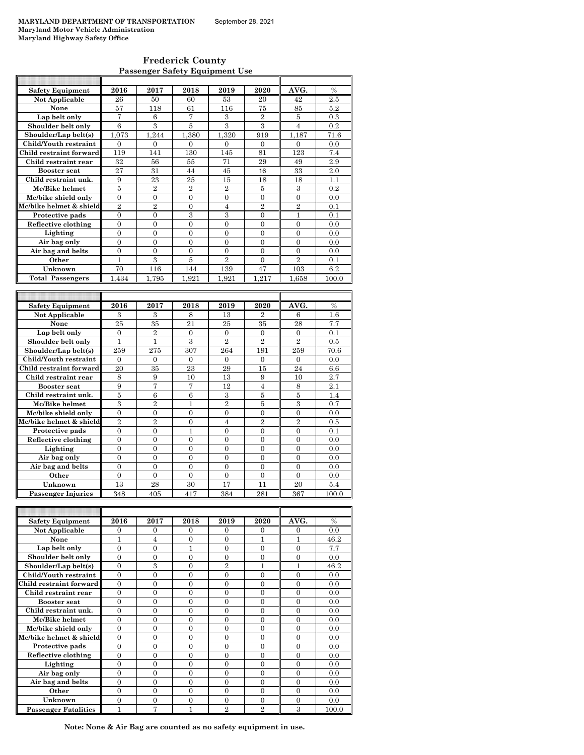| <b>Frederick County</b>               |
|---------------------------------------|
| <b>Passenger Safety Equipment Use</b> |

| <b>Safety Equipment</b>   | 2016             | 2017             | 2018           | 2019             | 2020           | AVG.           | $\%$          |
|---------------------------|------------------|------------------|----------------|------------------|----------------|----------------|---------------|
| <b>Not Applicable</b>     | 26               | 50               | 60             | 53               | 20             | 42             | 2.5           |
| None                      | 57               | 118              | 61             | 116              | 75             | 85             | 5.2           |
| Lap belt only             | 7                | 6                | 7              | 3                | $\overline{2}$ | 5              | 0.3           |
| Shoulder belt only        | 6                | 3                | 5              | 3                | 3              | $\overline{4}$ | 0.2           |
| Shoulder/Lap belt(s)      | 1.073            | 1,244            | 1,380          | 1,320            | 919            | 1,187          | 71.6          |
| Child/Youth restraint     | $\overline{0}$   | $\overline{0}$   | $\overline{0}$ | $\overline{0}$   | $\mathbf{0}$   | $\overline{0}$ | 0.0           |
| Child restraint forward   | 119              | 141              | 130            | 145              | 81             | 123            | 7.4           |
| Child restraint rear      | 32               | 56               | 55             | 71               | 29             | 49             | 2.9           |
| <b>Booster</b> seat       | 27               | 31               | 44             | 45               | 16             | 33             | 2.0           |
| Child restraint unk.      | 9                | 23               | 25             | 15               | 18             | 18             | 1.1           |
| Mc/Bike helmet            | 5                | $\overline{2}$   | $\overline{2}$ | $\overline{2}$   | 5              | 3              | 0.2           |
| Mc/bike shield only       | $\overline{0}$   | $\overline{0}$   | $\overline{0}$ | $\mathbf{0}$     | $\mathbf{0}$   | $\overline{0}$ | 0.0           |
| Mc/bike helmet & shield   | $\overline{2}$   | $\overline{2}$   | $\overline{0}$ | $\overline{4}$   | $\overline{2}$ | $\overline{2}$ | 0.1           |
| Protective pads           | $\theta$         | $\theta$         | 3              | 3                | $\Omega$       | 1              | 0.1           |
| Reflective clothing       | $\theta$         | $\theta$         | $\theta$       | $\theta$         | $\theta$       | $\theta$       | 0.0           |
| Lighting                  | $\overline{0}$   | $\overline{0}$   | $\overline{0}$ | $\overline{0}$   | $\overline{0}$ | $\overline{0}$ | 0.0           |
| Air bag only              | $\overline{0}$   | $\overline{0}$   | $\overline{0}$ | $\theta$         | $\overline{0}$ | $\overline{0}$ | 0.0           |
| Air bag and belts         | $\overline{0}$   | $\overline{0}$   | $\overline{0}$ | $\overline{0}$   | $\overline{0}$ | $\overline{0}$ | 0.0           |
| Other                     | $\mathbf{1}$     | 3                | $\overline{5}$ | $\overline{2}$   | $\overline{0}$ | $\overline{2}$ | 0.1           |
| Unknown                   | 70               | 116              | 144            | 139              | 47             | 103            | 6.2           |
| <b>Total Passengers</b>   | 1,434            | 1,795            | 1,921          | 1,921            | 1,217          | 1,658          | 100.0         |
|                           |                  |                  |                |                  |                |                |               |
|                           |                  |                  |                |                  |                |                |               |
| Safety Equipment          | 2016             | 2017             | 2018           | 2019             | 2020           | AVG.           | $\frac{0}{0}$ |
| Not Applicable            | 3                | 3                | 8              | 13               | $\overline{2}$ | 6              | 1.6           |
| None                      | 25               | 35               | 21             | 25               | 35             | 28             | 7.7           |
| Lap belt only             | $\Omega$         | $\overline{2}$   | $\Omega$       | $\Omega$         | $\Omega$       | $\overline{0}$ | 0.1           |
| Shoulder belt only        | $\mathbf{1}$     | $\mathbf{1}$     | 3              | $\overline{2}$   | $\overline{2}$ | $\overline{2}$ | 0.5           |
| Shoulder/Lap belt(s)      | 259              | 275              | 307            | 264              | 191            | 259            | 70.6          |
| Child/Youth restraint     | $\overline{0}$   | $\overline{0}$   | $\overline{0}$ | $\mathbf{0}$     | $\mathbf{0}$   | $\overline{0}$ | 0.0           |
| Child restraint forward   | 20               | 35               | 23             | 29               | 15             | 24             | 6.6           |
| Child restraint rear      | 8                | 9                | 10             | 13               | 9              | 10             | 2.7           |
| <b>Booster</b> seat       | 9                | 7                | 7              | 12               | $\overline{4}$ | 8              | 2.1           |
| Child restraint unk.      | 5                | 6                | 6              | 3                | 5              | 5              | 1.4           |
| Mc/Bike helmet            | 3                | $\overline{2}$   | $\mathbf{1}$   | $\overline{2}$   | $\overline{5}$ | 3              | 0.7           |
| Mc/bike shield only       | $\overline{0}$   | $\boldsymbol{0}$ | $\overline{0}$ | $\overline{0}$   | $\overline{0}$ | $\overline{0}$ | 0.0           |
| Mc/bike helmet & shield   | $\overline{2}$   | $\overline{2}$   | $\overline{0}$ | $\overline{4}$   | $\overline{2}$ | $\overline{2}$ | 0.5           |
| Protective pads           | 0                | 0                | $\mathbf{1}$   | $\overline{0}$   | $\overline{0}$ | $\overline{0}$ | 0.1           |
| Reflective clothing       | $\theta$         | $\theta$         | $\theta$       | $\Omega$         | $\Omega$       | $\theta$       | 0.0           |
| Lighting                  | $\overline{0}$   | $\overline{0}$   | $\theta$       | $\theta$         | $\theta$       | $\theta$       | 0.0           |
| Air bag only              | $\overline{0}$   | $\overline{0}$   | $\overline{0}$ | $\overline{0}$   | $\overline{0}$ | $\overline{0}$ | 0.0           |
| Air bag and belts         | $\boldsymbol{0}$ | $\boldsymbol{0}$ | $\mathbf{0}$   | $\boldsymbol{0}$ | $\overline{0}$ | $\overline{0}$ | 0.0           |
| Other                     | $\overline{0}$   | $\overline{0}$   | $\overline{0}$ | $\overline{0}$   | $\overline{0}$ | $\overline{0}$ | 0.0           |
| Unknown                   | 13               | 28               | 30             | 17               | 11             | 20             | 5.4           |
| <b>Passenger Injuries</b> | 348              | 405              | 417            | 384              | 281            | 367            | 100.0         |
|                           |                  |                  |                |                  |                |                |               |
|                           |                  |                  |                |                  |                |                |               |
| <b>Safety Equipment</b>   | 2016             | 2017             | 2018           | 2019             | 2020           | AVG.           | $\frac{0}{0}$ |
| Not Applicable            | $\overline{0}$   | $\overline{0}$   | $\overline{0}$ | $\overline{0}$   | $\overline{0}$ | $\overline{0}$ | 0.0           |
| None                      | $\overline{1}$   | $\overline{4}$   | $\overline{0}$ | $\overline{0}$   | $\overline{1}$ | $\mathbf{1}$   | 46.2          |

| Not Applicable              | 0              | 0            | 0        | $\Omega$       | $\Omega$       | $\Omega$ | 0.0   |
|-----------------------------|----------------|--------------|----------|----------------|----------------|----------|-------|
| None                        |                | 4            | $\Omega$ | $\Omega$       |                | 1        | 46.2  |
| Lap belt only               | $\theta$       | $\Omega$     |          | $\Omega$       | $\Omega$       | $\Omega$ | 7.7   |
| Shoulder belt only          | $\theta$       | $\Omega$     | $\Omega$ | $\Omega$       | $\Omega$       | $\Omega$ | 0.0   |
| Shoulder/Lap belt(s)        | $\Omega$       | 3            | 0        | $\overline{2}$ |                |          | 46.2  |
| Child/Youth restraint       | $\Omega$       | $\Omega$     | 0        | $\Omega$       | $\Omega$       | $\Omega$ | 0.0   |
| Child restraint forward     | $\theta$       | $\Omega$     | $\Omega$ | $\Omega$       | $\Omega$       | $\Omega$ | 0.0   |
| Child restraint rear        | $\theta$       | $\Omega$     | 0        | $\Omega$       | $\Omega$       | $\Omega$ | 0.0   |
| <b>Booster seat</b>         | $\Omega$       | $\Omega$     | $\Omega$ | $\Omega$       | $\Omega$       | $\Omega$ | 0.0   |
| Child restraint unk.        | $\Omega$       | $\Omega$     | 0        | $\Omega$       | $\Omega$       | $\Omega$ | 0.0   |
| Mc/Bike helmet              | $\theta$       | $\Omega$     | 0        | $\Omega$       | $\Omega$       | $\Omega$ | 0.0   |
| Mc/bike shield only         | $\Omega$       | $\Omega$     | $\Omega$ | $\Omega$       | $\Omega$       | $\Omega$ | 0.0   |
| Mc/bike helmet & shield     | $\theta$       | $\Omega$     | $\theta$ | $\Omega$       | $\Omega$       | $\Omega$ | 0.0   |
| Protective pads             | $\theta$       | $\Omega$     | $\Omega$ | $\Omega$       | $\Omega$       | $\Omega$ | 0.0   |
| Reflective clothing         | $\overline{0}$ | $\mathbf{0}$ | 0        | $\Omega$       | $\Omega$       | $\Omega$ | 0.0   |
| Lighting                    | $\Omega$       | $\Omega$     | $\Omega$ | $\Omega$       | $\Omega$       | $\Omega$ | 0.0   |
| Air bag only                | $\theta$       | $\Omega$     | $\Omega$ | $\Omega$       | $\Omega$       | $\Omega$ | 0.0   |
| Air bag and belts           | $\theta$       | $\Omega$     | $\Omega$ | $\Omega$       | $\Omega$       | $\Omega$ | 0.0   |
| Other                       | $\theta$       | $\Omega$     | $\Omega$ | $\Omega$       | $\Omega$       | $\Omega$ | 0.0   |
| Unknown                     | $\theta$       | $\Omega$     | $\Omega$ | $\Omega$       | $\Omega$       | $\Omega$ | 0.0   |
| <b>Passenger Fatalities</b> |                | 7            |          | $\overline{2}$ | $\overline{2}$ | 3        | 100.0 |

**Note: None & Air Bag are counted as no safety equipment in use.**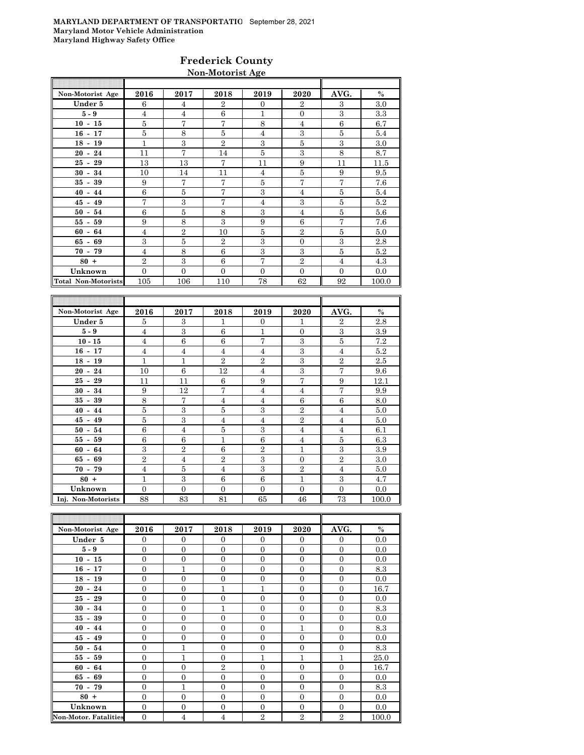#### **Frederick County Non-Motorist Age**

| Non-Motorist Age    | 2016           | 2017           | 2018           | 2019           | 2020           | AVG.     | $\%$  |
|---------------------|----------------|----------------|----------------|----------------|----------------|----------|-------|
| Under 5             | 6              | $\overline{4}$ | $\overline{2}$ | $\Omega$       | $\overline{2}$ | 3        | 3.0   |
| $5-9$               | $\overline{4}$ | $\overline{4}$ | 6              | 1              | $\Omega$       | 3        | 3.3   |
| $10 - 15$           | 5              | 7              | 7              | 8              | $\overline{4}$ | 6        | 6.7   |
| $16 - 17$           | 5              | 8              | 5              | 4              | 3              | 5        | 5.4   |
| $18 - 19$           | $\mathbf{1}$   | 3              | $\overline{2}$ | 3              | 5              | 3        | 3.0   |
| $20 - 24$           | 11             | 7              | 14             | 5              | 3              | 8        | 8.7   |
| $25 - 29$           | 13             | 13             | $\overline{7}$ | 11             | 9              | 11       | 11.5  |
| $30 - 34$           | 10             | 14             | 11             | $\overline{4}$ | 5              | 9        | 9.5   |
| $35 - 39$           | 9              | 7              | $\overline{7}$ | 5              | 7              | 7        | 7.6   |
| $40 - 44$           | 6              | 5              | $\overline{7}$ | 3              | $\overline{4}$ | 5        | 5.4   |
| $45 - 49$           | $\overline{7}$ | 3              | $\overline{7}$ | 4              | 3              | 5        | 5.2   |
| $50 - 54$           | 6              | 5              | 8              | 3              | $\overline{4}$ | 5        | 5.6   |
| $55 - 59$           | 9              | 8              | 3              | 9              | 6              | 7        | 7.6   |
| $60 - 64$           | $\overline{4}$ | $\overline{2}$ | 10             | 5              | $\overline{2}$ | 5        | 5.0   |
| $65 - 69$           | 3              | 5              | $\mathbf{2}$   | 3              | $\Omega$       | 3        | 2.8   |
| $70 - 79$           | $\overline{4}$ | 8              | 6              | 3              | 3              | 5        | 5.2   |
| $80 +$              | $\overline{2}$ | 3              | 6              | $\overline{7}$ | $\overline{2}$ | 4        | 4.3   |
| Unknown             | $\overline{0}$ | $\Omega$       | $\Omega$       | $\mathbf{0}$   | $\overline{0}$ | $\Omega$ | 0.0   |
| Total Non-Motorists | 105            | 106            | 110            | 78             | 62             | 92       | 100.0 |
|                     |                |                |                |                |                |          |       |

| Non-Motorist Age   | 2016           | 2017           | 2018           | 2019           | 2020           | AVG.           | $\%$  |
|--------------------|----------------|----------------|----------------|----------------|----------------|----------------|-------|
| Under 5            | 5              | 3              | 1              | $\Omega$       | 1              | $\overline{2}$ | 2.8   |
| $5-9$              | $\overline{4}$ | 3              | 6              | 1              | $\Omega$       | 3              | 3.9   |
| $10 - 15$          | $\overline{4}$ | 6              | 6              | 7              | 3              | 5              | 7.2   |
| $16 - 17$          | $\overline{4}$ | $\overline{4}$ | 4              | $\overline{4}$ | 3              | $\overline{4}$ | 5.2   |
| $18 - 19$          | 1              | $\mathbf{1}$   | $\overline{2}$ | $\overline{2}$ | 3              | $\overline{2}$ | 2.5   |
| $20 - 24$          | 10             | 6              | 12             | $\overline{4}$ | 3              | 7              | 9.6   |
| $25 - 29$          | 11             | 11             | 6              | 9              | 7              | 9              | 12.1  |
| $30 - 34$          | 9              | 12             | 7              | 4              | $\overline{4}$ | 7              | 9.9   |
| 39<br>$35 -$       | 8              | 7              | $\overline{4}$ | $\overline{4}$ | 6              | 6              | 8.0   |
| $40 - 44$          | 5              | 3              | 5              | 3              | $\overline{2}$ | $\overline{4}$ | 5.0   |
| $45 - 49$          | 5              | 3              | $\overline{4}$ | 4              | $\overline{2}$ | $\overline{4}$ | 5.0   |
| $50 - 54$          | 6              | $\overline{4}$ | 5              | 3              | $\overline{4}$ | $\overline{4}$ | 6.1   |
| $55 - 59$          | 6              | 6              | 1              | 6              | 4              | 5              | 6.3   |
| $60 - 64$          | 3              | $\overline{2}$ | 6              | $\overline{2}$ | $\mathbf{1}$   | 3              | 3.9   |
| $65 - 69$          | $\overline{2}$ | $\overline{4}$ | $\overline{2}$ | 3              | $\theta$       | $\overline{2}$ | 3.0   |
| $70 - 79$          | $\overline{4}$ | 5              | 4              | 3              | $\overline{2}$ | $\overline{4}$ | 5.0   |
| $80 +$             | $\mathbf{1}$   | 3              | 6              | 6              | $\mathbf{1}$   | 3              | 4.7   |
| Unknown            | $\Omega$       | $\overline{0}$ | $\Omega$       | $\Omega$       | $\Omega$       | $\Omega$       | 0.0   |
| Inj. Non-Motorists | 88             | 83             | 81             | 65             | 46             | 73             | 100.0 |

| Non-Motorist Age             | 2016           | 2017           | 2018           | 2019           | 2020           | AVG.           | $\%$  |
|------------------------------|----------------|----------------|----------------|----------------|----------------|----------------|-------|
| Under 5                      | $\theta$       | $\overline{0}$ | $\theta$       | $\mathbf{0}$   | $\theta$       | $\mathbf{0}$   | 0.0   |
| $5 - 9$                      | $\Omega$       | $\Omega$       | $\overline{0}$ | $\theta$       | $\overline{0}$ | $\Omega$       | 0.0   |
| $10 - 15$                    | $\overline{0}$ | $\overline{0}$ | $\overline{0}$ | $\overline{0}$ | $\overline{0}$ | $\mathbf{0}$   | 0.0   |
| $16 - 17$                    | $\Omega$       | $\mathbf{1}$   | $\overline{0}$ | $\theta$       | $\theta$       | $\overline{0}$ | 8.3   |
| $18 - 19$                    | $\Omega$       | $\overline{0}$ | $\overline{0}$ | $\overline{0}$ | $\overline{0}$ | $\overline{0}$ | 0.0   |
| $20 - 24$                    | $\Omega$       | $\overline{0}$ | 1              | $\mathbf{1}$   | $\overline{0}$ | $\overline{0}$ | 16.7  |
| $25 - 29$                    | $\Omega$       | $\Omega$       | $\overline{0}$ | $\theta$       | $\theta$       | $\overline{0}$ | 0.0   |
| $30 - 34$                    | $\overline{0}$ | $\overline{0}$ | $\mathbf{1}$   | $\overline{0}$ | $\overline{0}$ | $\overline{0}$ | 8.3   |
| $35 -$<br>39                 | $\Omega$       | $\overline{0}$ | $\overline{0}$ | $\theta$       | $\overline{0}$ | $\overline{0}$ | 0.0   |
| $40 - 44$                    | $\Omega$       | $\overline{0}$ | $\overline{0}$ | $\overline{0}$ | 1              | $\overline{0}$ | 8.3   |
| $45 - 49$                    | $\theta$       | $\overline{0}$ | $\overline{0}$ | $\theta$       | $\overline{0}$ | $\overline{0}$ | 0.0   |
| $50 - 54$                    | $\Omega$       | $\mathbf{1}$   | $\overline{0}$ | $\theta$       | $\overline{0}$ | $\overline{0}$ | 8.3   |
| $55 - 59$                    | $\Omega$       | $\mathbf{1}$   | $\overline{0}$ | 1              | 1              | 1              | 25.0  |
| $60 -$<br>64                 | $\Omega$       | $\overline{0}$ | $\overline{2}$ | $\overline{0}$ | $\overline{0}$ | $\overline{0}$ | 16.7  |
| $65 - 69$                    | $\Omega$       | $\overline{0}$ | $\overline{0}$ | $\overline{0}$ | $\overline{0}$ | $\overline{0}$ | 0.0   |
| $70 - 79$                    | $\Omega$       | $\mathbf{1}$   | $\overline{0}$ | $\overline{0}$ | $\overline{0}$ | $\mathbf{0}$   | 8.3   |
| $80 +$                       | $\Omega$       | $\overline{0}$ | $\overline{0}$ | $\overline{0}$ | $\overline{0}$ | $\overline{0}$ | 0.0   |
| Unknown                      | $\Omega$       | $\overline{0}$ | $\overline{0}$ | $\theta$       | $\overline{0}$ | $\overline{0}$ | 0.0   |
| <b>Non-Motor, Fatalities</b> | $\overline{0}$ | $\overline{4}$ | 4              | $\overline{2}$ | $\overline{2}$ | $\overline{2}$ | 100.0 |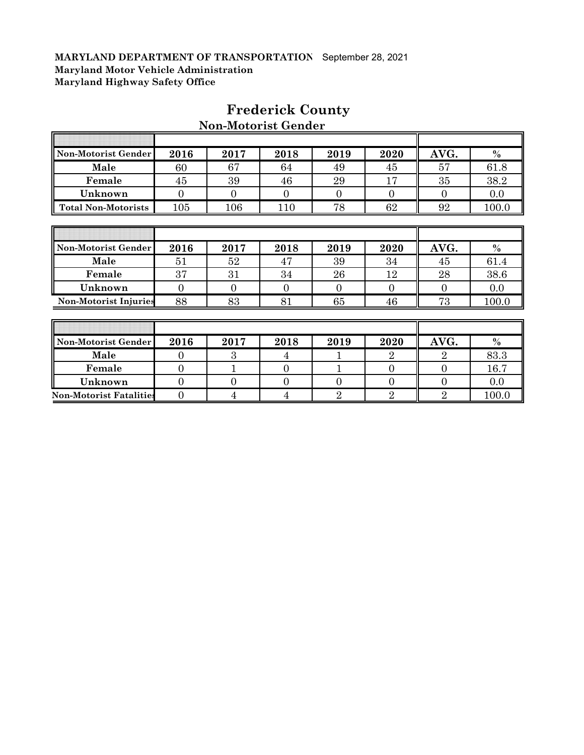F

| Non-Motorist Gender            | 2016           | 2017           | 2018           | 2019           | 2020           | AVG.           | $\%$  |
|--------------------------------|----------------|----------------|----------------|----------------|----------------|----------------|-------|
| Male                           | 60             | 67             | 64             | 49             | 45             | 57             | 61.8  |
| Female                         | 45             | 39             | 46             | 29             | 17             | 35             | 38.2  |
| Unknown                        | $\overline{0}$ | $\theta$       | $\theta$       | $\Omega$       | $\overline{0}$ | $\overline{0}$ | 0.0   |
| <b>Total Non-Motorists</b>     | 105            | 106            | 110            | 78             | 62             | 92             | 100.0 |
|                                |                |                |                |                |                |                |       |
|                                |                |                |                |                |                |                |       |
| <b>Non-Motorist Gender</b>     | 2016           | 2017           | 2018           | 2019           | 2020           | AVG.           | $\%$  |
| Male                           | 51             | 52             | 47             | 39             | 34             | 45             | 61.4  |
| Female                         | 37             | 31             | 34             | 26             | 12             | 28             | 38.6  |
| Unknown                        | $\overline{0}$ | $\theta$       | $\overline{0}$ | $\Omega$       | $\overline{0}$ | $\Omega$       | 0.0   |
| <b>Non-Motorist Injuries</b>   | 88             | 83             | 81             | 65             | 46             | 73             | 100.0 |
|                                |                |                |                |                |                |                |       |
|                                |                |                |                |                |                |                |       |
| <b>Non-Motorist Gender</b>     | 2016           | 2017           | 2018           | 2019           | 2020           | AVG.           | $\%$  |
| Male                           | $\overline{0}$ | 3              | 4              |                | $\overline{2}$ | $\overline{2}$ | 83.3  |
| Female                         | $\overline{0}$ | 1              | $\Omega$       | 1              | $\overline{0}$ | $\overline{0}$ | 16.7  |
| Unknown                        | $\overline{0}$ | $\overline{0}$ | $\Omega$       | $\overline{0}$ | $\overline{0}$ | $\overline{0}$ | 0.0   |
| <b>Non-Motorist Fatalities</b> | $\overline{0}$ | 4              | 4              | $\rm{2}$       | $\overline{2}$ | $\overline{2}$ | 100.0 |

## **Frederick County Non-Motorist Gender**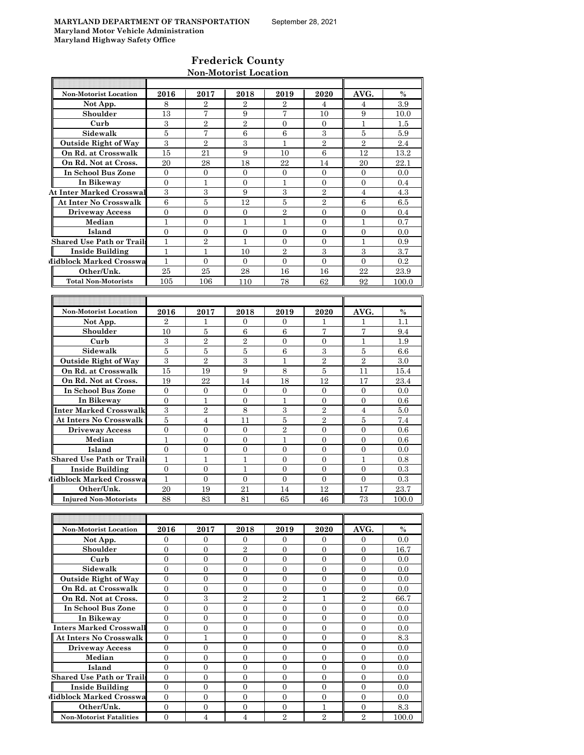#### **Frederick County Non-Motorist Location**

| <b>Non-Motorist Location</b>     | 2016             | 2017             | 2018             | 2019             | 2020             | AVG.             | $\frac{0}{0}$ |
|----------------------------------|------------------|------------------|------------------|------------------|------------------|------------------|---------------|
| Not App.                         | 8                | $\overline{2}$   | 2                | 2                | 4                | 4                | 3.9           |
| Shoulder                         | 13               | 7                | 9                | 7                | 10               | 9                | $10.0\,$      |
| Curb                             | 3                | $\overline{2}$   | $\overline{2}$   | $\overline{0}$   | $\Omega$         | 1                | 1.5           |
| Sidewalk                         | 5                | $\overline{7}$   | 6                | 6                | 3                | 5                | 5.9           |
| <b>Outside Right of Way</b>      | 3                | $\overline{2}$   | 3                | 1                | $\overline{2}$   | $\overline{2}$   | 2.4           |
| On Rd. at Crosswalk              | 15               | 21               | 9                | 10               | 6                | 12               | 13.2          |
| On Rd. Not at Cross.             | 20               | 28               | 18               | 22               | 14               | 20               | 22.1          |
| In School Bus Zone               | $\mathbf{0}$     | $\mathbf{0}$     | $\overline{0}$   | $\overline{0}$   | $\mathbf{0}$     | $\theta$         | 0.0           |
| In Bikeway                       | $\overline{0}$   | 1                | 0                | 1                | $\mathbf{0}$     | $\theta$         | 0.4           |
| <b>At Inter Marked Crosswal</b>  | 3                | 3                | 9                | 3                | $\overline{2}$   | 4                | 4.3           |
| At Inter No Crosswalk            | $\boldsymbol{6}$ | 5                | 12               | 5                | $\overline{2}$   | 6                | 6.5           |
| <b>Driveway Access</b>           | $\overline{0}$   | $\overline{0}$   | 0                | $\overline{2}$   | $\Omega$         | 0                | 0.4           |
| Median                           | 1                | $\overline{0}$   | 1                | 1                | $\Omega$         | 1                | 0.7           |
| Island                           | $\Omega$         | $\Omega$         | $\overline{0}$   | $\Omega$         | $\Omega$         | $\mathbf{0}$     | 0.0           |
| <b>Shared Use Path or Trails</b> | $\mathbf{1}$     | $\overline{2}$   | 1                | $\overline{0}$   | $\overline{0}$   | 1                | 0.9           |
| <b>Inside Building</b>           | $\mathbf{1}$     | 1                | 10               | $\overline{2}$   | 3                | 3                | 3.7           |
| Midblock Marked Crosswa          | $\mathbf{1}$     | $\overline{0}$   | $\overline{0}$   | $\overline{0}$   | $\overline{0}$   | $\overline{0}$   | 0.2           |
| Other/Unk.                       | 25               | 25               | 28               | 16               | 16               | 22               | 23.9          |
| <b>Total Non-Motorists</b>       |                  |                  |                  |                  | 62               | 92               |               |
|                                  | 105              | 106              | 110              | 78               |                  |                  | 100.0         |
|                                  |                  |                  |                  |                  |                  |                  |               |
|                                  |                  |                  |                  |                  |                  |                  |               |
| <b>Non-Motorist Location</b>     | 2016             | 2017             | 2018             | 2019             | 2020             | AVG.             | $\frac{0}{0}$ |
| Not App.                         | $\overline{2}$   | 1                | 0                | $\Omega$         | 1                | 1                | 1.1           |
| Shoulder                         | 10               | 5                | 6                | 6                | 7                | 7                | 9.4           |
| Curb                             | 3                | $\overline{2}$   | $\overline{2}$   | $\overline{0}$   | $\overline{0}$   | 1                | 1.9           |
| Sidewalk                         | 5                | 5                | 5                | $\,6$            | 3                | 5                | 6.6           |
| <b>Outside Right of Way</b>      | 3                | $\overline{2}$   | 3                | $\mathbf{1}$     | $\overline{2}$   | $\overline{2}$   | 3.0           |
| On Rd. at Crosswalk              | 15               | 19               | 9                | 8                | 5                | 11               | 15.4          |
| On Rd. Not at Cross.             | 19               | 22               | 14               | 18               | 12               | 17               | 23.4          |
| In School Bus Zone               | $\mathbf{0}$     | $\mathbf{0}$     | $\overline{0}$   | $\mathbf{0}$     | $\overline{0}$   | $\overline{0}$   | 0.0           |
| In Bikeway                       | $\overline{0}$   | 1                | $\mathbf{0}$     | 1                | $\mathbf{0}$     | $\theta$         | 0.6           |
| Inter Marked Crosswalk           | 3                | $\overline{2}$   | 8                | 3                | $\overline{2}$   | 4                | 5.0           |
| At Inters No Crosswalk           | $\overline{5}$   | $\overline{4}$   | 11               | 5                | $\overline{2}$   | 5                | 7.4           |
| <b>Driveway Access</b>           | $\boldsymbol{0}$ | 0                | $\overline{0}$   | $\overline{2}$   | $\mathbf{0}$     | $\mathbf{0}$     | 0.6           |
| Median                           | 1                | 0                | 0                | 1                | $\mathbf{0}$     | $\mathbf{0}$     | 0.6           |
| Island                           | $\overline{0}$   | $\overline{0}$   | $\overline{0}$   | $\overline{0}$   | $\Omega$         | $\overline{0}$   | 0.0           |
| Shared Use Path or Trails        | $\mathbf{1}$     | $\mathbf{1}$     | 1                | $\overline{0}$   | $\Omega$         | 1                | 0.8           |
| Inside Building                  | $\mathbf{0}$     | $\overline{0}$   | 1                | $\overline{0}$   | $\overline{0}$   | $\overline{0}$   | 0.3           |
| Midblock Marked Crosswa          | 1                | $\mathbf{0}$     | $\overline{0}$   | $\mathbf{0}$     | $\mathbf{0}$     | $\overline{0}$   | 0.3           |
| Other/Unk.                       | 20               | 19               | 21               | 14               | 12               | 17               | 23.7          |
| <b>Injured Non-Motorists</b>     | 88               | 83               | 81               | 65               | 46               | 73               | 100.0         |
|                                  |                  |                  |                  |                  |                  |                  |               |
|                                  |                  |                  |                  |                  |                  |                  |               |
| Non-Motorist Location            | 2016             | 2017             | 2018             | 2019             | 2020             | AVG.             | $\%$          |
| Not App.                         | $\overline{0}$   | $\mathbf{0}$     | $\mathbf{0}$     | $\overline{0}$   | $\overline{0}$   | $\overline{0}$   | 0.0           |
| Shoulder                         | $\overline{0}$   | $\overline{0}$   | $\,2$            | $\overline{0}$   | $\overline{0}$   | $\overline{0}$   | 16.7          |
|                                  |                  | $\overline{0}$   |                  | $\overline{0}$   | $\mathbf{0}$     | $\overline{0}$   |               |
| Curb                             | $\overline{0}$   |                  | 0                |                  |                  |                  | 0.0           |
| Sidewalk                         | $\overline{0}$   | $\overline{0}$   | $\boldsymbol{0}$ | $\mathbf{0}$     | $\overline{0}$   | $\overline{0}$   | 0.0           |
| <b>Outside Right of Way</b>      | $\boldsymbol{0}$ | $\boldsymbol{0}$ | $\boldsymbol{0}$ | $\overline{0}$   | $\mathbf{0}$     | $\mathbf{0}$     | 0.0           |
| On Rd. at Crosswalk              | $\overline{0}$   | $\overline{0}$   | 0                | $\boldsymbol{0}$ | $\boldsymbol{0}$ | $\mathbf{0}$     | 0.0           |
| On Rd. Not at Cross.             | $\overline{0}$   | $\,3$            | $\overline{2}$   | $\,2$            | $\mathbf{1}$     | $\sqrt{2}$       | 66.7          |
| In School Bus Zone               | $\mathbf{0}$     | $\boldsymbol{0}$ | $\boldsymbol{0}$ | $\boldsymbol{0}$ | $\boldsymbol{0}$ | $\boldsymbol{0}$ | 0.0           |
| In Bikeway                       | $\overline{0}$   | $\overline{0}$   | $\overline{0}$   | $\overline{0}$   | $\mathbf{0}$     | $\mathbf{0}$     | 0.0           |
| <b>Inters Marked Crosswall</b>   | $\mathbf{0}$     | $\boldsymbol{0}$ | $\boldsymbol{0}$ | $\boldsymbol{0}$ | $\mathbf{0}$     | $\mathbf{0}$     | 0.0           |
| <b>At Inters No Crosswalk</b>    | $\overline{0}$   | $\mathbf{1}$     | $\overline{0}$   | $\overline{0}$   | $\overline{0}$   | $\mathbf{0}$     | 8.3           |
| <b>Driveway Access</b>           | $\boldsymbol{0}$ | $\boldsymbol{0}$ | $\boldsymbol{0}$ | $\overline{0}$   | $\boldsymbol{0}$ | $\mathbf{0}$     | 0.0           |
| Median                           | $\mathbf{0}$     | $\boldsymbol{0}$ | 0                | $\mathbf{0}$     | $\mathbf{0}$     | $\mathbf{0}$     | 0.0           |
| Island                           | $\overline{0}$   | $\overline{0}$   | $\boldsymbol{0}$ | $\overline{0}$   | $\overline{0}$   | $\mathbf{0}$     | 0.0           |
| <b>Shared Use Path or Trails</b> | $\mathbf{0}$     | $\overline{0}$   | $\boldsymbol{0}$ | $\overline{0}$   | $\boldsymbol{0}$ | $\mathbf{0}$     | 0.0           |
| <b>Inside Building</b>           | $\mathbf{0}$     | $\boldsymbol{0}$ | $\boldsymbol{0}$ | $\overline{0}$   | $\boldsymbol{0}$ | $\mathbf{0}$     | 0.0           |
| Midblock Marked Crosswa          | $\mathbf{0}$     | 0                | $\boldsymbol{0}$ | $\mathbf{0}$     | $\boldsymbol{0}$ | $\boldsymbol{0}$ | 0.0           |
| Other/Unk.                       | $\overline{0}$   | $\boldsymbol{0}$ | $\boldsymbol{0}$ | $\overline{0}$   | $\mathbf{1}$     | $\overline{0}$   | 8.3           |
| Non-Motorist Fatalities          | $\overline{0}$   | $\overline{4}$   | $\overline{4}$   | 2                | $\overline{2}$   | $\,2\,$          | 100.0         |